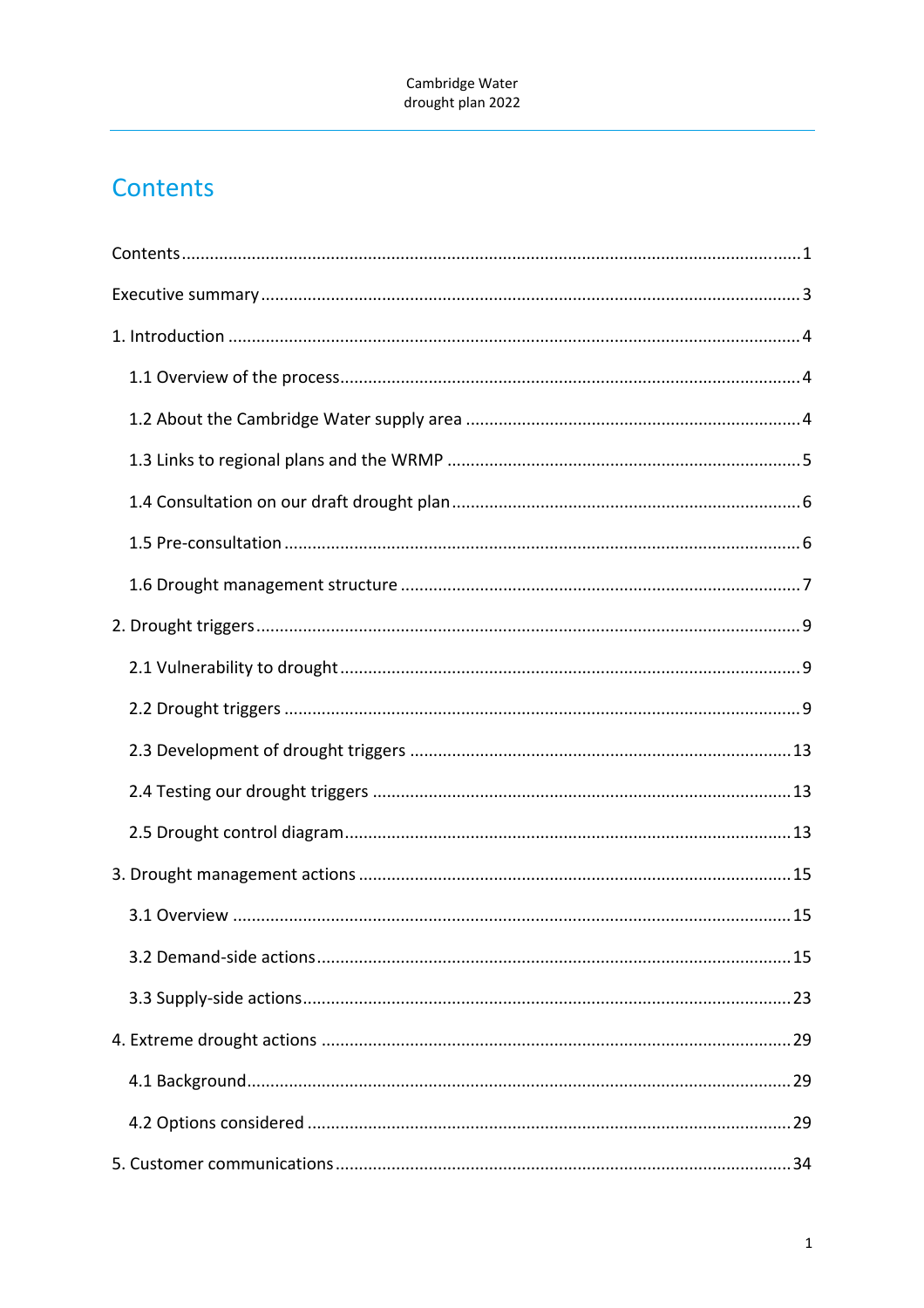# Contents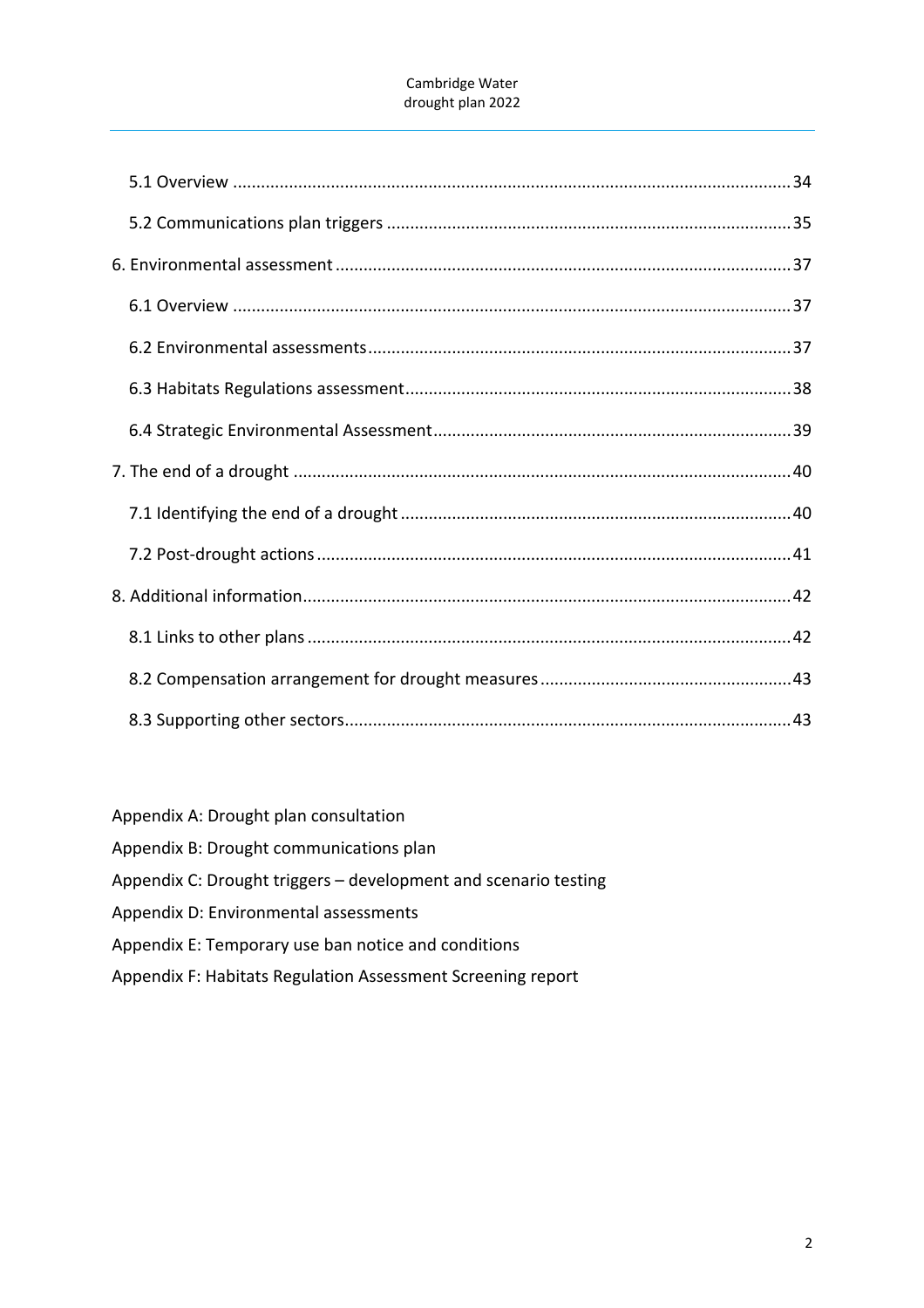Appendix A: Drought plan consultation

Appendix B: Drought communications plan

Appendix C: Drought triggers – development and scenario testing

Appendix D: Environmental assessments

Appendix E: Temporary use ban notice and conditions

Appendix F: Habitats Regulation Assessment Screening report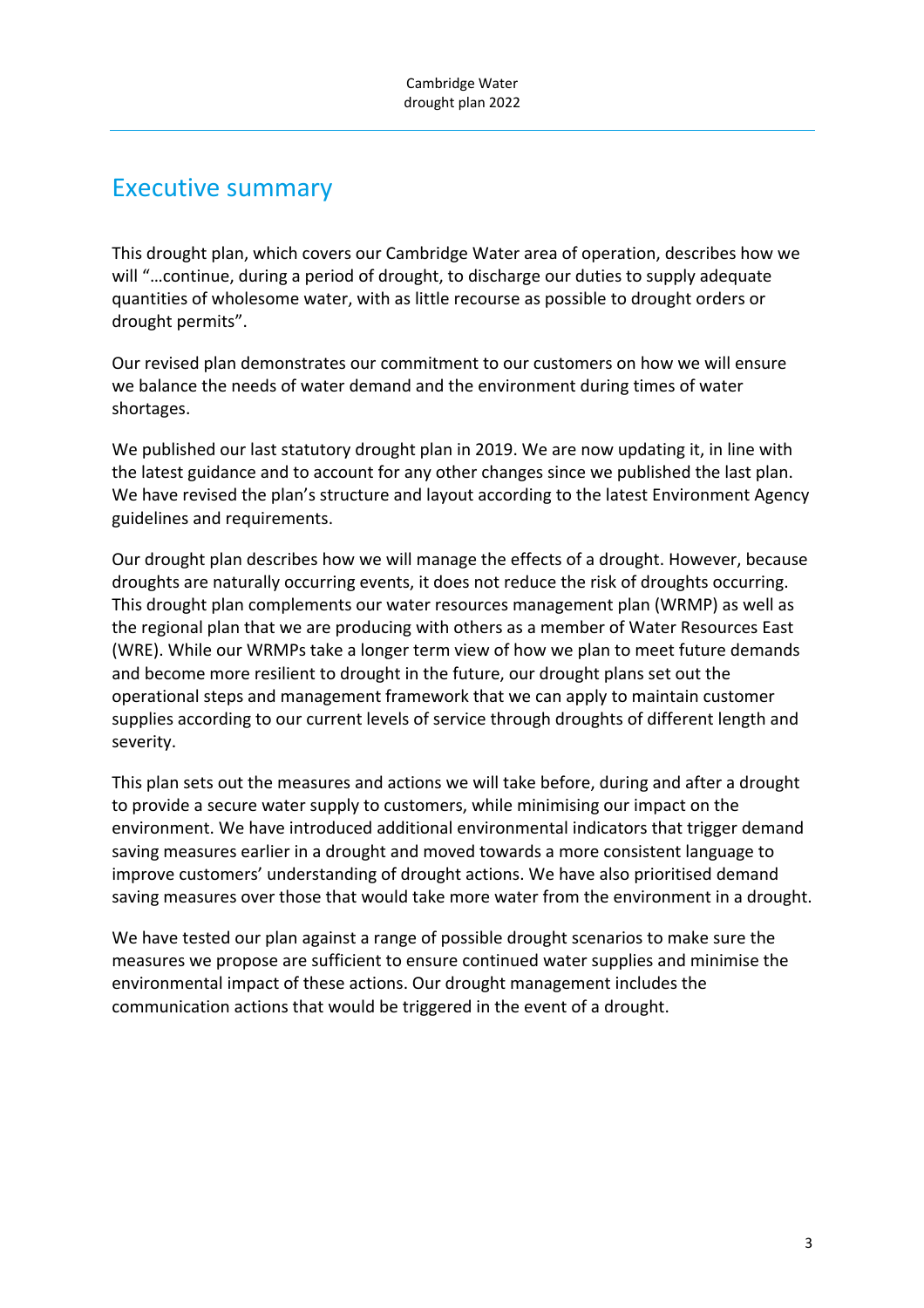# Executive summary

This drought plan, which covers our Cambridge Water area of operation, describes how we will "…continue, during a period of drought, to discharge our duties to supply adequate quantities of wholesome water, with as little recourse as possible to drought orders or drought permits".

Our revised plan demonstrates our commitment to our customers on how we will ensure we balance the needs of water demand and the environment during times of water shortages.

We published our last statutory drought plan in 2019. We are now updating it, in line with the latest guidance and to account for any other changes since we published the last plan. We have revised the plan's structure and layout according to the latest Environment Agency guidelines and requirements.

Our drought plan describes how we will manage the effects of a drought. However, because droughts are naturally occurring events, it does not reduce the risk of droughts occurring. This drought plan complements our water resources management plan (WRMP) as well as the regional plan that we are producing with others as a member of Water Resources East (WRE). While our WRMPs take a longer term view of how we plan to meet future demands and become more resilient to drought in the future, our drought plans set out the operational steps and management framework that we can apply to maintain customer supplies according to our current levels of service through droughts of different length and severity.

This plan sets out the measures and actions we will take before, during and after a drought to provide a secure water supply to customers, while minimising our impact on the environment. We have introduced additional environmental indicators that trigger demand saving measures earlier in a drought and moved towards a more consistent language to improve customers' understanding of drought actions. We have also prioritised demand saving measures over those that would take more water from the environment in a drought.

We have tested our plan against a range of possible drought scenarios to make sure the measures we propose are sufficient to ensure continued water supplies and minimise the environmental impact of these actions. Our drought management includes the communication actions that would be triggered in the event of a drought.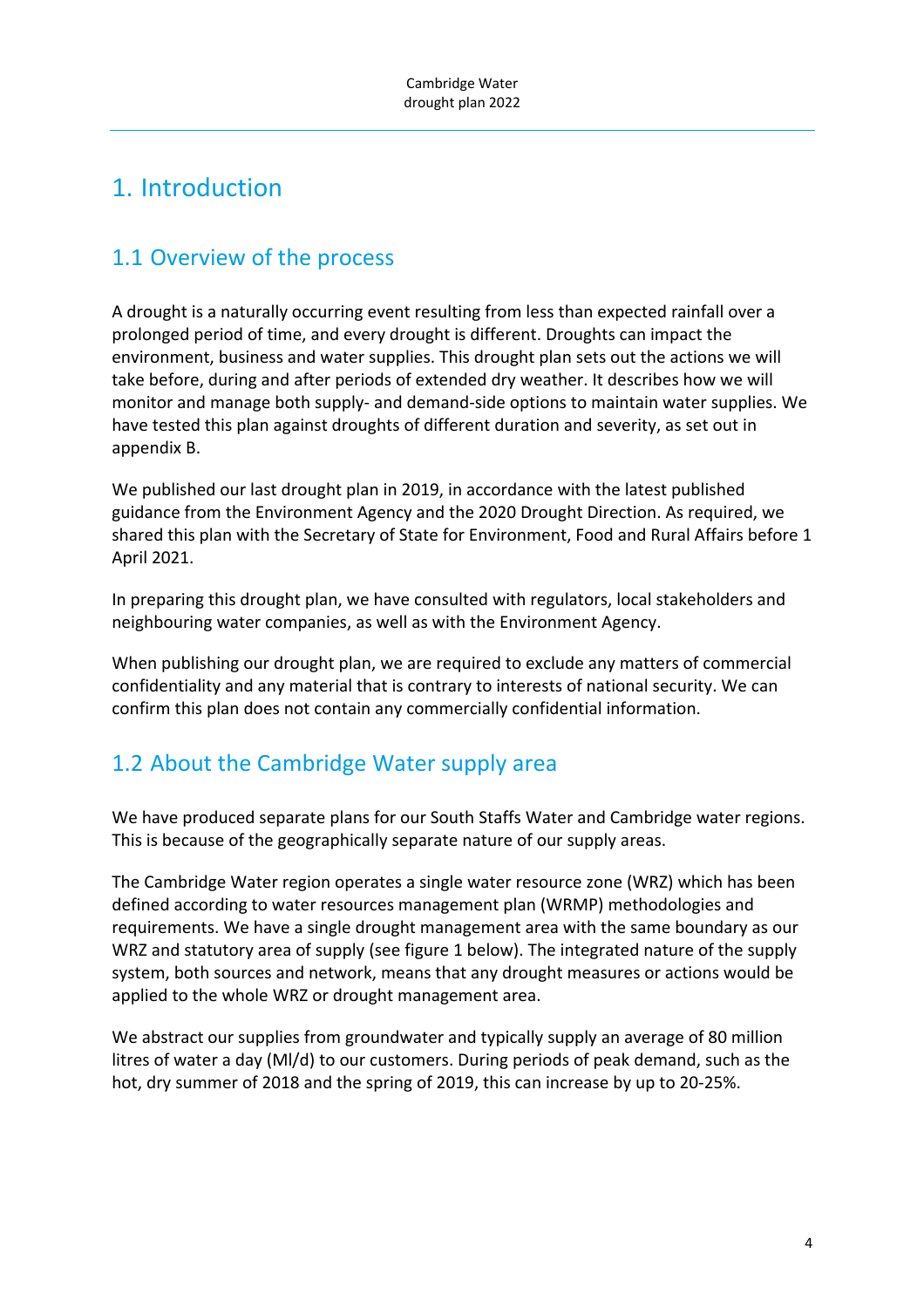# 1. Introduction

# 1.1 Overview of the process

A drought is a naturally occurring event resulting from less than expected rainfall over a prolonged period of time, and every drought is different. Droughts can impact the environment, business and water supplies. This drought plan sets out the actions we will take before, during and after periods of extended dry weather. It describes how we will monitor and manage both supply‐ and demand‐side options to maintain water supplies. We have tested this plan against droughts of different duration and severity, as set out in appendix B.

We published our last drought plan in 2019, in accordance with the latest published guidance from the Environment Agency and the 2020 Drought Direction. As required, we shared this plan with the Secretary of State for Environment, Food and Rural Affairs before 1 April 2021.

In preparing this drought plan, we have consulted with regulators, local stakeholders and neighbouring water companies, as well as with the Environment Agency.

When publishing our drought plan, we are required to exclude any matters of commercial confidentiality and any material that is contrary to interests of national security. We can confirm this plan does not contain any commercially confidential information.

# 1.2 About the Cambridge Water supply area

We have produced separate plans for our South Staffs Water and Cambridge water regions. This is because of the geographically separate nature of our supply areas.

The Cambridge Water region operates a single water resource zone (WRZ) which has been defined according to water resources management plan (WRMP) methodologies and requirements. We have a single drought management area with the same boundary as our WRZ and statutory area of supply (see figure 1 below). The integrated nature of the supply system, both sources and network, means that any drought measures or actions would be applied to the whole WRZ or drought management area.

We abstract our supplies from groundwater and typically supply an average of 80 million litres of water a day (Ml/d) to our customers. During periods of peak demand, such as the hot, dry summer of 2018 and the spring of 2019, this can increase by up to 20‐25%.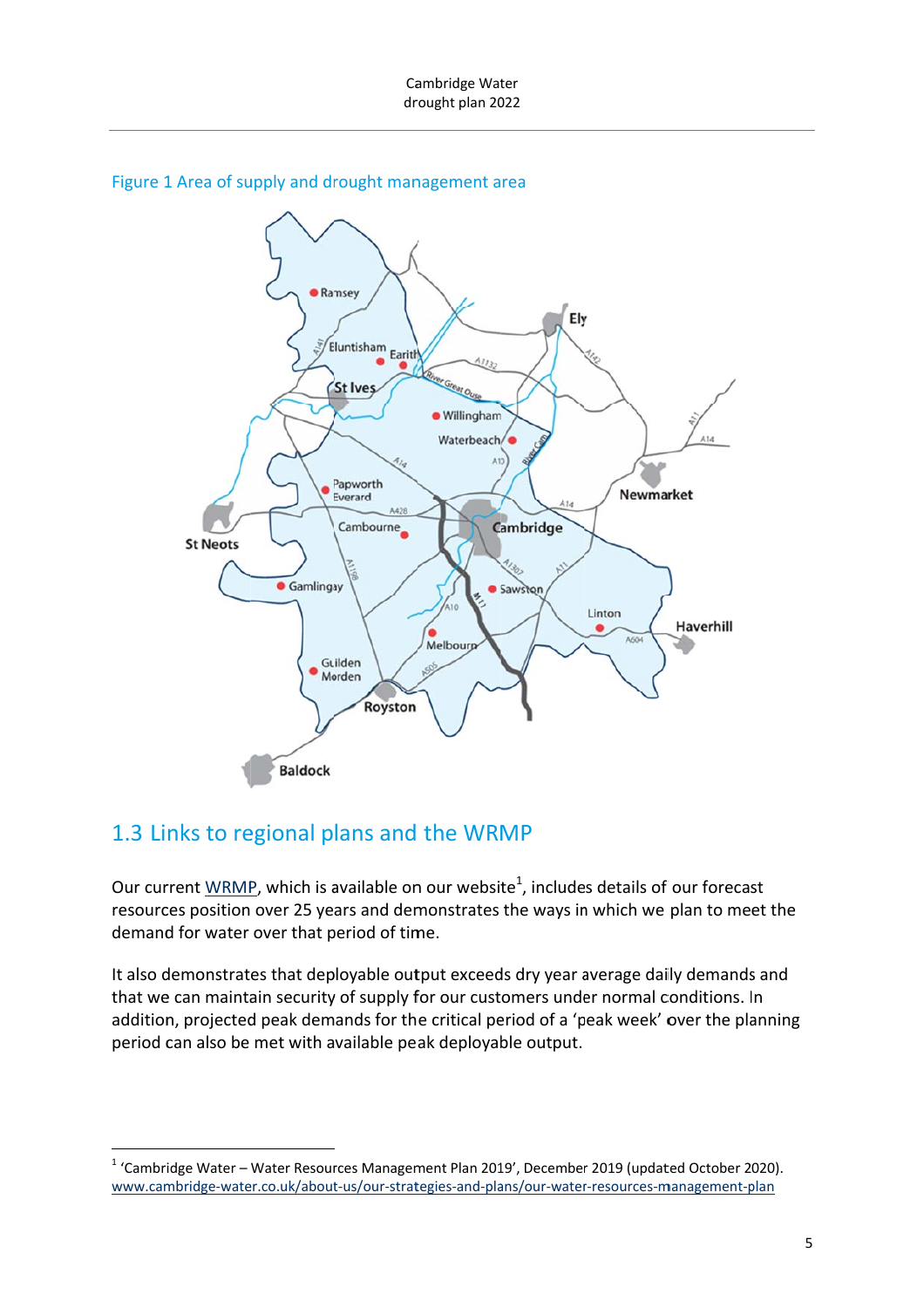

#### Figure 1 Area of supply and drought management area

## 1.3 Links to regional plans and the WRMP

Our current  $\underline{\text{WRMP}}$ , which is available on our website<sup>1</sup>, includes details of our forecast resources position over 25 years and demonstrates the ways in which we plan to meet the demand for water over that period of time.

It also demonstrates that deployable output exceeds dry year average daily demands and that we can maintain security of supply for our customers under normal conditions. In addition, projected peak demands for the critical period of a 'peak week' over the planning period can also be met with available peak deployable output.

<sup>&</sup>lt;sup>1</sup> 'Cambridge Water – Water Resources Management Plan 2019', December 2019 (updated October 2020). www.cambridge-water.co.uk/about-us/our-strategies-and-plans/our-water-resources-management-plan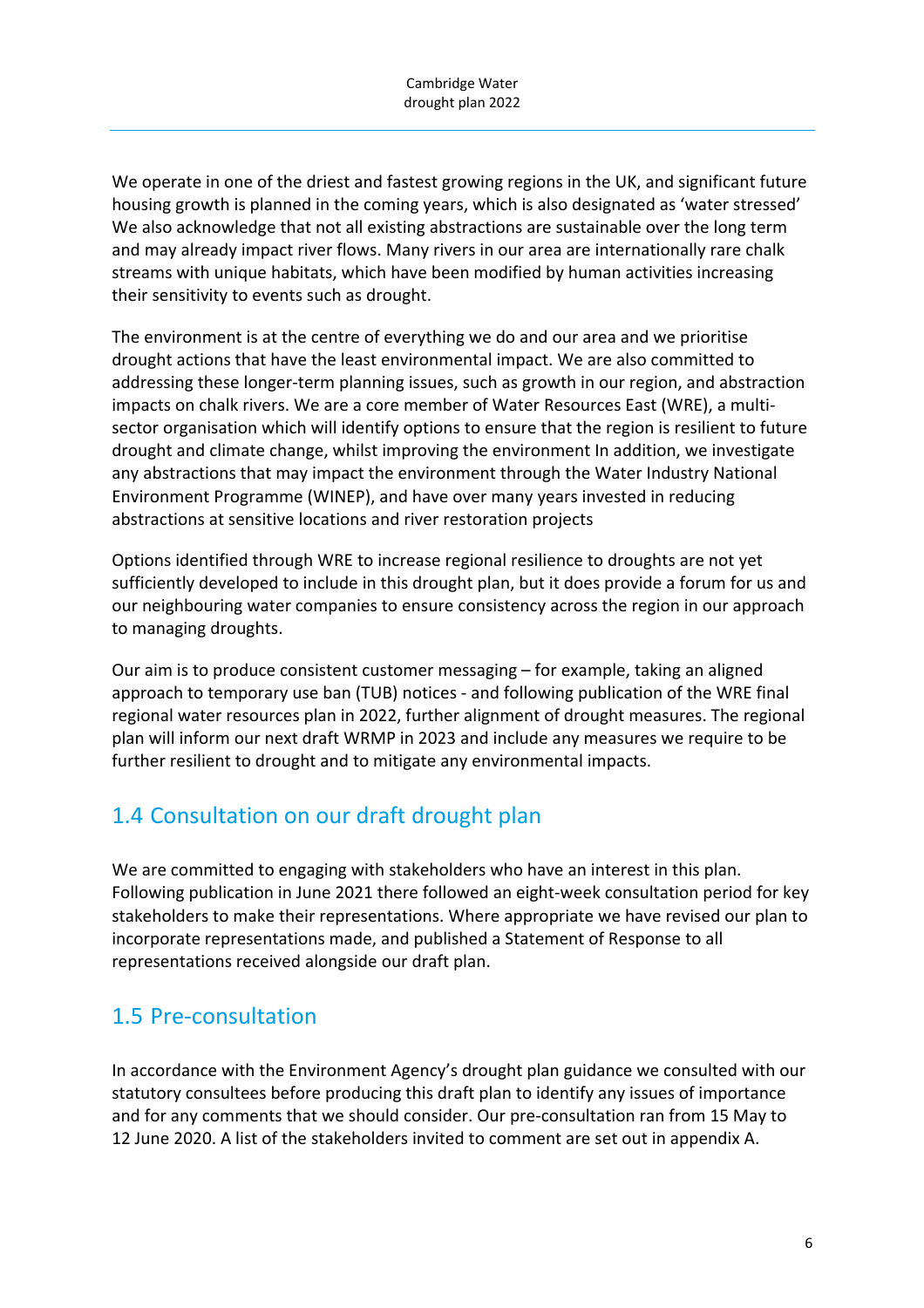We operate in one of the driest and fastest growing regions in the UK, and significant future housing growth is planned in the coming years, which is also designated as 'water stressed' We also acknowledge that not all existing abstractions are sustainable over the long term and may already impact river flows. Many rivers in our area are internationally rare chalk streams with unique habitats, which have been modified by human activities increasing their sensitivity to events such as drought.

The environment is at the centre of everything we do and our area and we prioritise drought actions that have the least environmental impact. We are also committed to addressing these longer-term planning issues, such as growth in our region, and abstraction impacts on chalk rivers. We are a core member of Water Resources East (WRE), a multi‐ sector organisation which will identify options to ensure that the region is resilient to future drought and climate change, whilst improving the environment In addition, we investigate any abstractions that may impact the environment through the Water Industry National Environment Programme (WINEP), and have over many years invested in reducing abstractions at sensitive locations and river restoration projects

Options identified through WRE to increase regional resilience to droughts are not yet sufficiently developed to include in this drought plan, but it does provide a forum for us and our neighbouring water companies to ensure consistency across the region in our approach to managing droughts.

Our aim is to produce consistent customer messaging – for example, taking an aligned approach to temporary use ban (TUB) notices ‐ and following publication of the WRE final regional water resources plan in 2022, further alignment of drought measures. The regional plan will inform our next draft WRMP in 2023 and include any measures we require to be further resilient to drought and to mitigate any environmental impacts.

# 1.4 Consultation on our draft drought plan

We are committed to engaging with stakeholders who have an interest in this plan. Following publication in June 2021 there followed an eight-week consultation period for key stakeholders to make their representations. Where appropriate we have revised our plan to incorporate representations made, and published a Statement of Response to all representations received alongside our draft plan.

## 1.5 Pre‐consultation

In accordance with the Environment Agency's drought plan guidance we consulted with our statutory consultees before producing this draft plan to identify any issues of importance and for any comments that we should consider. Our pre‐consultation ran from 15 May to 12 June 2020. A list of the stakeholders invited to comment are set out in appendix A.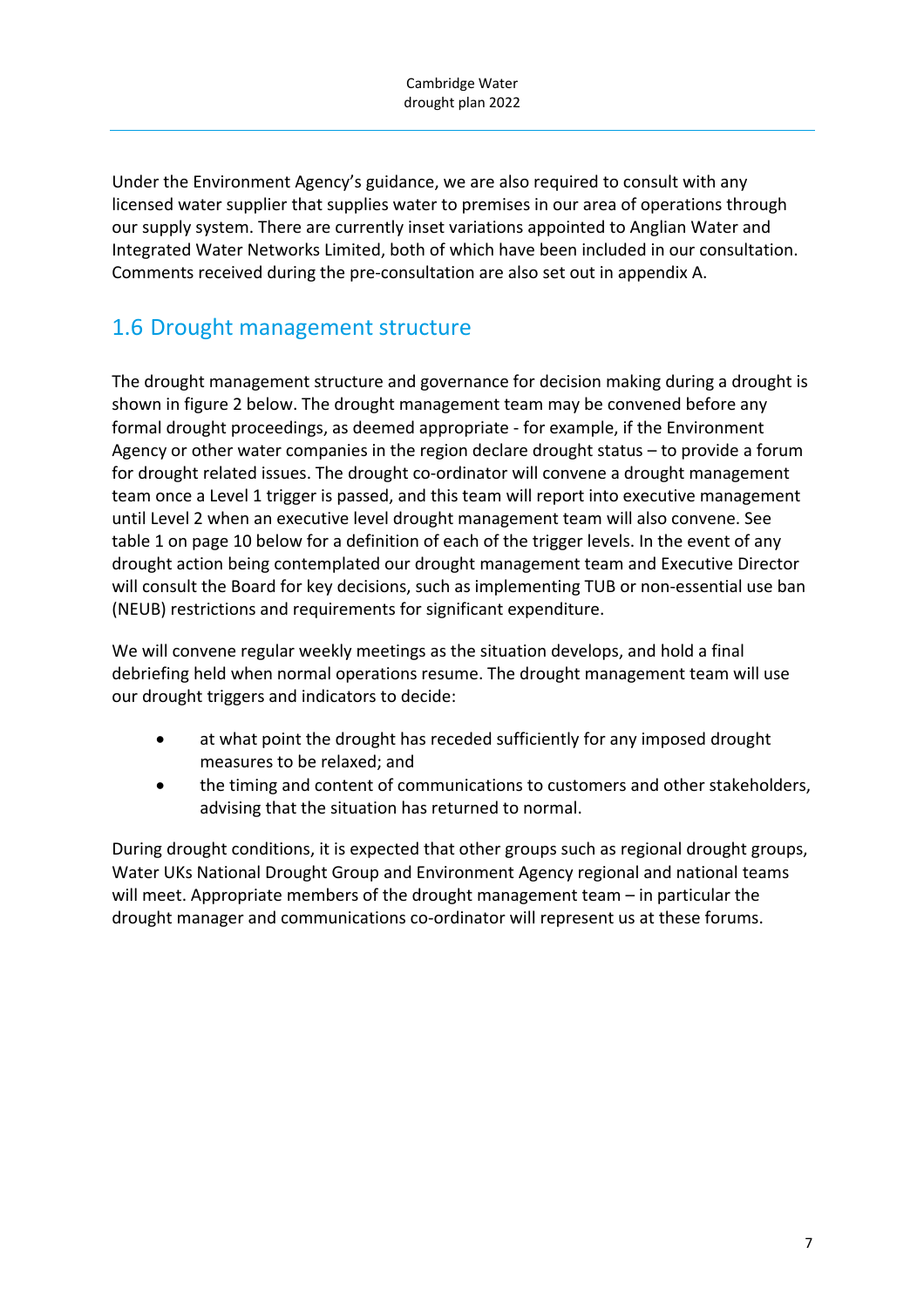Under the Environment Agency's guidance, we are also required to consult with any licensed water supplier that supplies water to premises in our area of operations through our supply system. There are currently inset variations appointed to Anglian Water and Integrated Water Networks Limited, both of which have been included in our consultation. Comments received during the pre‐consultation are also set out in appendix A.

# 1.6 Drought management structure

The drought management structure and governance for decision making during a drought is shown in figure 2 below. The drought management team may be convened before any formal drought proceedings, as deemed appropriate ‐ for example, if the Environment Agency or other water companies in the region declare drought status – to provide a forum for drought related issues. The drought co-ordinator will convene a drought management team once a Level 1 trigger is passed, and this team will report into executive management until Level 2 when an executive level drought management team will also convene. See table 1 on page 10 below for a definition of each of the trigger levels. In the event of any drought action being contemplated our drought management team and Executive Director will consult the Board for key decisions, such as implementing TUB or non‐essential use ban (NEUB) restrictions and requirements for significant expenditure.

We will convene regular weekly meetings as the situation develops, and hold a final debriefing held when normal operations resume. The drought management team will use our drought triggers and indicators to decide:

- at what point the drought has receded sufficiently for any imposed drought measures to be relaxed; and
- the timing and content of communications to customers and other stakeholders, advising that the situation has returned to normal.

During drought conditions, it is expected that other groups such as regional drought groups, Water UKs National Drought Group and Environment Agency regional and national teams will meet. Appropriate members of the drought management team – in particular the drought manager and communications co‐ordinator will represent us at these forums.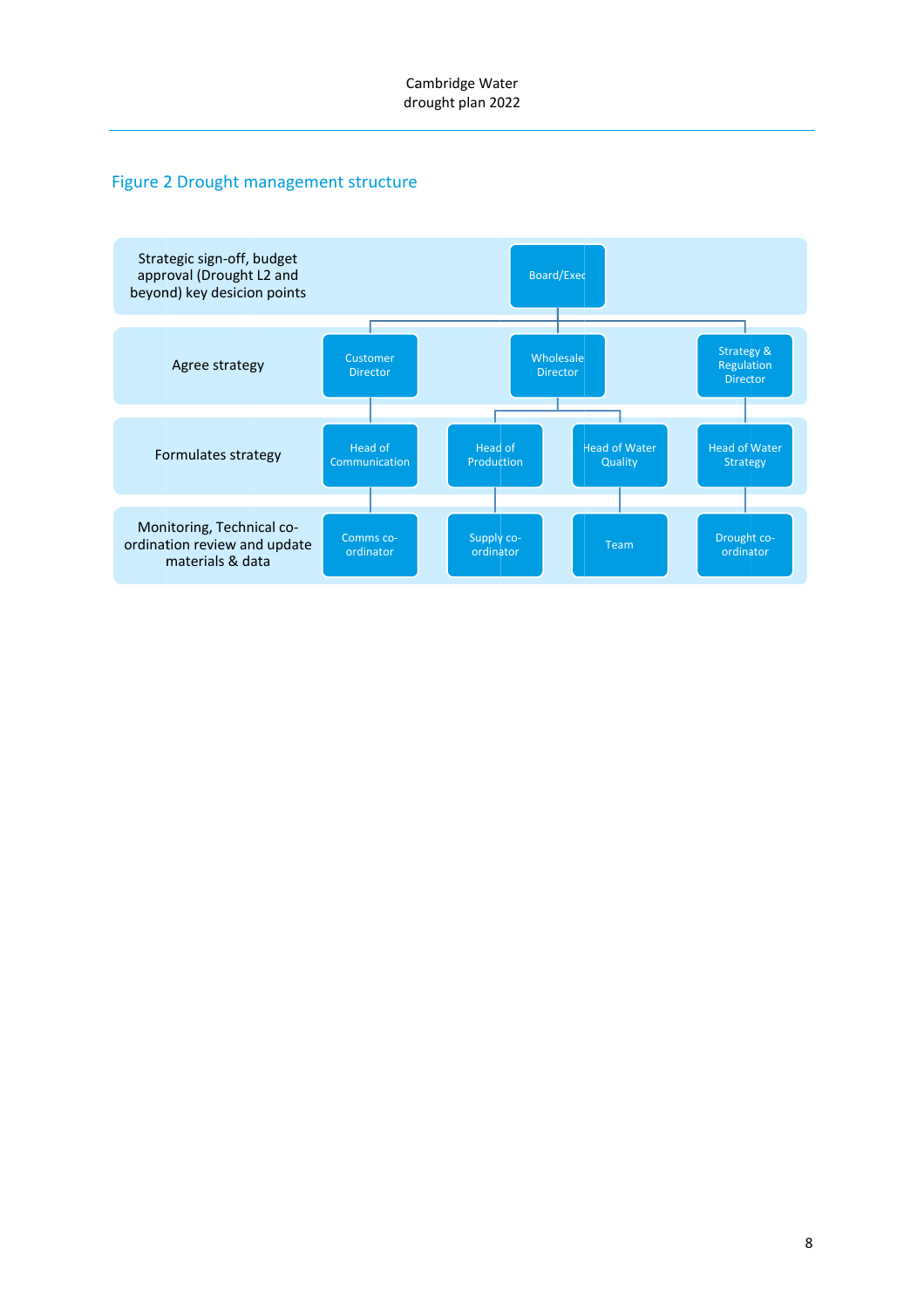#### Figure 2 Drought management structure

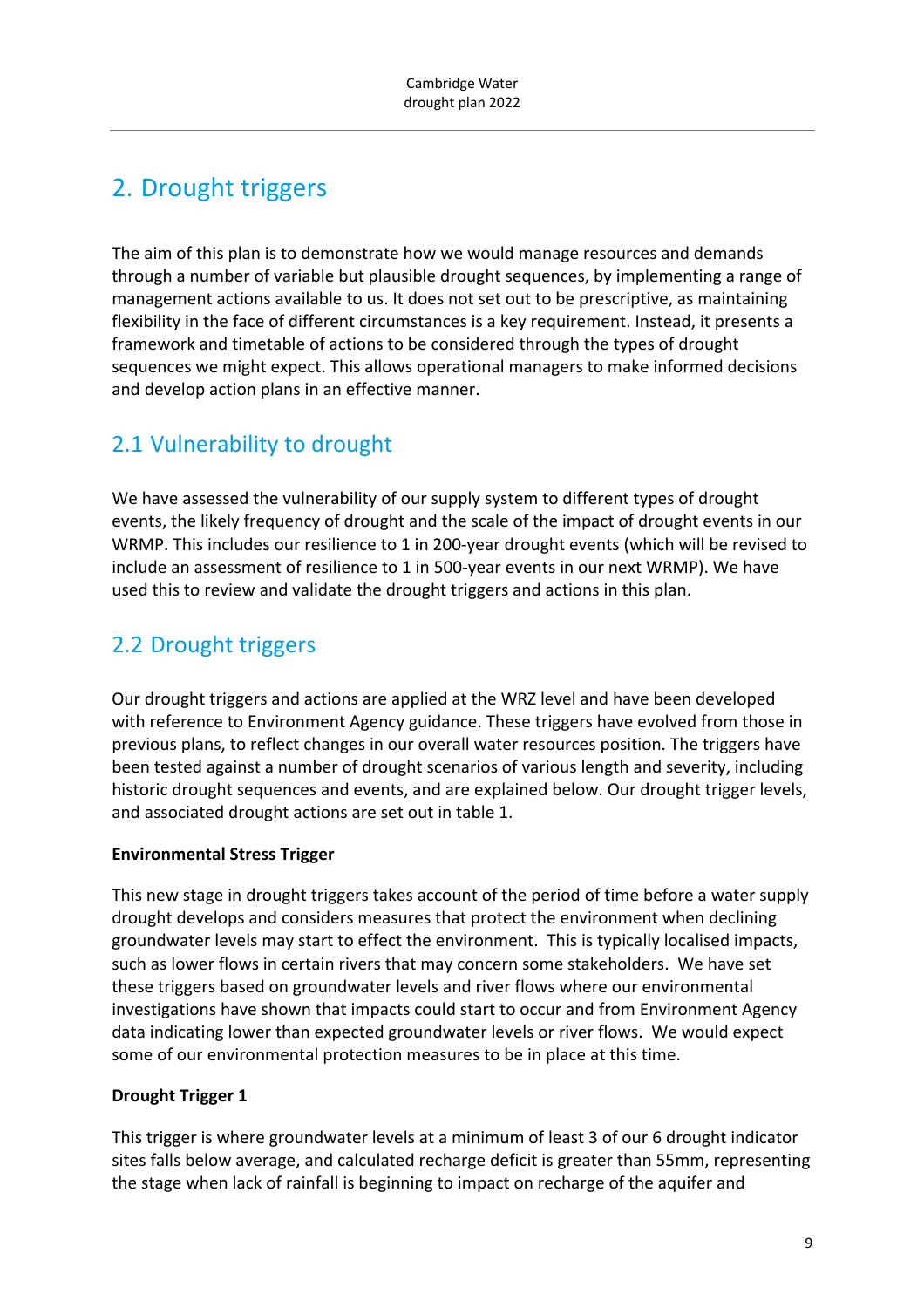# 2. Drought triggers

The aim of this plan is to demonstrate how we would manage resources and demands through a number of variable but plausible drought sequences, by implementing a range of management actions available to us. It does not set out to be prescriptive, as maintaining flexibility in the face of different circumstances is a key requirement. Instead, it presents a framework and timetable of actions to be considered through the types of drought sequences we might expect. This allows operational managers to make informed decisions and develop action plans in an effective manner.

# 2.1 Vulnerability to drought

We have assessed the vulnerability of our supply system to different types of drought events, the likely frequency of drought and the scale of the impact of drought events in our WRMP. This includes our resilience to 1 in 200-year drought events (which will be revised to include an assessment of resilience to 1 in 500‐year events in our next WRMP). We have used this to review and validate the drought triggers and actions in this plan.

# 2.2 Drought triggers

Our drought triggers and actions are applied at the WRZ level and have been developed with reference to Environment Agency guidance. These triggers have evolved from those in previous plans, to reflect changes in our overall water resources position. The triggers have been tested against a number of drought scenarios of various length and severity, including historic drought sequences and events, and are explained below. Our drought trigger levels, and associated drought actions are set out in table 1.

#### **Environmental Stress Trigger**

This new stage in drought triggers takes account of the period of time before a water supply drought develops and considers measures that protect the environment when declining groundwater levels may start to effect the environment. This is typically localised impacts, such as lower flows in certain rivers that may concern some stakeholders. We have set these triggers based on groundwater levels and river flows where our environmental investigations have shown that impacts could start to occur and from Environment Agency data indicating lower than expected groundwater levels or river flows. We would expect some of our environmental protection measures to be in place at this time.

#### **Drought Trigger 1**

This trigger is where groundwater levels at a minimum of least 3 of our 6 drought indicator sites falls below average, and calculated recharge deficit is greater than 55mm, representing the stage when lack of rainfall is beginning to impact on recharge of the aquifer and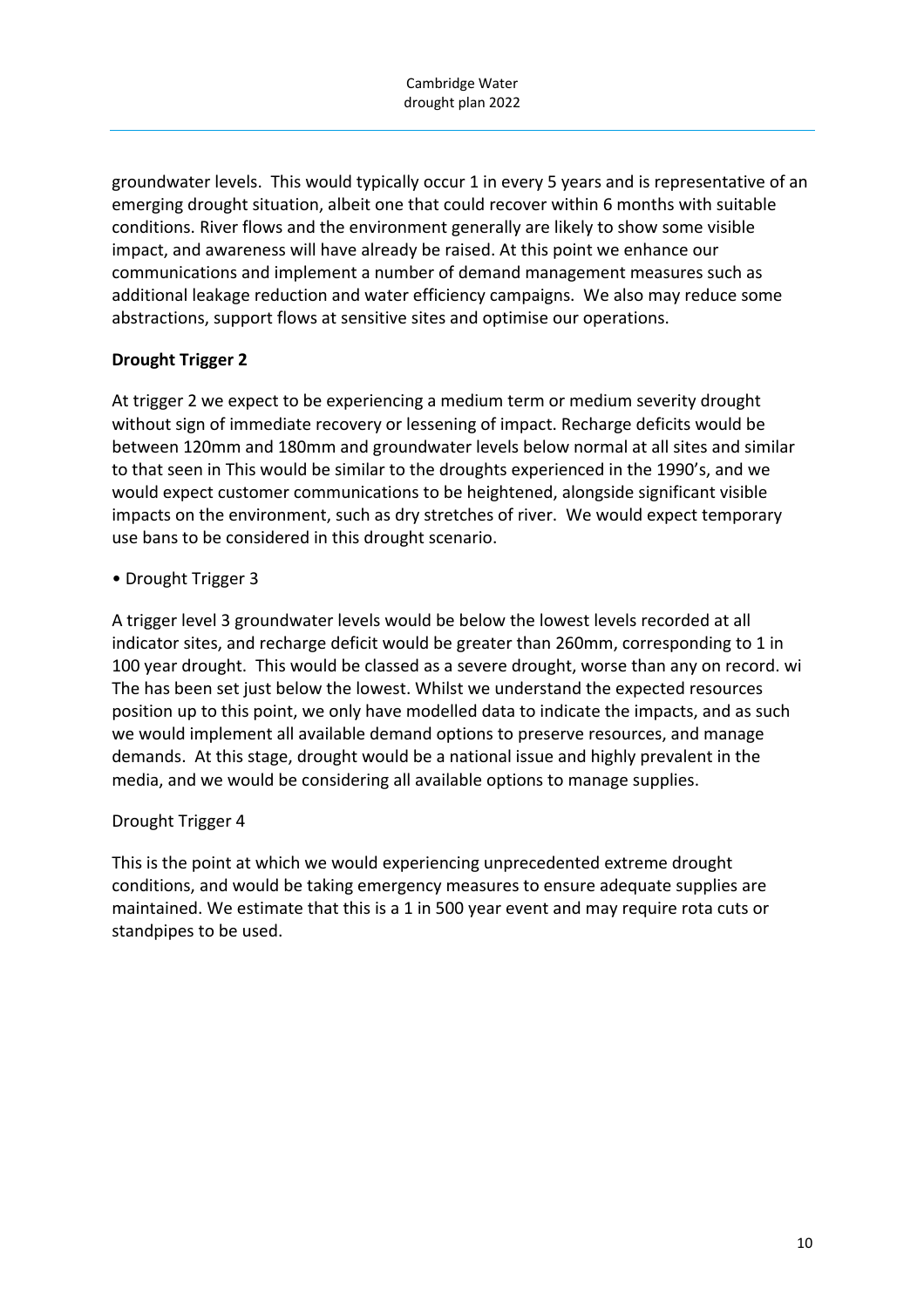groundwater levels. This would typically occur 1 in every 5 years and is representative of an emerging drought situation, albeit one that could recover within 6 months with suitable conditions. River flows and the environment generally are likely to show some visible impact, and awareness will have already be raised. At this point we enhance our communications and implement a number of demand management measures such as additional leakage reduction and water efficiency campaigns. We also may reduce some abstractions, support flows at sensitive sites and optimise our operations.

#### **Drought Trigger 2**

At trigger 2 we expect to be experiencing a medium term or medium severity drought without sign of immediate recovery or lessening of impact. Recharge deficits would be between 120mm and 180mm and groundwater levels below normal at all sites and similar to that seen in This would be similar to the droughts experienced in the 1990's, and we would expect customer communications to be heightened, alongside significant visible impacts on the environment, such as dry stretches of river. We would expect temporary use bans to be considered in this drought scenario.

#### • Drought Trigger 3

A trigger level 3 groundwater levels would be below the lowest levels recorded at all indicator sites, and recharge deficit would be greater than 260mm, corresponding to 1 in 100 year drought. This would be classed as a severe drought, worse than any on record. wi The has been set just below the lowest. Whilst we understand the expected resources position up to this point, we only have modelled data to indicate the impacts, and as such we would implement all available demand options to preserve resources, and manage demands. At this stage, drought would be a national issue and highly prevalent in the media, and we would be considering all available options to manage supplies.

#### Drought Trigger 4

This is the point at which we would experiencing unprecedented extreme drought conditions, and would be taking emergency measures to ensure adequate supplies are maintained. We estimate that this is a 1 in 500 year event and may require rota cuts or standpipes to be used.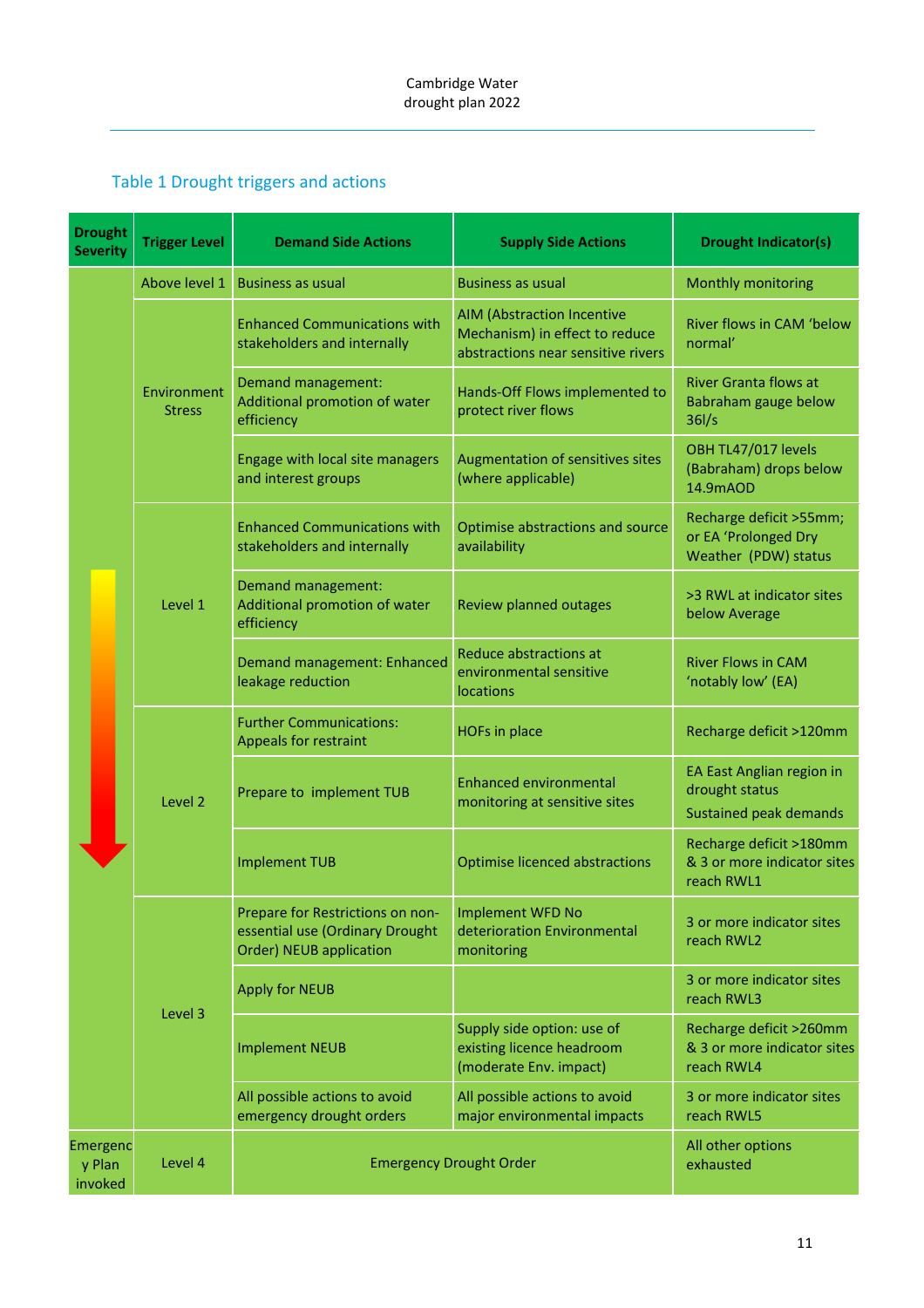## Table 1 Drought triggers and actions

| <b>Drought</b><br><b>Severity</b> | <b>Trigger Level</b>         | <b>Demand Side Actions</b>                                                                     | <b>Supply Side Actions</b>                                                                                | <b>Drought Indicator(s)</b>                                             |
|-----------------------------------|------------------------------|------------------------------------------------------------------------------------------------|-----------------------------------------------------------------------------------------------------------|-------------------------------------------------------------------------|
|                                   | Above level 1                | <b>Business as usual</b>                                                                       | <b>Business as usual</b>                                                                                  | Monthly monitoring                                                      |
|                                   |                              | <b>Enhanced Communications with</b><br>stakeholders and internally                             | <b>AIM (Abstraction Incentive</b><br>Mechanism) in effect to reduce<br>abstractions near sensitive rivers | River flows in CAM 'below<br>normal'                                    |
|                                   | Environment<br><b>Stress</b> | Demand management:<br>Additional promotion of water<br>efficiency                              | Hands-Off Flows implemented to<br>protect river flows                                                     | <b>River Granta flows at</b><br>Babraham gauge below<br>$36$ /s         |
|                                   |                              | Engage with local site managers<br>and interest groups                                         | Augmentation of sensitives sites<br>(where applicable)                                                    | OBH TL47/017 levels<br>(Babraham) drops below<br>14.9mAOD               |
|                                   |                              | <b>Enhanced Communications with</b><br>stakeholders and internally                             | Optimise abstractions and source<br>availability                                                          | Recharge deficit >55mm;<br>or EA 'Prolonged Dry<br>Weather (PDW) status |
|                                   | Level 1                      | Demand management:<br>Additional promotion of water<br>efficiency                              | Review planned outages                                                                                    | >3 RWL at indicator sites<br>below Average                              |
|                                   |                              | Demand management: Enhanced<br>leakage reduction                                               | Reduce abstractions at<br>environmental sensitive<br><b>locations</b>                                     | <b>River Flows in CAM</b><br>'notably low' (EA)                         |
|                                   |                              | <b>Further Communications:</b><br>Appeals for restraint                                        | <b>HOFs in place</b>                                                                                      | Recharge deficit >120mm                                                 |
|                                   | Level 2                      | Prepare to implement TUB                                                                       | <b>Enhanced environmental</b><br>monitoring at sensitive sites                                            | EA East Anglian region in<br>drought status<br>Sustained peak demands   |
|                                   |                              | <b>Implement TUB</b>                                                                           | <b>Optimise licenced abstractions</b>                                                                     | Recharge deficit >180mm<br>& 3 or more indicator sites<br>reach RWL1    |
|                                   |                              | Prepare for Restrictions on non-<br>essential use (Ordinary Drought<br>Order) NEUB application | <b>Implement WFD No</b><br>deterioration Environmental<br>monitoring                                      | 3 or more indicator sites<br>reach RWL2                                 |
|                                   |                              | <b>Apply for NEUB</b>                                                                          |                                                                                                           | 3 or more indicator sites<br>reach RWL3                                 |
|                                   | Level 3                      | <b>Implement NEUB</b>                                                                          | Supply side option: use of<br>existing licence headroom<br>(moderate Env. impact)                         | Recharge deficit >260mm<br>& 3 or more indicator sites<br>reach RWL4    |
|                                   |                              | All possible actions to avoid<br>emergency drought orders                                      | All possible actions to avoid<br>major environmental impacts                                              | 3 or more indicator sites<br>reach RWL5                                 |
| Emergenc<br>y Plan<br>invoked     | Level 4                      |                                                                                                | <b>Emergency Drought Order</b>                                                                            | All other options<br>exhausted                                          |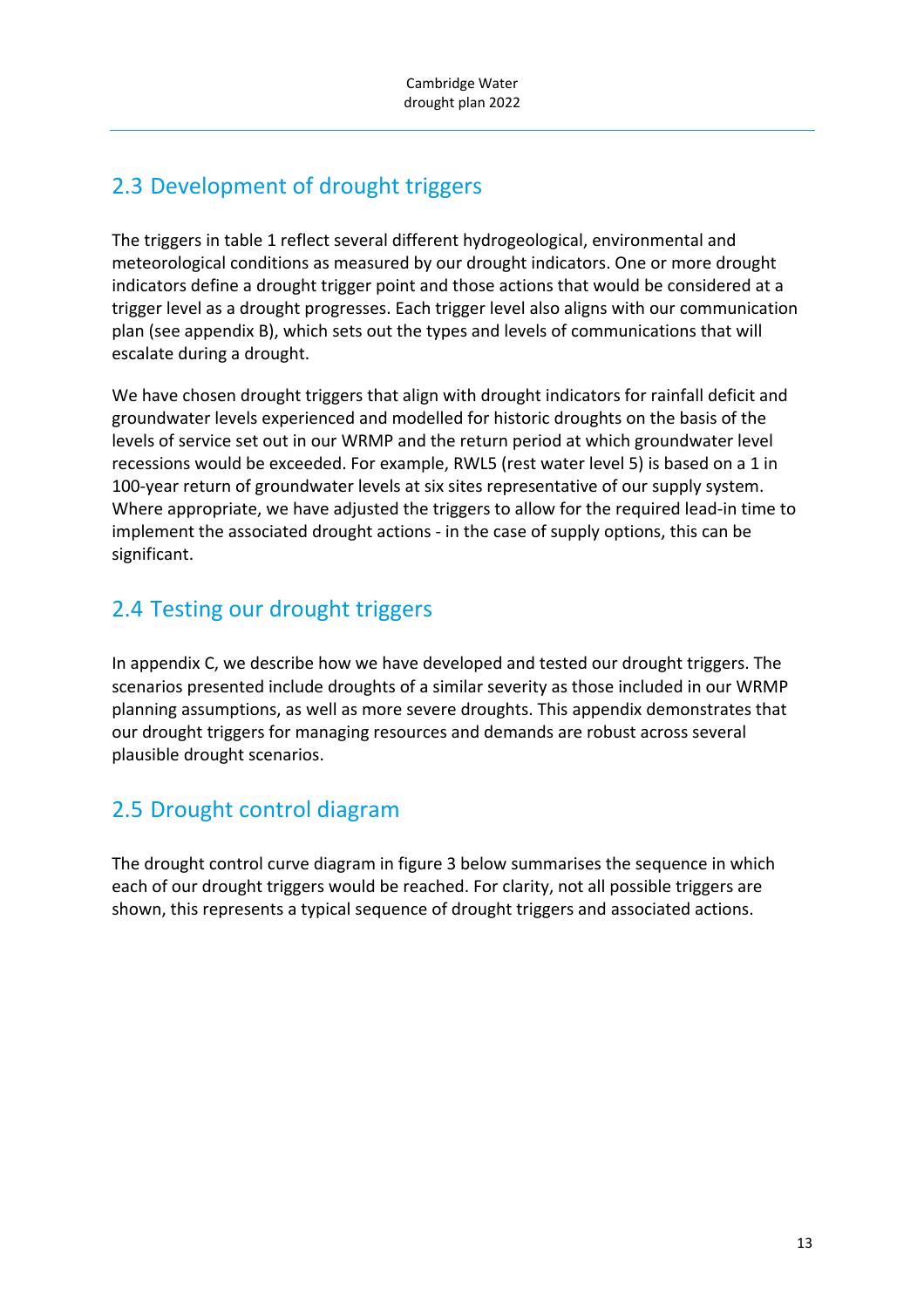# 2.3 Development of drought triggers

The triggers in table 1 reflect several different hydrogeological, environmental and meteorological conditions as measured by our drought indicators. One or more drought indicators define a drought trigger point and those actions that would be considered at a trigger level as a drought progresses. Each trigger level also aligns with our communication plan (see appendix B), which sets out the types and levels of communications that will escalate during a drought.

We have chosen drought triggers that align with drought indicators for rainfall deficit and groundwater levels experienced and modelled for historic droughts on the basis of the levels of service set out in our WRMP and the return period at which groundwater level recessions would be exceeded. For example, RWL5 (rest water level 5) is based on a 1 in 100-year return of groundwater levels at six sites representative of our supply system. Where appropriate, we have adjusted the triggers to allow for the required lead‐in time to implement the associated drought actions ‐ in the case of supply options, this can be significant.

# 2.4 Testing our drought triggers

In appendix C, we describe how we have developed and tested our drought triggers. The scenarios presented include droughts of a similar severity as those included in our WRMP planning assumptions, as well as more severe droughts. This appendix demonstrates that our drought triggers for managing resources and demands are robust across several plausible drought scenarios.

# 2.5 Drought control diagram

The drought control curve diagram in figure 3 below summarises the sequence in which each of our drought triggers would be reached. For clarity, not all possible triggers are shown, this represents a typical sequence of drought triggers and associated actions.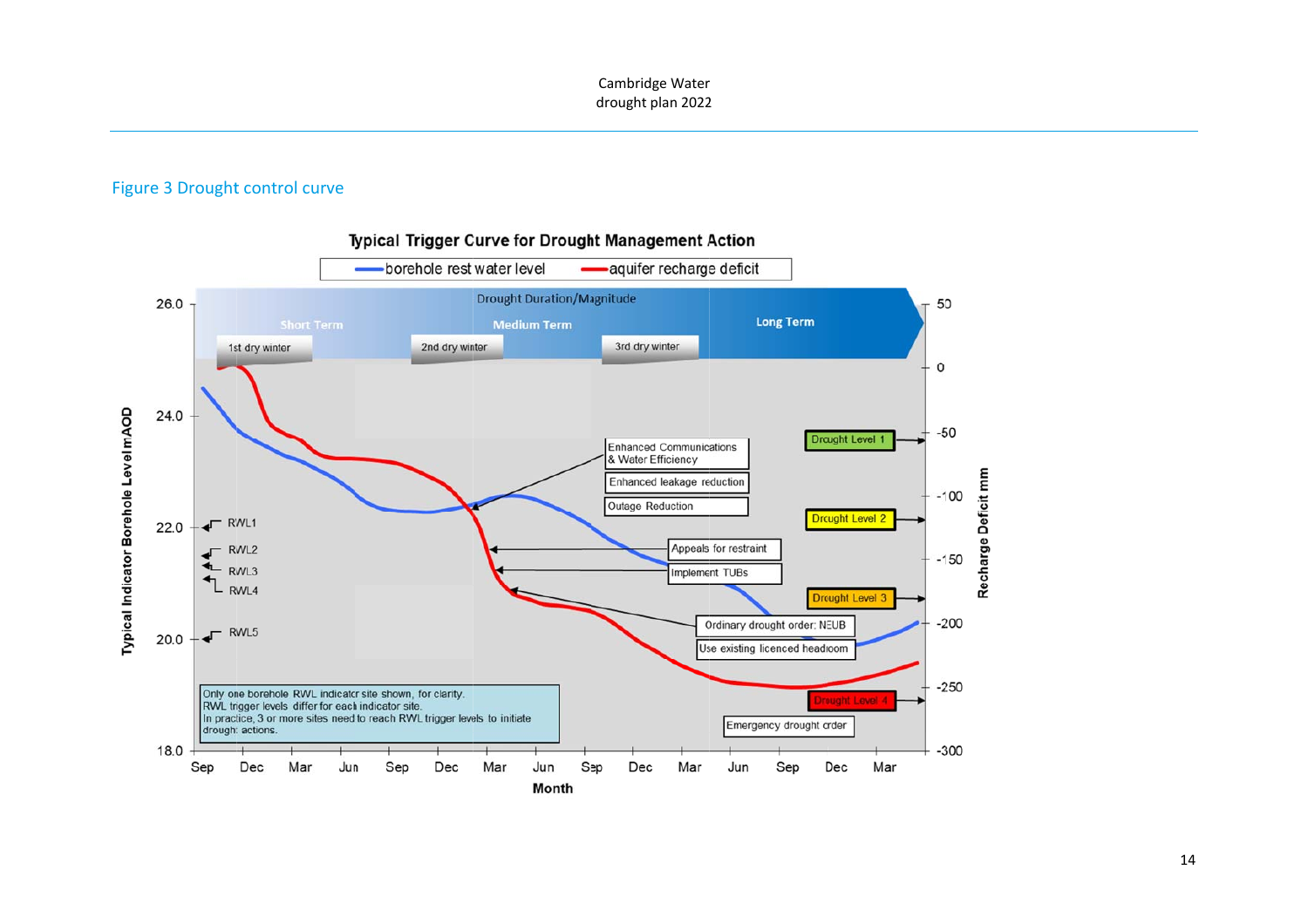#### Figure 3 Drought control curve



14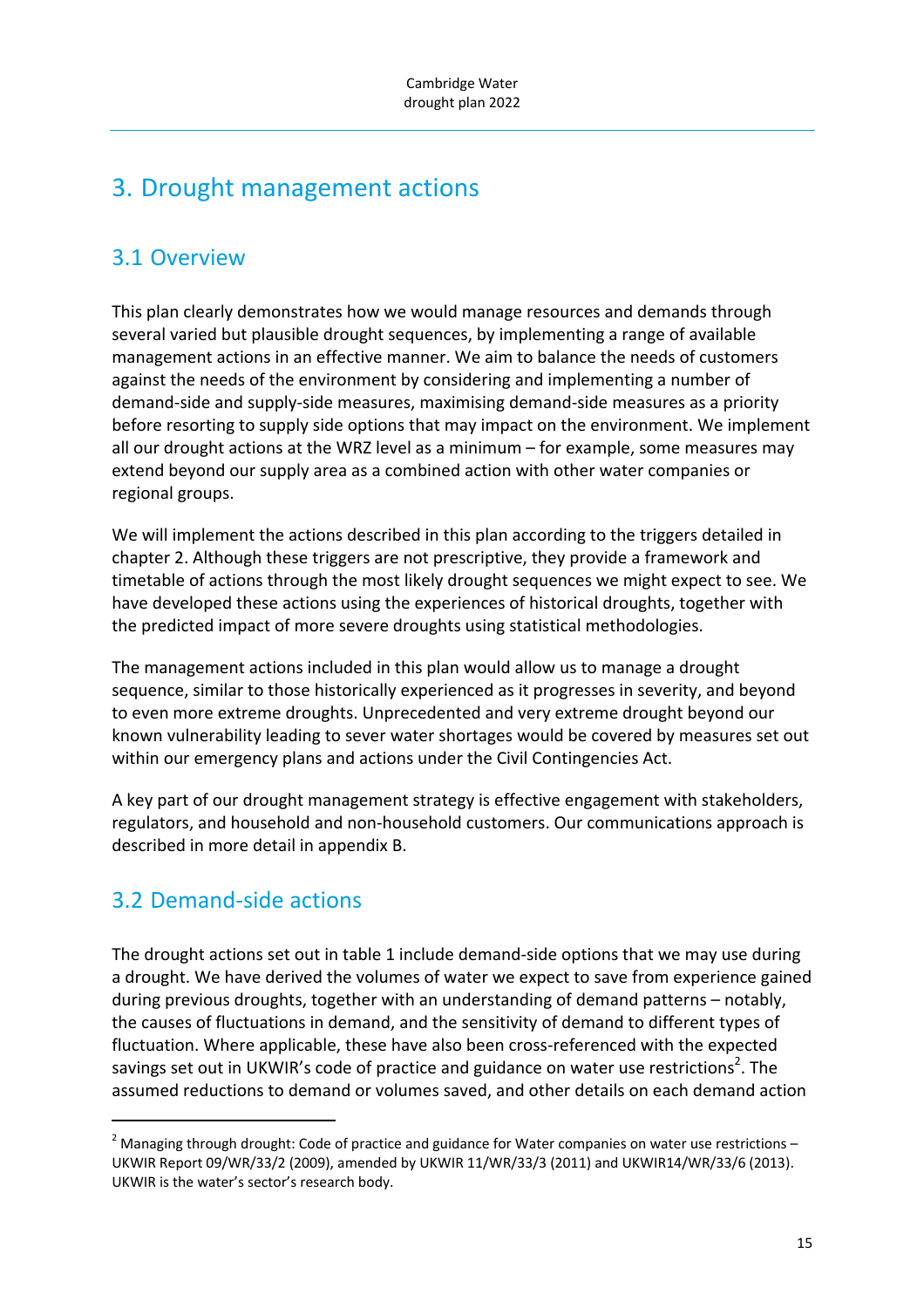# 3. Drought management actions

## 3.1 Overview

This plan clearly demonstrates how we would manage resources and demands through several varied but plausible drought sequences, by implementing a range of available management actions in an effective manner. We aim to balance the needs of customers against the needs of the environment by considering and implementing a number of demand‐side and supply‐side measures, maximising demand‐side measures as a priority before resorting to supply side options that may impact on the environment. We implement all our drought actions at the WRZ level as a minimum – for example, some measures may extend beyond our supply area as a combined action with other water companies or regional groups.

We will implement the actions described in this plan according to the triggers detailed in chapter 2. Although these triggers are not prescriptive, they provide a framework and timetable of actions through the most likely drought sequences we might expect to see. We have developed these actions using the experiences of historical droughts, together with the predicted impact of more severe droughts using statistical methodologies.

The management actions included in this plan would allow us to manage a drought sequence, similar to those historically experienced as it progresses in severity, and beyond to even more extreme droughts. Unprecedented and very extreme drought beyond our known vulnerability leading to sever water shortages would be covered by measures set out within our emergency plans and actions under the Civil Contingencies Act.

A key part of our drought management strategy is effective engagement with stakeholders, regulators, and household and non‐household customers. Our communications approach is described in more detail in appendix B.

# 3.2 Demand‐side actions

The drought actions set out in table 1 include demand‐side options that we may use during a drought. We have derived the volumes of water we expect to save from experience gained during previous droughts, together with an understanding of demand patterns – notably, the causes of fluctuations in demand, and the sensitivity of demand to different types of fluctuation. Where applicable, these have also been cross-referenced with the expected savings set out in UKWIR's code of practice and guidance on water use restrictions<sup>2</sup>. The assumed reductions to demand or volumes saved, and other details on each demand action

 $2$  Managing through drought: Code of practice and guidance for Water companies on water use restrictions – UKWIR Report 09/WR/33/2 (2009), amended by UKWIR 11/WR/33/3 (2011) and UKWIR14/WR/33/6 (2013). UKWIR is the water's sector's research body.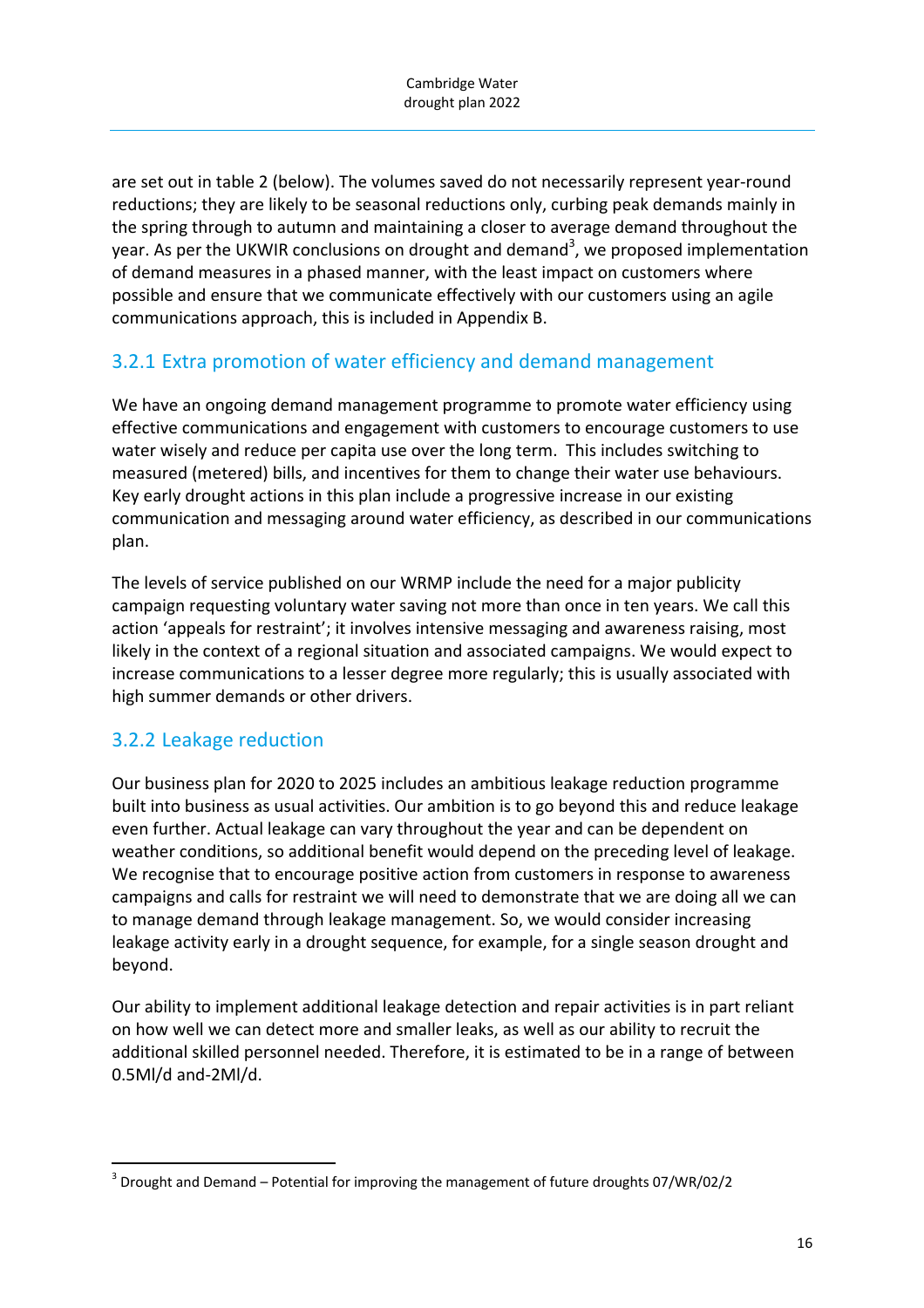are set out in table 2 (below). The volumes saved do not necessarily represent year‐round reductions; they are likely to be seasonal reductions only, curbing peak demands mainly in the spring through to autumn and maintaining a closer to average demand throughout the year. As per the UKWIR conclusions on drought and demand<sup>3</sup>, we proposed implementation of demand measures in a phased manner, with the least impact on customers where possible and ensure that we communicate effectively with our customers using an agile communications approach, this is included in Appendix B.

### 3.2.1 Extra promotion of water efficiency and demand management

We have an ongoing demand management programme to promote water efficiency using effective communications and engagement with customers to encourage customers to use water wisely and reduce per capita use over the long term. This includes switching to measured (metered) bills, and incentives for them to change their water use behaviours. Key early drought actions in this plan include a progressive increase in our existing communication and messaging around water efficiency, as described in our communications plan.

The levels of service published on our WRMP include the need for a major publicity campaign requesting voluntary water saving not more than once in ten years. We call this action 'appeals for restraint'; it involves intensive messaging and awareness raising, most likely in the context of a regional situation and associated campaigns. We would expect to increase communications to a lesser degree more regularly; this is usually associated with high summer demands or other drivers.

### 3.2.2 Leakage reduction

Our business plan for 2020 to 2025 includes an ambitious leakage reduction programme built into business as usual activities. Our ambition is to go beyond this and reduce leakage even further. Actual leakage can vary throughout the year and can be dependent on weather conditions, so additional benefit would depend on the preceding level of leakage. We recognise that to encourage positive action from customers in response to awareness campaigns and calls for restraint we will need to demonstrate that we are doing all we can to manage demand through leakage management. So, we would consider increasing leakage activity early in a drought sequence, for example, for a single season drought and beyond.

Our ability to implement additional leakage detection and repair activities is in part reliant on how well we can detect more and smaller leaks, as well as our ability to recruit the additional skilled personnel needed. Therefore, it is estimated to be in a range of between 0.5Ml/d and‐2Ml/d.

 $3$  Drought and Demand – Potential for improving the management of future droughts 07/WR/02/2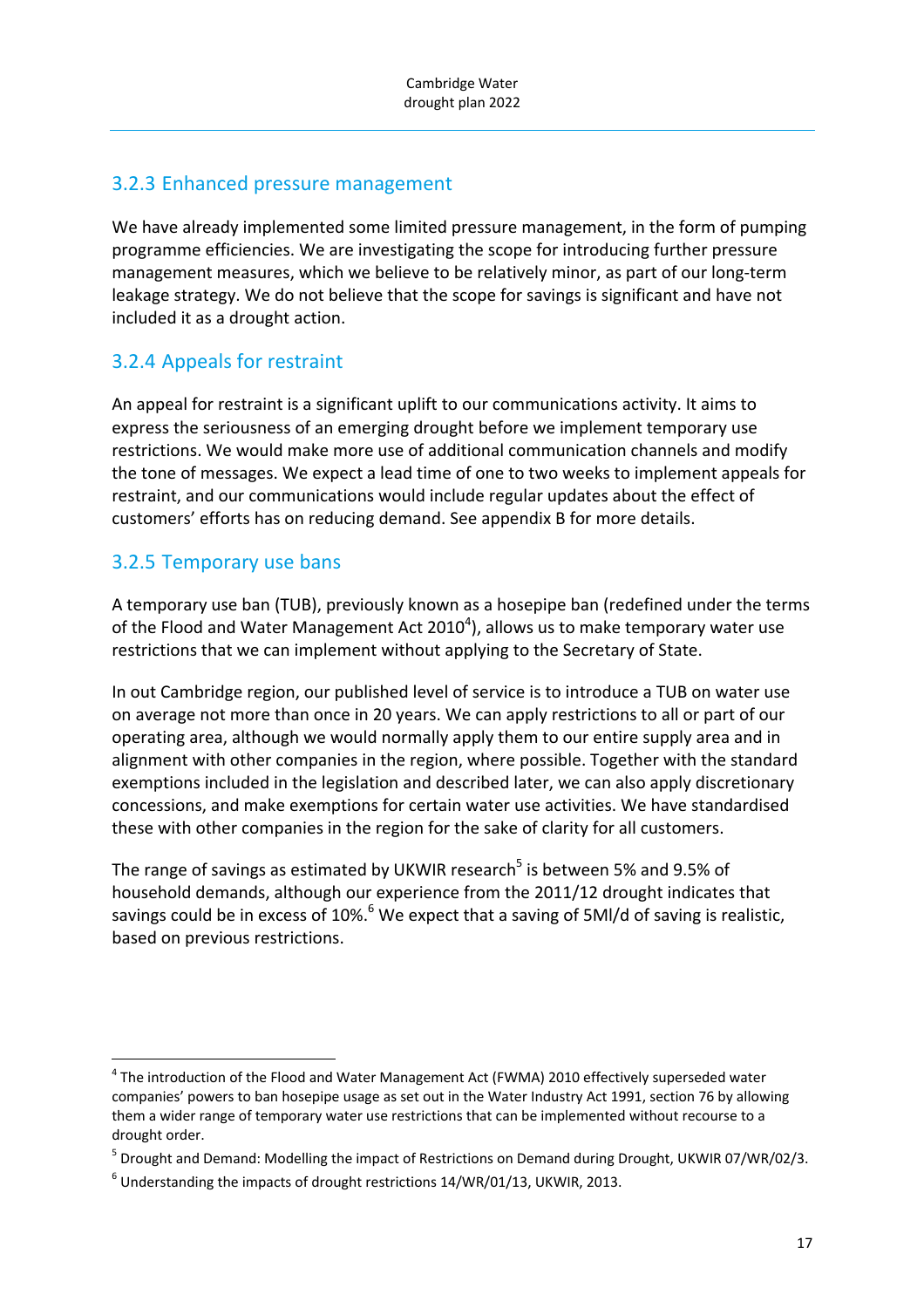### 3.2.3 Enhanced pressure management

We have already implemented some limited pressure management, in the form of pumping programme efficiencies. We are investigating the scope for introducing further pressure management measures, which we believe to be relatively minor, as part of our long-term leakage strategy. We do not believe that the scope for savings is significant and have not included it as a drought action.

#### 3.2.4 Appeals for restraint

An appeal for restraint is a significant uplift to our communications activity. It aims to express the seriousness of an emerging drought before we implement temporary use restrictions. We would make more use of additional communication channels and modify the tone of messages. We expect a lead time of one to two weeks to implement appeals for restraint, and our communications would include regular updates about the effect of customers' efforts has on reducing demand. See appendix B for more details.

### 3.2.5 Temporary use bans

A temporary use ban (TUB), previously known as a hosepipe ban (redefined under the terms of the Flood and Water Management Act 2010<sup>4</sup>), allows us to make temporary water use restrictions that we can implement without applying to the Secretary of State.

In out Cambridge region, our published level of service is to introduce a TUB on water use on average not more than once in 20 years. We can apply restrictions to all or part of our operating area, although we would normally apply them to our entire supply area and in alignment with other companies in the region, where possible. Together with the standard exemptions included in the legislation and described later, we can also apply discretionary concessions, and make exemptions for certain water use activities. We have standardised these with other companies in the region for the sake of clarity for all customers.

The range of savings as estimated by UKWIR research<sup>5</sup> is between 5% and 9.5% of household demands, although our experience from the 2011/12 drought indicates that savings could be in excess of  $10\%$ <sup>6</sup> We expect that a saving of 5Ml/d of saving is realistic, based on previous restrictions.

<sup>&</sup>lt;sup>4</sup> The introduction of the Flood and Water Management Act (FWMA) 2010 effectively superseded water companies' powers to ban hosepipe usage as set out in the Water Industry Act 1991, section 76 by allowing them a wider range of temporary water use restrictions that can be implemented without recourse to a drought order.

<sup>5</sup> Drought and Demand: Modelling the impact of Restrictions on Demand during Drought, UKWIR 07/WR/02/3.

 $6$  Understanding the impacts of drought restrictions 14/WR/01/13, UKWIR, 2013.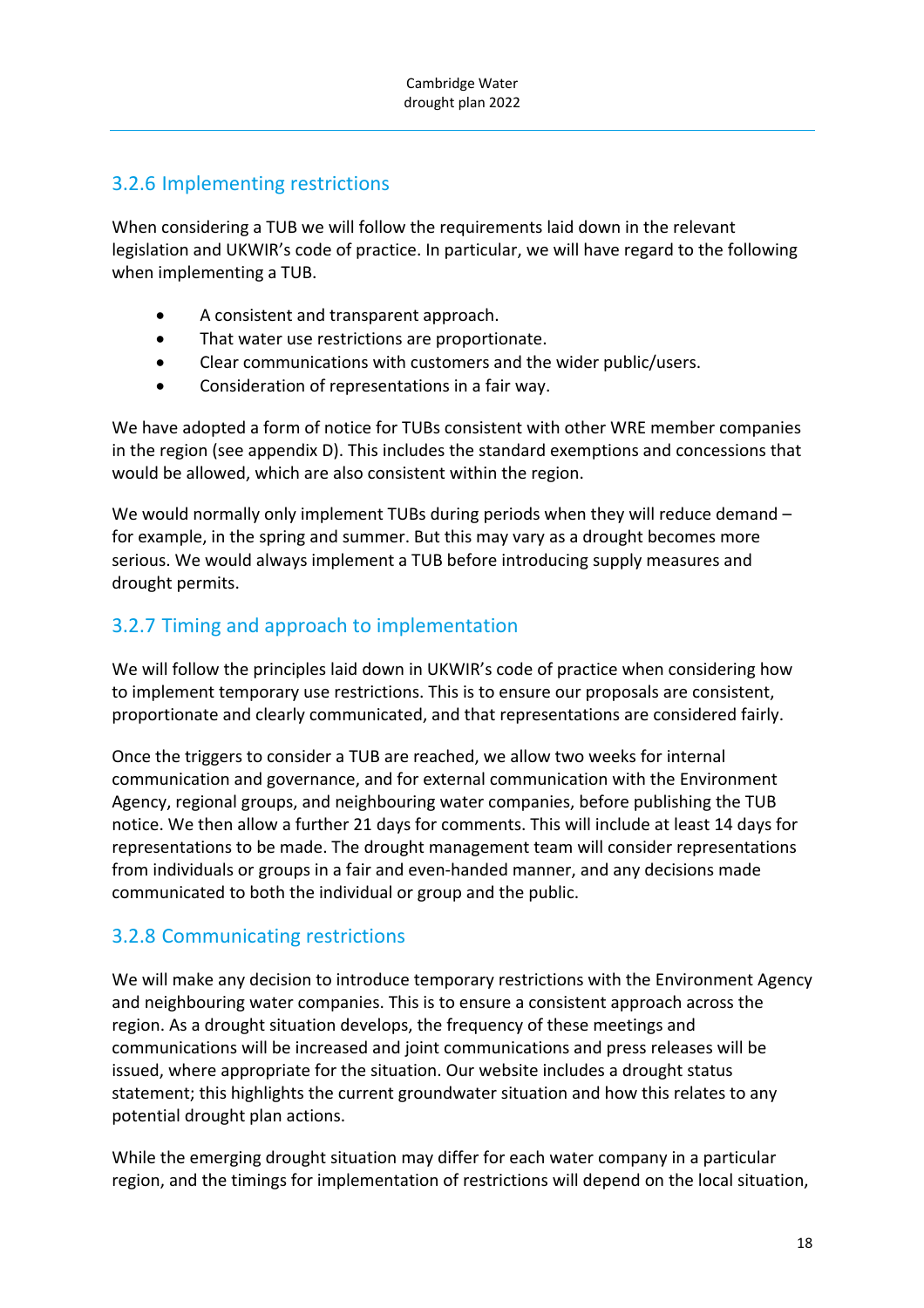### 3.2.6 Implementing restrictions

When considering a TUB we will follow the requirements laid down in the relevant legislation and UKWIR's code of practice. In particular, we will have regard to the following when implementing a TUB.

- A consistent and transparent approach.
- That water use restrictions are proportionate.
- Clear communications with customers and the wider public/users.
- Consideration of representations in a fair way.

We have adopted a form of notice for TUBs consistent with other WRE member companies in the region (see appendix D). This includes the standard exemptions and concessions that would be allowed, which are also consistent within the region.

We would normally only implement TUBs during periods when they will reduce demand – for example, in the spring and summer. But this may vary as a drought becomes more serious. We would always implement a TUB before introducing supply measures and drought permits.

### 3.2.7 Timing and approach to implementation

We will follow the principles laid down in UKWIR's code of practice when considering how to implement temporary use restrictions. This is to ensure our proposals are consistent, proportionate and clearly communicated, and that representations are considered fairly.

Once the triggers to consider a TUB are reached, we allow two weeks for internal communication and governance, and for external communication with the Environment Agency, regional groups, and neighbouring water companies, before publishing the TUB notice. We then allow a further 21 days for comments. This will include at least 14 days for representations to be made. The drought management team will consider representations from individuals or groups in a fair and even-handed manner, and any decisions made communicated to both the individual or group and the public.

### 3.2.8 Communicating restrictions

We will make any decision to introduce temporary restrictions with the Environment Agency and neighbouring water companies. This is to ensure a consistent approach across the region. As a drought situation develops, the frequency of these meetings and communications will be increased and joint communications and press releases will be issued, where appropriate for the situation. Our website includes a drought status statement; this highlights the current groundwater situation and how this relates to any potential drought plan actions.

While the emerging drought situation may differ for each water company in a particular region, and the timings for implementation of restrictions will depend on the local situation,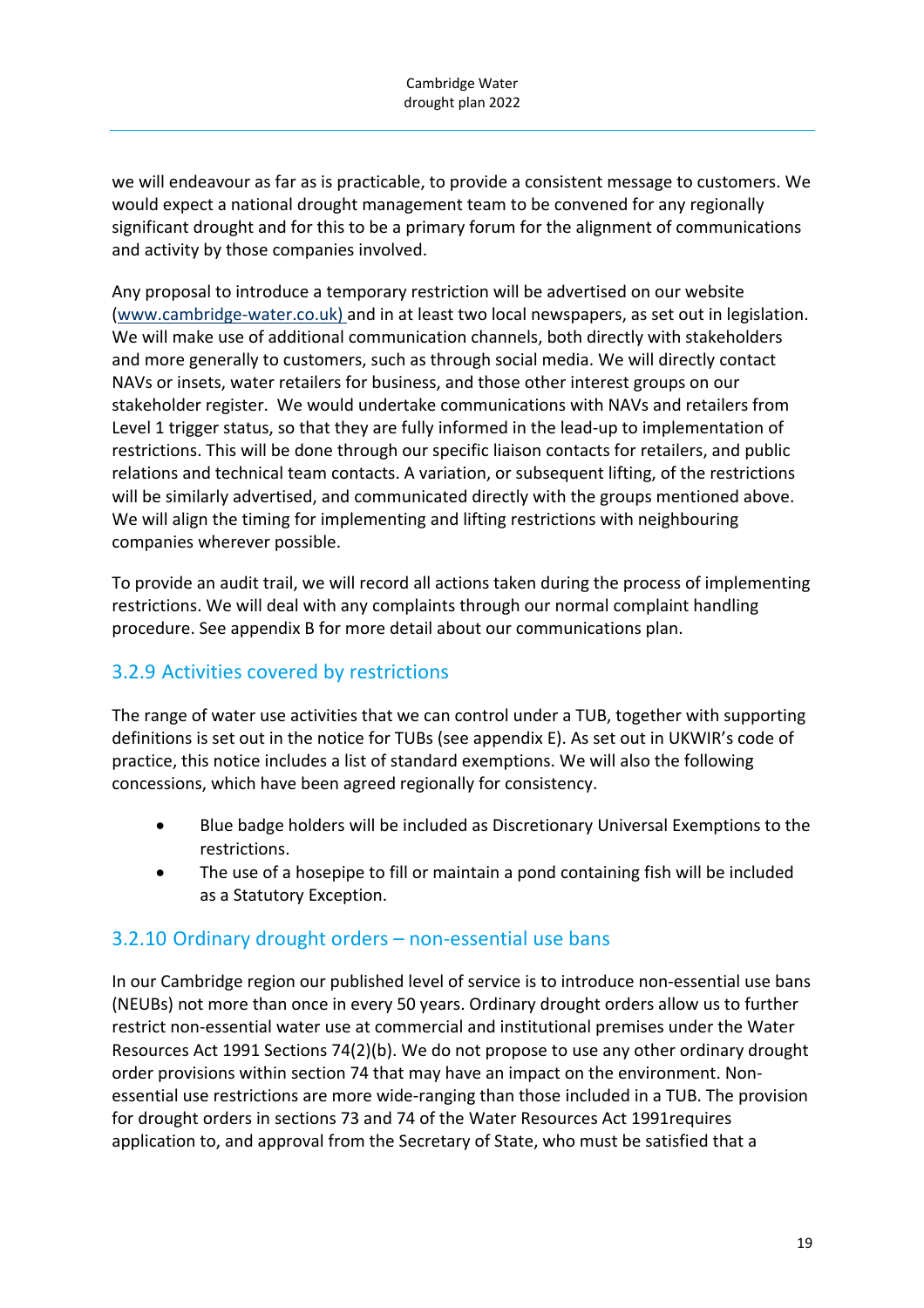we will endeavour as far as is practicable, to provide a consistent message to customers. We would expect a national drought management team to be convened for any regionally significant drought and for this to be a primary forum for the alignment of communications and activity by those companies involved.

Any proposal to introduce a temporary restriction will be advertised on our website (www.cambridge‐water.co.uk) and in at least two local newspapers, as set out in legislation. We will make use of additional communication channels, both directly with stakeholders and more generally to customers, such as through social media. We will directly contact NAVs or insets, water retailers for business, and those other interest groups on our stakeholder register. We would undertake communications with NAVs and retailers from Level 1 trigger status, so that they are fully informed in the lead-up to implementation of restrictions. This will be done through our specific liaison contacts for retailers, and public relations and technical team contacts. A variation, or subsequent lifting, of the restrictions will be similarly advertised, and communicated directly with the groups mentioned above. We will align the timing for implementing and lifting restrictions with neighbouring companies wherever possible.

To provide an audit trail, we will record all actions taken during the process of implementing restrictions. We will deal with any complaints through our normal complaint handling procedure. See appendix B for more detail about our communications plan.

### 3.2.9 Activities covered by restrictions

The range of water use activities that we can control under a TUB, together with supporting definitions is set out in the notice for TUBs (see appendix E). As set out in UKWIR's code of practice, this notice includes a list of standard exemptions. We will also the following concessions, which have been agreed regionally for consistency.

- Blue badge holders will be included as Discretionary Universal Exemptions to the restrictions.
- The use of a hosepipe to fill or maintain a pond containing fish will be included as a Statutory Exception.

### 3.2.10 Ordinary drought orders – non‐essential use bans

In our Cambridge region our published level of service is to introduce non‐essential use bans (NEUBs) not more than once in every 50 years. Ordinary drought orders allow us to further restrict non‐essential water use at commercial and institutional premises under the Water Resources Act 1991 Sections 74(2)(b). We do not propose to use any other ordinary drought order provisions within section 74 that may have an impact on the environment. Non‐ essential use restrictions are more wide‐ranging than those included in a TUB. The provision for drought orders in sections 73 and 74 of the Water Resources Act 1991requires application to, and approval from the Secretary of State, who must be satisfied that a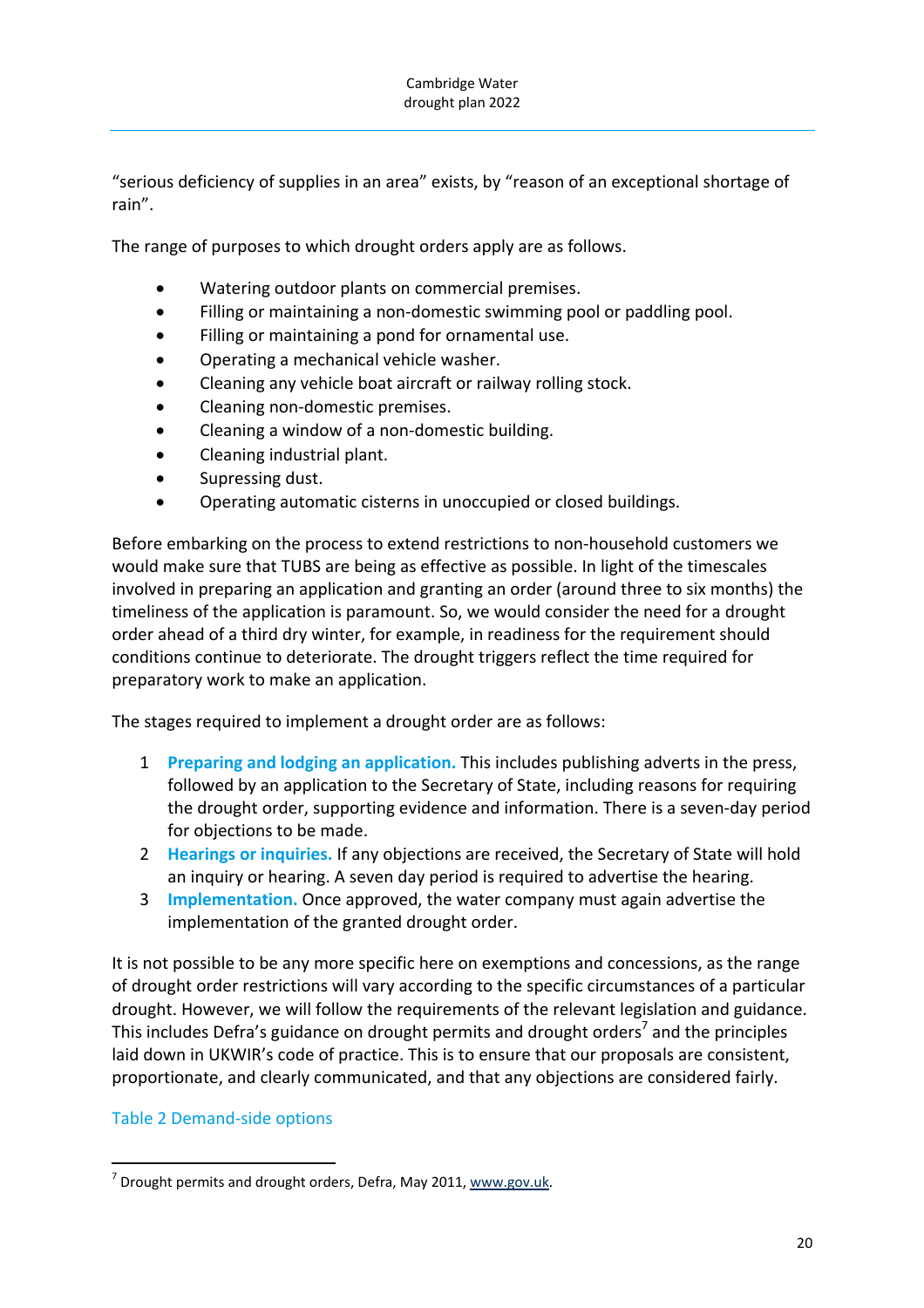"serious deficiency of supplies in an area" exists, by "reason of an exceptional shortage of rain".

The range of purposes to which drought orders apply are as follows.

- Watering outdoor plants on commercial premises.
- Filling or maintaining a non‐domestic swimming pool or paddling pool.
- Filling or maintaining a pond for ornamental use.
- Operating a mechanical vehicle washer.
- Cleaning any vehicle boat aircraft or railway rolling stock.
- Cleaning non‐domestic premises.
- Cleaning a window of a non‐domestic building.
- Cleaning industrial plant.
- Supressing dust.
- Operating automatic cisterns in unoccupied or closed buildings.

Before embarking on the process to extend restrictions to non‐household customers we would make sure that TUBS are being as effective as possible. In light of the timescales involved in preparing an application and granting an order (around three to six months) the timeliness of the application is paramount. So, we would consider the need for a drought order ahead of a third dry winter, for example, in readiness for the requirement should conditions continue to deteriorate. The drought triggers reflect the time required for preparatory work to make an application.

The stages required to implement a drought order are as follows:

- 1 **Preparing and lodging an application.** This includes publishing adverts in the press, followed by an application to the Secretary of State, including reasons for requiring the drought order, supporting evidence and information. There is a seven‐day period for objections to be made.
- 2 **Hearings or inquiries.** If any objections are received, the Secretary of State will hold an inquiry or hearing. A seven day period is required to advertise the hearing.
- 3 **Implementation.** Once approved, the water company must again advertise the implementation of the granted drought order.

It is not possible to be any more specific here on exemptions and concessions, as the range of drought order restrictions will vary according to the specific circumstances of a particular drought. However, we will follow the requirements of the relevant legislation and guidance. This includes Defra's guidance on drought permits and drought orders<sup>7</sup> and the principles laid down in UKWIR's code of practice. This is to ensure that our proposals are consistent, proportionate, and clearly communicated, and that any objections are considered fairly.

#### Table 2 Demand‐side options

  $7$  Drought permits and drought orders, Defra, May 2011, www.gov.uk.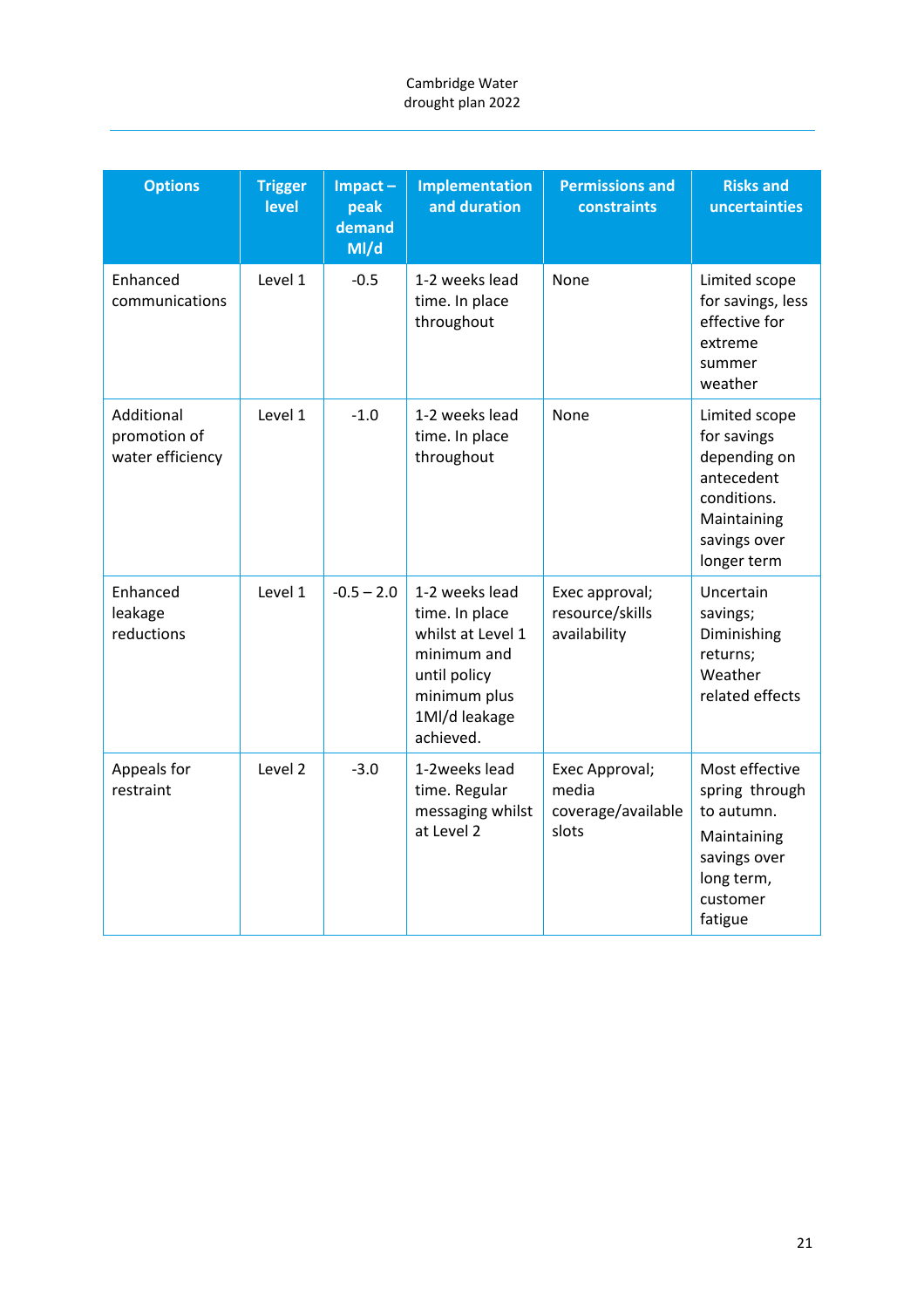| <b>Options</b>                                 | <b>Trigger</b><br>level | $Im$ pact $-$<br>peak<br>demand<br>M/d | <b>Implementation</b><br>and duration                                                                                              | <b>Permissions and</b><br>constraints                  | <b>Risks and</b><br>uncertainties                                                                                       |
|------------------------------------------------|-------------------------|----------------------------------------|------------------------------------------------------------------------------------------------------------------------------------|--------------------------------------------------------|-------------------------------------------------------------------------------------------------------------------------|
| Enhanced<br>communications                     | Level 1                 | $-0.5$                                 | 1-2 weeks lead<br>time. In place<br>throughout                                                                                     | None                                                   | Limited scope<br>for savings, less<br>effective for<br>extreme<br>summer<br>weather                                     |
| Additional<br>promotion of<br>water efficiency | Level 1                 | $-1.0$                                 | 1-2 weeks lead<br>time. In place<br>throughout                                                                                     | None                                                   | Limited scope<br>for savings<br>depending on<br>antecedent<br>conditions.<br>Maintaining<br>savings over<br>longer term |
| Enhanced<br>leakage<br>reductions              | Level 1                 | $-0.5 - 2.0$                           | 1-2 weeks lead<br>time. In place<br>whilst at Level 1<br>minimum and<br>until policy<br>minimum plus<br>1Ml/d leakage<br>achieved. | Exec approval;<br>resource/skills<br>availability      | Uncertain<br>savings;<br>Diminishing<br>returns;<br>Weather<br>related effects                                          |
| Appeals for<br>restraint                       | Level 2                 | $-3.0$                                 | 1-2weeks lead<br>time. Regular<br>messaging whilst<br>at Level 2                                                                   | Exec Approval;<br>media<br>coverage/available<br>slots | Most effective<br>spring through<br>to autumn.<br>Maintaining<br>savings over<br>long term,<br>customer<br>fatigue      |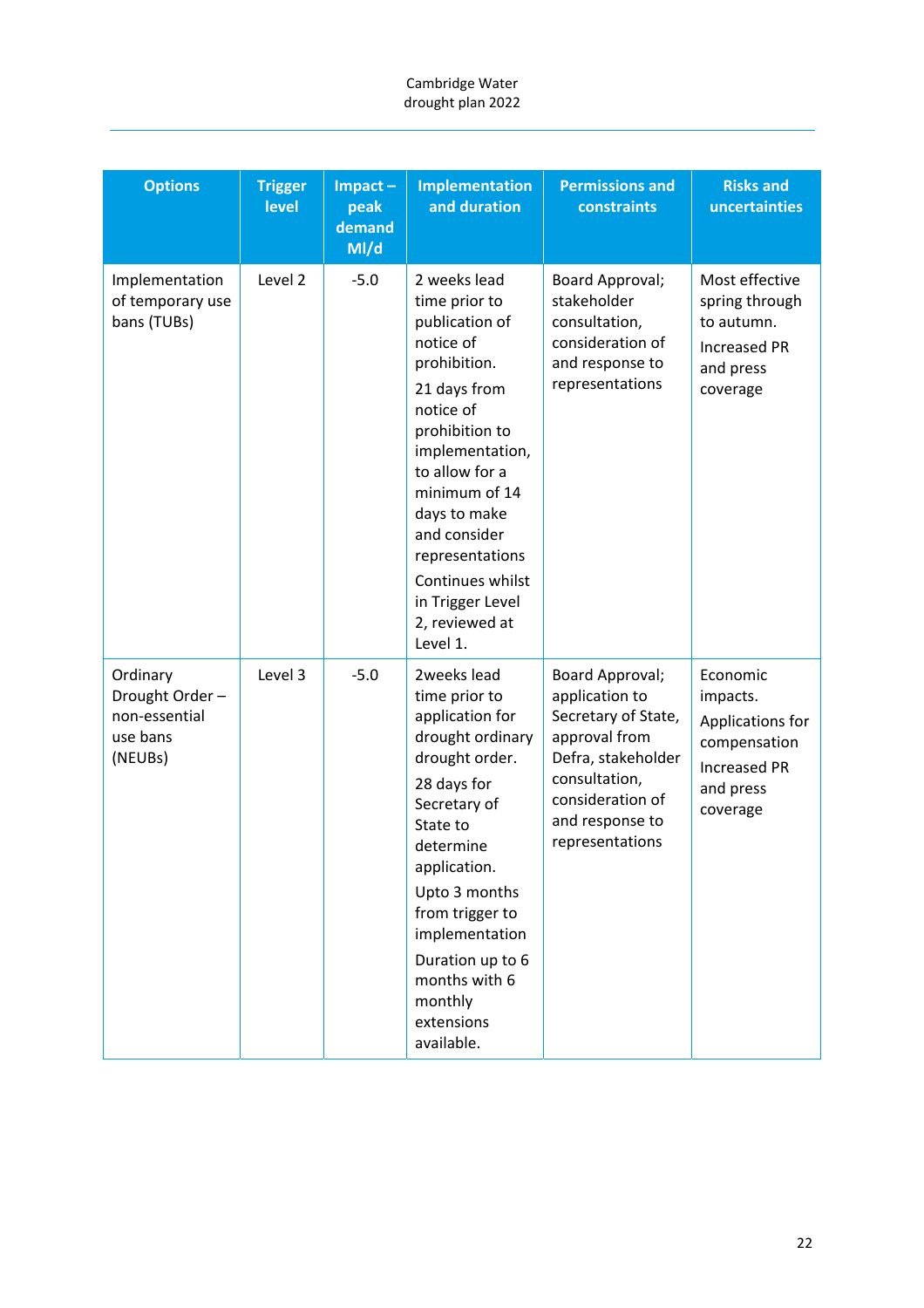| <b>Options</b>                                                     | <b>Trigger</b><br>level | $Im$ pact $-$<br>peak<br>demand<br>M/d | <b>Implementation</b><br>and duration                                                                                                                                                                                                                                                                      | <b>Permissions and</b><br>constraints                                                                                                                                      | <b>Risks and</b><br>uncertainties                                                                        |
|--------------------------------------------------------------------|-------------------------|----------------------------------------|------------------------------------------------------------------------------------------------------------------------------------------------------------------------------------------------------------------------------------------------------------------------------------------------------------|----------------------------------------------------------------------------------------------------------------------------------------------------------------------------|----------------------------------------------------------------------------------------------------------|
| Implementation<br>of temporary use<br>bans (TUBs)                  | Level 2                 | $-5.0$                                 | 2 weeks lead<br>time prior to<br>publication of<br>notice of<br>prohibition.<br>21 days from<br>notice of<br>prohibition to<br>implementation,<br>to allow for a<br>minimum of 14<br>days to make<br>and consider<br>representations<br>Continues whilst<br>in Trigger Level<br>2, reviewed at<br>Level 1. | Board Approval;<br>stakeholder<br>consultation,<br>consideration of<br>and response to<br>representations                                                                  | Most effective<br>spring through<br>to autumn.<br><b>Increased PR</b><br>and press<br>coverage           |
| Ordinary<br>Drought Order-<br>non-essential<br>use bans<br>(NEUBs) | Level 3                 | $-5.0$                                 | 2weeks lead<br>time prior to<br>application for<br>drought ordinary<br>drought order.<br>28 days for<br>Secretary of<br>State to<br>determine<br>application.<br>Upto 3 months<br>from trigger to<br>implementation<br>Duration up to 6<br>months with 6<br>monthly<br>extensions<br>available.            | Board Approval;<br>application to<br>Secretary of State,<br>approval from<br>Defra, stakeholder<br>consultation,<br>consideration of<br>and response to<br>representations | Economic<br>impacts.<br>Applications for<br>compensation<br><b>Increased PR</b><br>and press<br>coverage |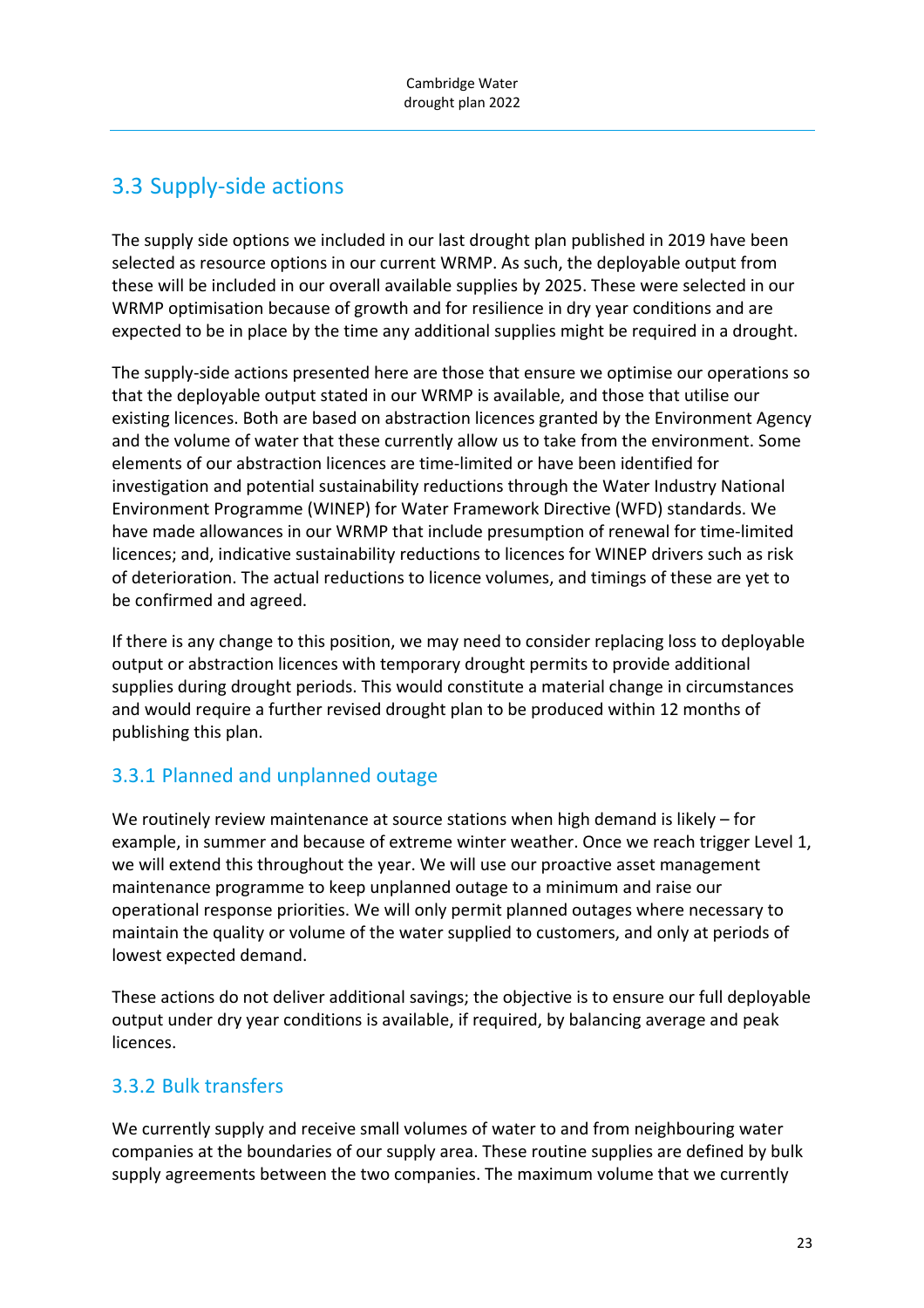# 3.3 Supply‐side actions

The supply side options we included in our last drought plan published in 2019 have been selected as resource options in our current WRMP. As such, the deployable output from these will be included in our overall available supplies by 2025. These were selected in our WRMP optimisation because of growth and for resilience in dry year conditions and are expected to be in place by the time any additional supplies might be required in a drought.

The supply‐side actions presented here are those that ensure we optimise our operations so that the deployable output stated in our WRMP is available, and those that utilise our existing licences. Both are based on abstraction licences granted by the Environment Agency and the volume of water that these currently allow us to take from the environment. Some elements of our abstraction licences are time‐limited or have been identified for investigation and potential sustainability reductions through the Water Industry National Environment Programme (WINEP) for Water Framework Directive (WFD) standards. We have made allowances in our WRMP that include presumption of renewal for time-limited licences; and, indicative sustainability reductions to licences for WINEP drivers such as risk of deterioration. The actual reductions to licence volumes, and timings of these are yet to be confirmed and agreed.

If there is any change to this position, we may need to consider replacing loss to deployable output or abstraction licences with temporary drought permits to provide additional supplies during drought periods. This would constitute a material change in circumstances and would require a further revised drought plan to be produced within 12 months of publishing this plan.

## 3.3.1 Planned and unplanned outage

We routinely review maintenance at source stations when high demand is likely – for example, in summer and because of extreme winter weather. Once we reach trigger Level 1, we will extend this throughout the year. We will use our proactive asset management maintenance programme to keep unplanned outage to a minimum and raise our operational response priorities. We will only permit planned outages where necessary to maintain the quality or volume of the water supplied to customers, and only at periods of lowest expected demand.

These actions do not deliver additional savings; the objective is to ensure our full deployable output under dry year conditions is available, if required, by balancing average and peak licences.

## 3.3.2 Bulk transfers

We currently supply and receive small volumes of water to and from neighbouring water companies at the boundaries of our supply area. These routine supplies are defined by bulk supply agreements between the two companies. The maximum volume that we currently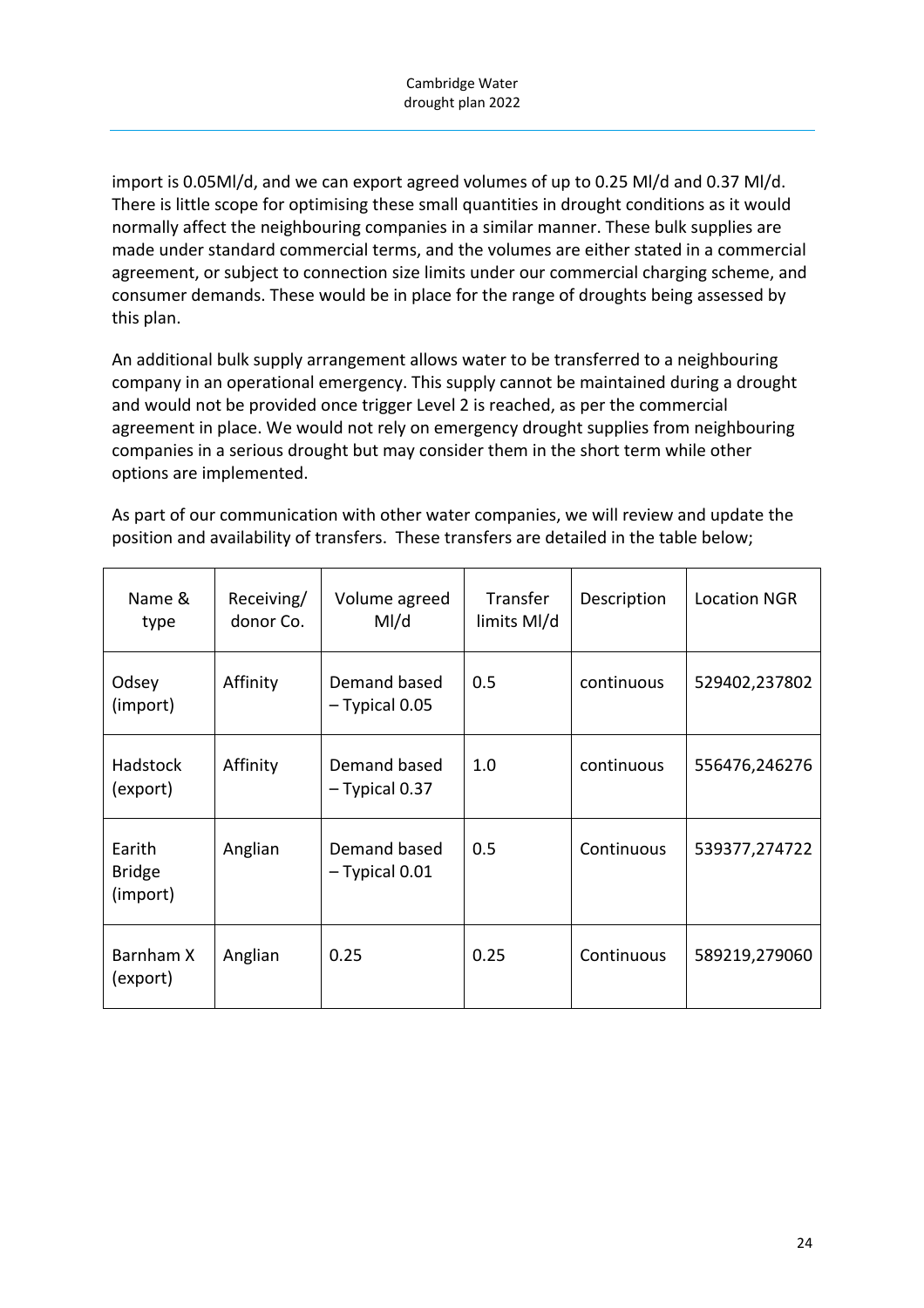import is 0.05Ml/d, and we can export agreed volumes of up to 0.25 Ml/d and 0.37 Ml/d. There is little scope for optimising these small quantities in drought conditions as it would normally affect the neighbouring companies in a similar manner. These bulk supplies are made under standard commercial terms, and the volumes are either stated in a commercial agreement, or subject to connection size limits under our commercial charging scheme, and consumer demands. These would be in place for the range of droughts being assessed by this plan.

An additional bulk supply arrangement allows water to be transferred to a neighbouring company in an operational emergency. This supply cannot be maintained during a drought and would not be provided once trigger Level 2 is reached, as per the commercial agreement in place. We would not rely on emergency drought supplies from neighbouring companies in a serious drought but may consider them in the short term while other options are implemented.

As part of our communication with other water companies, we will review and update the position and availability of transfers. These transfers are detailed in the table below;

| Name &<br>type                      | Receiving/<br>donor Co. | Volume agreed<br>M/d             | Transfer<br>limits Ml/d | Description | <b>Location NGR</b> |
|-------------------------------------|-------------------------|----------------------------------|-------------------------|-------------|---------------------|
| Odsey<br>(import)                   | Affinity                | Demand based<br>$-$ Typical 0.05 | 0.5                     | continuous  | 529402,237802       |
| Hadstock<br>(export)                | Affinity                | Demand based<br>$-$ Typical 0.37 | 1.0                     | continuous  | 556476,246276       |
| Earith<br><b>Bridge</b><br>(import) | Anglian                 | Demand based<br>$-$ Typical 0.01 | 0.5                     | Continuous  | 539377,274722       |
| Barnham X<br>(export)               | Anglian                 | 0.25                             | 0.25                    | Continuous  | 589219,279060       |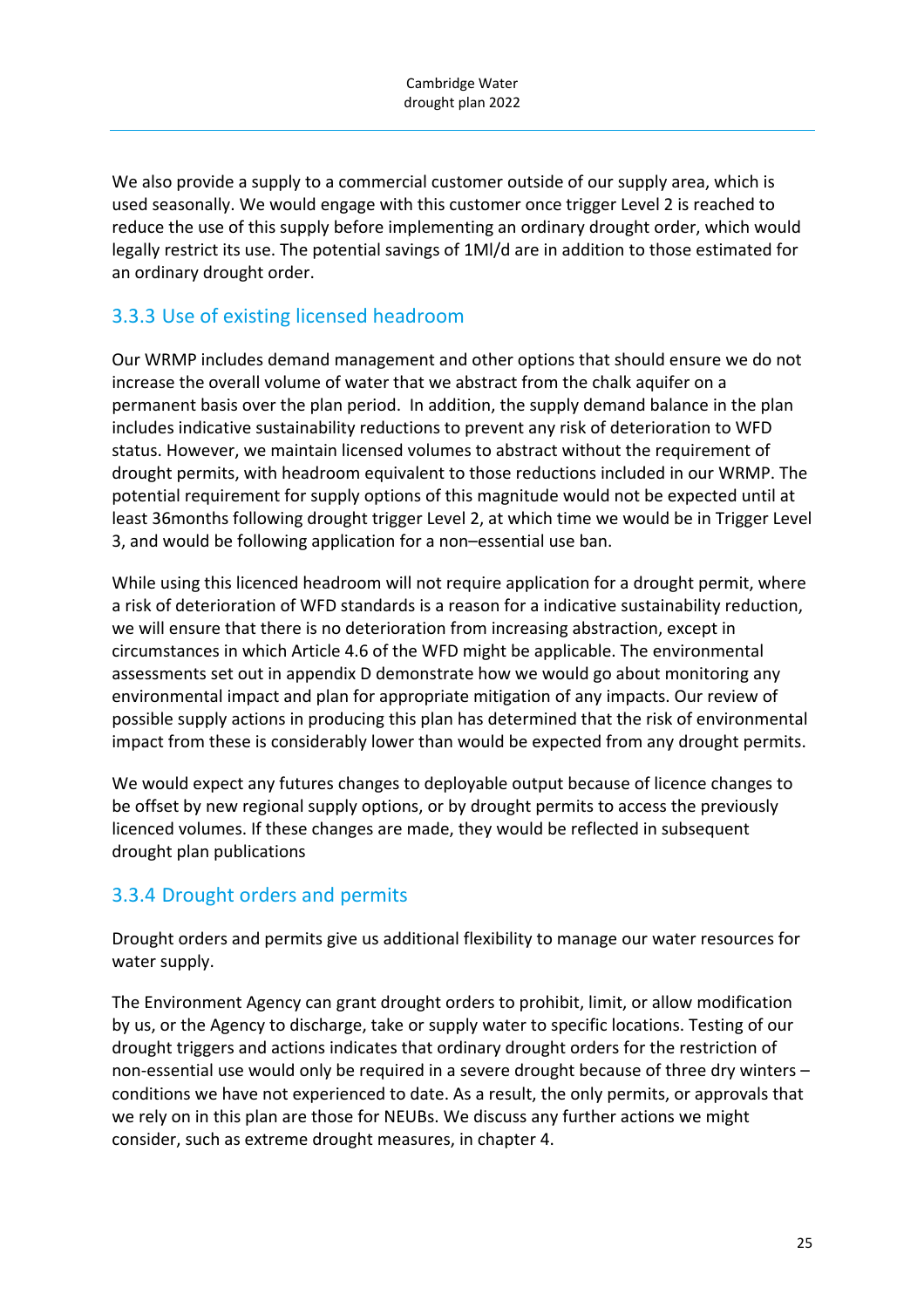We also provide a supply to a commercial customer outside of our supply area, which is used seasonally. We would engage with this customer once trigger Level 2 is reached to reduce the use of this supply before implementing an ordinary drought order, which would legally restrict its use. The potential savings of 1Ml/d are in addition to those estimated for an ordinary drought order.

## 3.3.3 Use of existing licensed headroom

Our WRMP includes demand management and other options that should ensure we do not increase the overall volume of water that we abstract from the chalk aquifer on a permanent basis over the plan period. In addition, the supply demand balance in the plan includes indicative sustainability reductions to prevent any risk of deterioration to WFD status. However, we maintain licensed volumes to abstract without the requirement of drought permits, with headroom equivalent to those reductions included in our WRMP. The potential requirement for supply options of this magnitude would not be expected until at least 36months following drought trigger Level 2, at which time we would be in Trigger Level 3, and would be following application for a non–essential use ban.

While using this licenced headroom will not require application for a drought permit, where a risk of deterioration of WFD standards is a reason for a indicative sustainability reduction, we will ensure that there is no deterioration from increasing abstraction, except in circumstances in which Article 4.6 of the WFD might be applicable. The environmental assessments set out in appendix D demonstrate how we would go about monitoring any environmental impact and plan for appropriate mitigation of any impacts. Our review of possible supply actions in producing this plan has determined that the risk of environmental impact from these is considerably lower than would be expected from any drought permits.

We would expect any futures changes to deployable output because of licence changes to be offset by new regional supply options, or by drought permits to access the previously licenced volumes. If these changes are made, they would be reflected in subsequent drought plan publications

### 3.3.4 Drought orders and permits

Drought orders and permits give us additional flexibility to manage our water resources for water supply.

The Environment Agency can grant drought orders to prohibit, limit, or allow modification by us, or the Agency to discharge, take or supply water to specific locations. Testing of our drought triggers and actions indicates that ordinary drought orders for the restriction of non-essential use would only be required in a severe drought because of three dry winters – conditions we have not experienced to date. As a result, the only permits, or approvals that we rely on in this plan are those for NEUBs. We discuss any further actions we might consider, such as extreme drought measures, in chapter 4.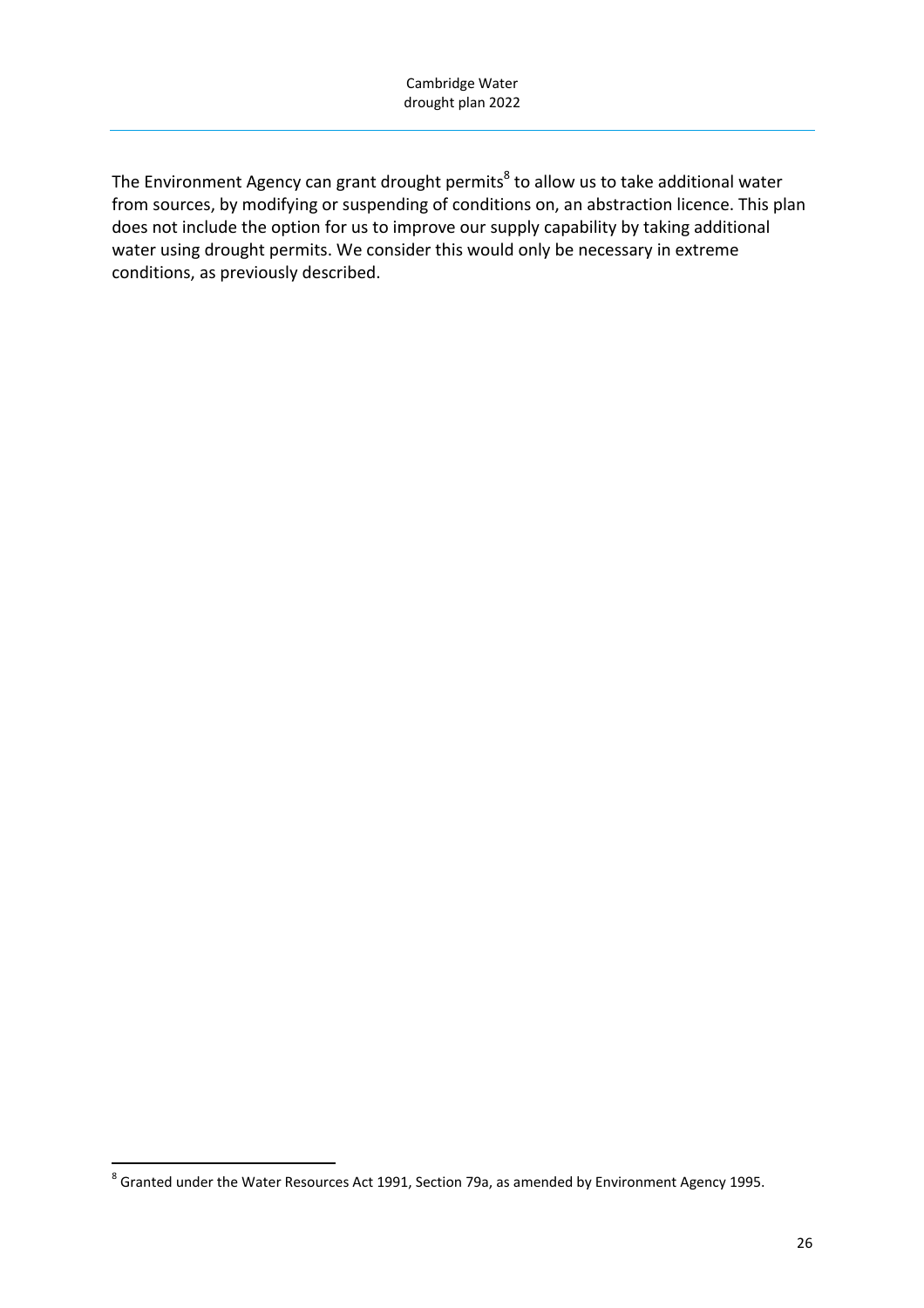The Environment Agency can grant drought permits<sup>8</sup> to allow us to take additional water from sources, by modifying or suspending of conditions on, an abstraction licence. This plan does not include the option for us to improve our supply capability by taking additional water using drought permits. We consider this would only be necessary in extreme conditions, as previously described.

  $^8$  Granted under the Water Resources Act 1991, Section 79a, as amended by Environment Agency 1995.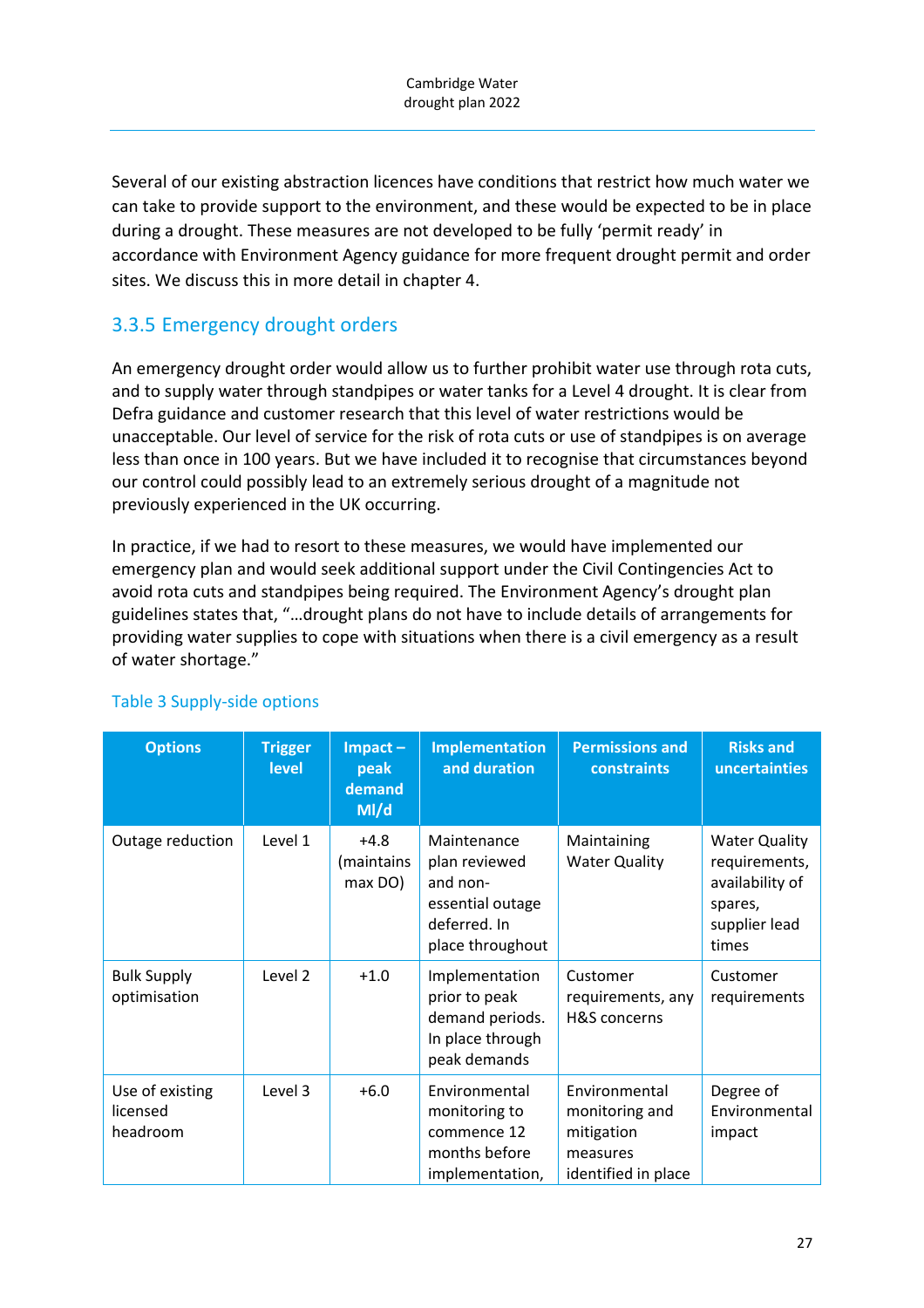Several of our existing abstraction licences have conditions that restrict how much water we can take to provide support to the environment, and these would be expected to be in place during a drought. These measures are not developed to be fully 'permit ready' in accordance with Environment Agency guidance for more frequent drought permit and order sites. We discuss this in more detail in chapter 4.

## 3.3.5 Emergency drought orders

An emergency drought order would allow us to further prohibit water use through rota cuts, and to supply water through standpipes or water tanks for a Level 4 drought. It is clear from Defra guidance and customer research that this level of water restrictions would be unacceptable. Our level of service for the risk of rota cuts or use of standpipes is on average less than once in 100 years. But we have included it to recognise that circumstances beyond our control could possibly lead to an extremely serious drought of a magnitude not previously experienced in the UK occurring.

In practice, if we had to resort to these measures, we would have implemented our emergency plan and would seek additional support under the Civil Contingencies Act to avoid rota cuts and standpipes being required. The Environment Agency's drought plan guidelines states that, "…drought plans do not have to include details of arrangements for providing water supplies to cope with situations when there is a civil emergency as a result of water shortage."

| <b>Options</b>                          | <b>Trigger</b><br>level | $Im$ pact $-$<br>peak<br>demand<br>M/d | <b>Implementation</b><br>and duration                                                            | <b>Permissions and</b><br>constraints                                            | <b>Risks and</b><br>uncertainties                                                             |
|-----------------------------------------|-------------------------|----------------------------------------|--------------------------------------------------------------------------------------------------|----------------------------------------------------------------------------------|-----------------------------------------------------------------------------------------------|
| Outage reduction                        | Level 1                 | $+4.8$<br>(maintains<br>max DO)        | Maintenance<br>plan reviewed<br>and non-<br>essential outage<br>deferred. In<br>place throughout | Maintaining<br><b>Water Quality</b>                                              | <b>Water Quality</b><br>requirements,<br>availability of<br>spares,<br>supplier lead<br>times |
| <b>Bulk Supply</b><br>optimisation      | Level 2                 | $+1.0$                                 | Implementation<br>prior to peak<br>demand periods.<br>In place through<br>peak demands           | Customer<br>requirements, any<br>H&S concerns                                    | Customer<br>requirements                                                                      |
| Use of existing<br>licensed<br>headroom | Level 3                 | $+6.0$                                 | Environmental<br>monitoring to<br>commence 12<br>months before<br>implementation,                | Environmental<br>monitoring and<br>mitigation<br>measures<br>identified in place | Degree of<br>Environmental<br>impact                                                          |

### Table 3 Supply‐side options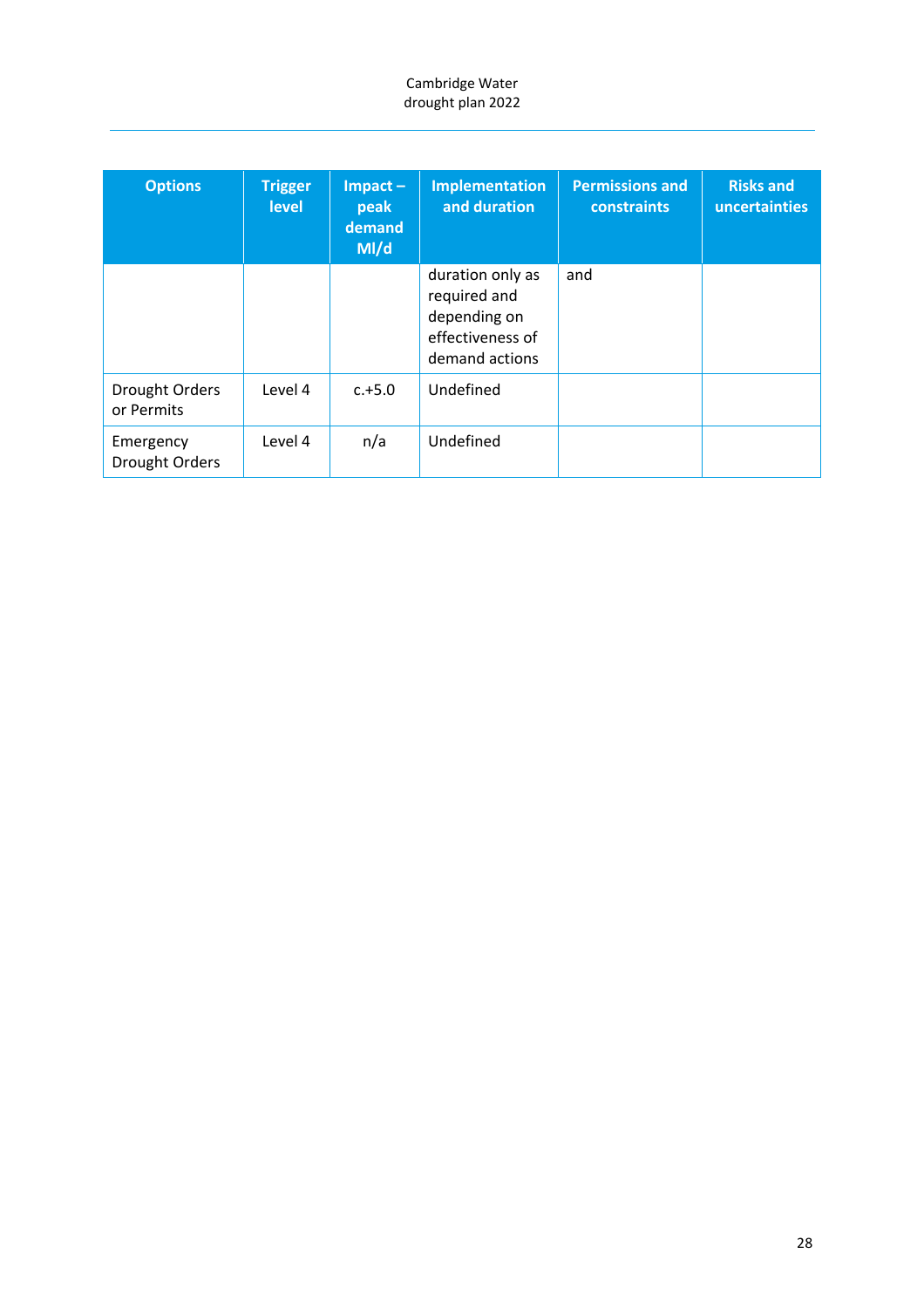| <b>Options</b>               | <b>Trigger</b><br><b>level</b> | $Im$ pact $-$<br>peak<br>demand<br>M/d | Implementation<br>and duration                                                         | <b>Permissions and</b><br><b>constraints</b> | <b>Risks and</b><br>uncertainties |
|------------------------------|--------------------------------|----------------------------------------|----------------------------------------------------------------------------------------|----------------------------------------------|-----------------------------------|
|                              |                                |                                        | duration only as<br>required and<br>depending on<br>effectiveness of<br>demand actions | and                                          |                                   |
| Drought Orders<br>or Permits | Level 4                        | $c.+5.0$                               | Undefined                                                                              |                                              |                                   |
| Emergency<br>Drought Orders  | Level 4                        | n/a                                    | Undefined                                                                              |                                              |                                   |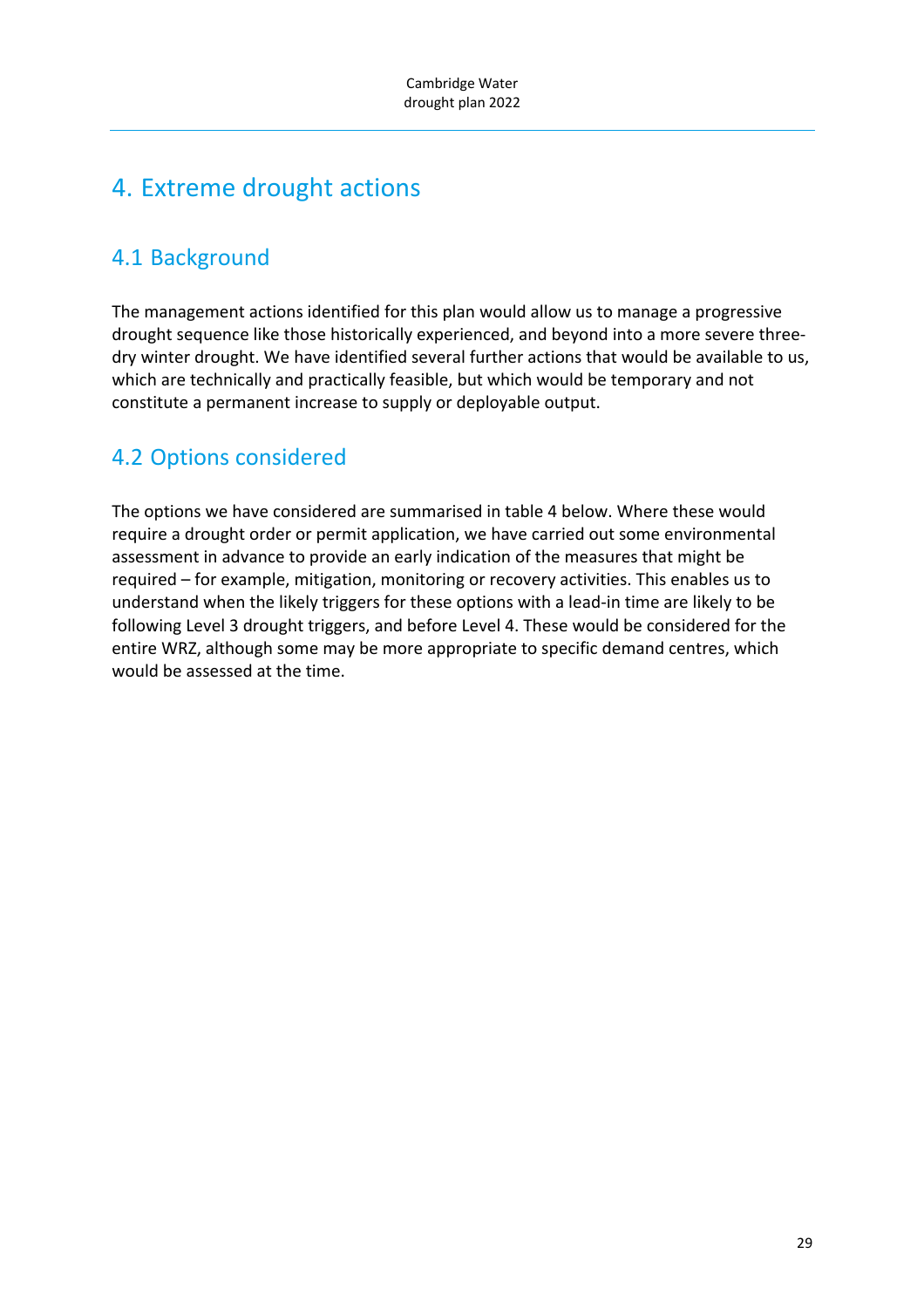# 4. Extreme drought actions

## 4.1 Background

The management actions identified for this plan would allow us to manage a progressive drought sequence like those historically experienced, and beyond into a more severe three‐ dry winter drought. We have identified several further actions that would be available to us, which are technically and practically feasible, but which would be temporary and not constitute a permanent increase to supply or deployable output.

## 4.2 Options considered

The options we have considered are summarised in table 4 below. Where these would require a drought order or permit application, we have carried out some environmental assessment in advance to provide an early indication of the measures that might be required – for example, mitigation, monitoring or recovery activities. This enables us to understand when the likely triggers for these options with a lead‐in time are likely to be following Level 3 drought triggers, and before Level 4. These would be considered for the entire WRZ, although some may be more appropriate to specific demand centres, which would be assessed at the time.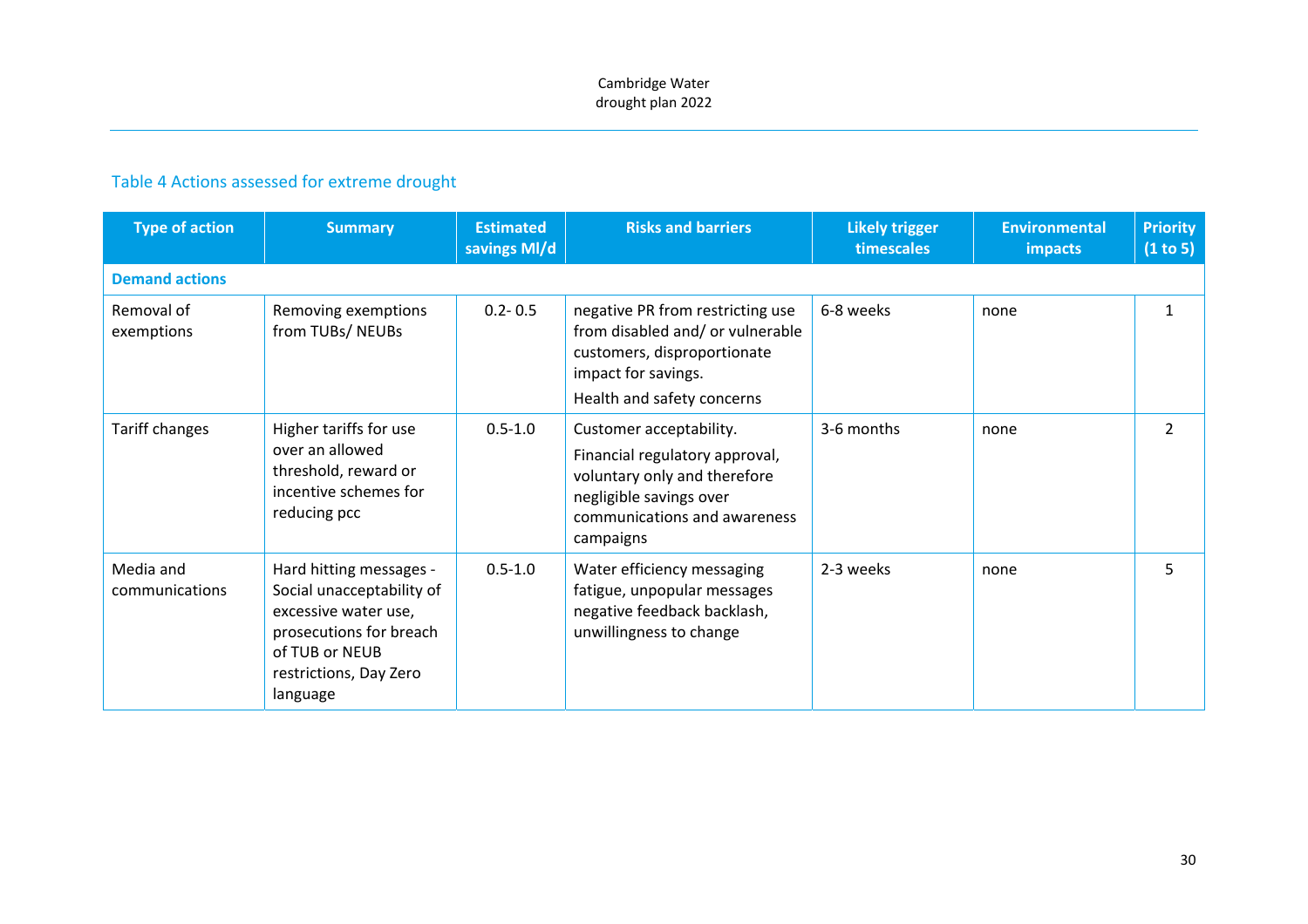#### Table 4 Actions assessed for extreme drought

| <b>Type of action</b>       | <b>Summary</b>                                                                                                                                                  | <b>Estimated</b><br>savings MI/d | <b>Risks and barriers</b>                                                                                                                                         | <b>Likely trigger</b><br>timescales | <b>Environmental</b><br><b>impacts</b> | <b>Priority</b><br>(1 to 5) |  |  |  |  |
|-----------------------------|-----------------------------------------------------------------------------------------------------------------------------------------------------------------|----------------------------------|-------------------------------------------------------------------------------------------------------------------------------------------------------------------|-------------------------------------|----------------------------------------|-----------------------------|--|--|--|--|
| <b>Demand actions</b>       |                                                                                                                                                                 |                                  |                                                                                                                                                                   |                                     |                                        |                             |  |  |  |  |
| Removal of<br>exemptions    | Removing exemptions<br>from TUBs/NEUBs                                                                                                                          | $0.2 - 0.5$                      | negative PR from restricting use<br>from disabled and/ or vulnerable<br>customers, disproportionate<br>impact for savings.<br>Health and safety concerns          | 6-8 weeks                           | none                                   | $\mathbf{1}$                |  |  |  |  |
| Tariff changes              | Higher tariffs for use<br>over an allowed<br>threshold, reward or<br>incentive schemes for<br>reducing pcc                                                      | $0.5 - 1.0$                      | Customer acceptability.<br>Financial regulatory approval,<br>voluntary only and therefore<br>negligible savings over<br>communications and awareness<br>campaigns | 3-6 months                          | none                                   | $\overline{2}$              |  |  |  |  |
| Media and<br>communications | Hard hitting messages -<br>Social unacceptability of<br>excessive water use,<br>prosecutions for breach<br>of TUB or NEUB<br>restrictions, Day Zero<br>language | $0.5 - 1.0$                      | Water efficiency messaging<br>fatigue, unpopular messages<br>negative feedback backlash,<br>unwillingness to change                                               | 2-3 weeks                           | none                                   | 5.                          |  |  |  |  |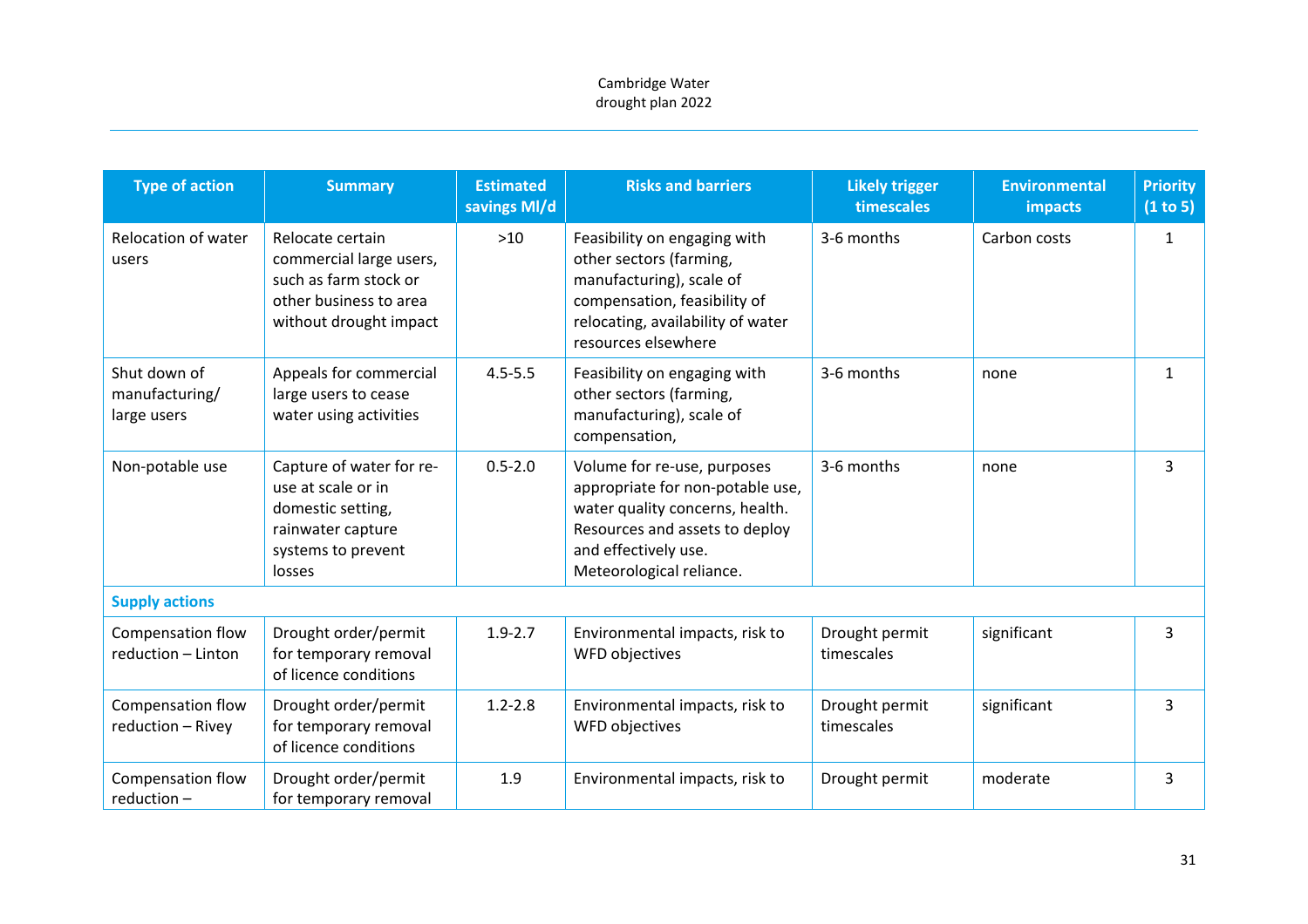| <b>Type of action</b>                         | <b>Summary</b>                                                                                                           | <b>Estimated</b><br>savings MI/d | <b>Risks and barriers</b>                                                                                                                                                                | <b>Likely trigger</b><br>timescales | <b>Environmental</b><br><b>impacts</b> | <b>Priority</b><br>(1 to 5) |
|-----------------------------------------------|--------------------------------------------------------------------------------------------------------------------------|----------------------------------|------------------------------------------------------------------------------------------------------------------------------------------------------------------------------------------|-------------------------------------|----------------------------------------|-----------------------------|
| Relocation of water<br>users                  | Relocate certain<br>commercial large users,<br>such as farm stock or<br>other business to area<br>without drought impact | $>10$                            | Feasibility on engaging with<br>other sectors (farming,<br>manufacturing), scale of<br>compensation, feasibility of<br>relocating, availability of water<br>resources elsewhere          | 3-6 months                          | Carbon costs                           | $\mathbf{1}$                |
| Shut down of<br>manufacturing/<br>large users | Appeals for commercial<br>large users to cease<br>water using activities                                                 | $4.5 - 5.5$                      | Feasibility on engaging with<br>other sectors (farming,<br>manufacturing), scale of<br>compensation,                                                                                     | 3-6 months                          | none                                   | $\mathbf{1}$                |
| Non-potable use                               | Capture of water for re-<br>use at scale or in<br>domestic setting,<br>rainwater capture<br>systems to prevent<br>losses | $0.5 - 2.0$                      | Volume for re-use, purposes<br>appropriate for non-potable use,<br>water quality concerns, health.<br>Resources and assets to deploy<br>and effectively use.<br>Meteorological reliance. | 3-6 months                          | none                                   | 3                           |
| <b>Supply actions</b>                         |                                                                                                                          |                                  |                                                                                                                                                                                          |                                     |                                        |                             |
| Compensation flow<br>reduction - Linton       | Drought order/permit<br>for temporary removal<br>of licence conditions                                                   | $1.9 - 2.7$                      | Environmental impacts, risk to<br>WFD objectives                                                                                                                                         | Drought permit<br>timescales        | significant                            | 3                           |
| <b>Compensation flow</b><br>reduction - Rivey | Drought order/permit<br>for temporary removal<br>of licence conditions                                                   | $1.2 - 2.8$                      | Environmental impacts, risk to<br>WFD objectives                                                                                                                                         | Drought permit<br>timescales        | significant                            | $\overline{3}$              |
| Compensation flow<br>$reduction -$            | Drought order/permit<br>for temporary removal                                                                            | 1.9                              | Environmental impacts, risk to                                                                                                                                                           | Drought permit                      | moderate                               | 3                           |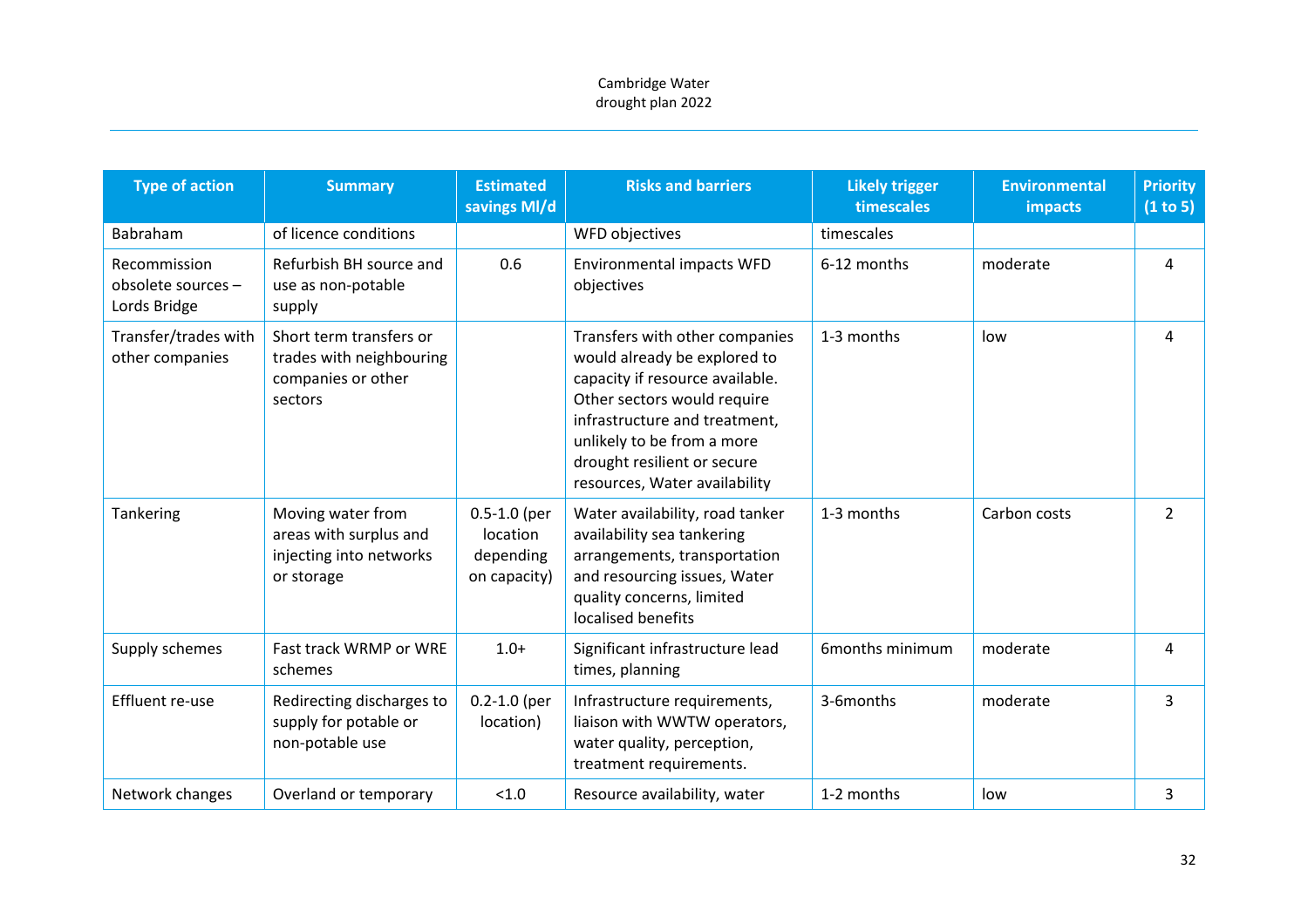| <b>Type of action</b>                              | <b>Summary</b>                                                                       | <b>Estimated</b><br>savings MI/d                          | <b>Risks and barriers</b>                                                                                                                                                                                                                                       | <b>Likely trigger</b><br>timescales | <b>Environmental</b><br>impacts | <b>Priority</b><br>(1 to 5) |
|----------------------------------------------------|--------------------------------------------------------------------------------------|-----------------------------------------------------------|-----------------------------------------------------------------------------------------------------------------------------------------------------------------------------------------------------------------------------------------------------------------|-------------------------------------|---------------------------------|-----------------------------|
| Babraham                                           | of licence conditions                                                                |                                                           | WFD objectives                                                                                                                                                                                                                                                  | timescales                          |                                 |                             |
| Recommission<br>obsolete sources -<br>Lords Bridge | Refurbish BH source and<br>use as non-potable<br>supply                              | 0.6                                                       | <b>Environmental impacts WFD</b><br>objectives                                                                                                                                                                                                                  | 6-12 months                         | moderate                        | 4                           |
| Transfer/trades with<br>other companies            | Short term transfers or<br>trades with neighbouring<br>companies or other<br>sectors |                                                           | Transfers with other companies<br>would already be explored to<br>capacity if resource available.<br>Other sectors would require<br>infrastructure and treatment,<br>unlikely to be from a more<br>drought resilient or secure<br>resources, Water availability | 1-3 months                          | low                             | 4                           |
| Tankering                                          | Moving water from<br>areas with surplus and<br>injecting into networks<br>or storage | $0.5 - 1.0$ (per<br>location<br>depending<br>on capacity) | Water availability, road tanker<br>availability sea tankering<br>arrangements, transportation<br>and resourcing issues, Water<br>quality concerns, limited<br>localised benefits                                                                                | 1-3 months                          | Carbon costs                    | $\overline{2}$              |
| Supply schemes                                     | Fast track WRMP or WRE<br>schemes                                                    | $1.0+$                                                    | Significant infrastructure lead<br>times, planning                                                                                                                                                                                                              | 6months minimum                     | moderate                        | 4                           |
| Effluent re-use                                    | Redirecting discharges to<br>supply for potable or<br>non-potable use                | $0.2 - 1.0$ (per<br>location)                             | Infrastructure requirements,<br>liaison with WWTW operators,<br>water quality, perception,<br>treatment requirements.                                                                                                                                           | 3-6months                           | moderate                        | 3                           |
| Network changes                                    | Overland or temporary                                                                | < 1.0                                                     | Resource availability, water                                                                                                                                                                                                                                    | 1-2 months                          | low                             | 3                           |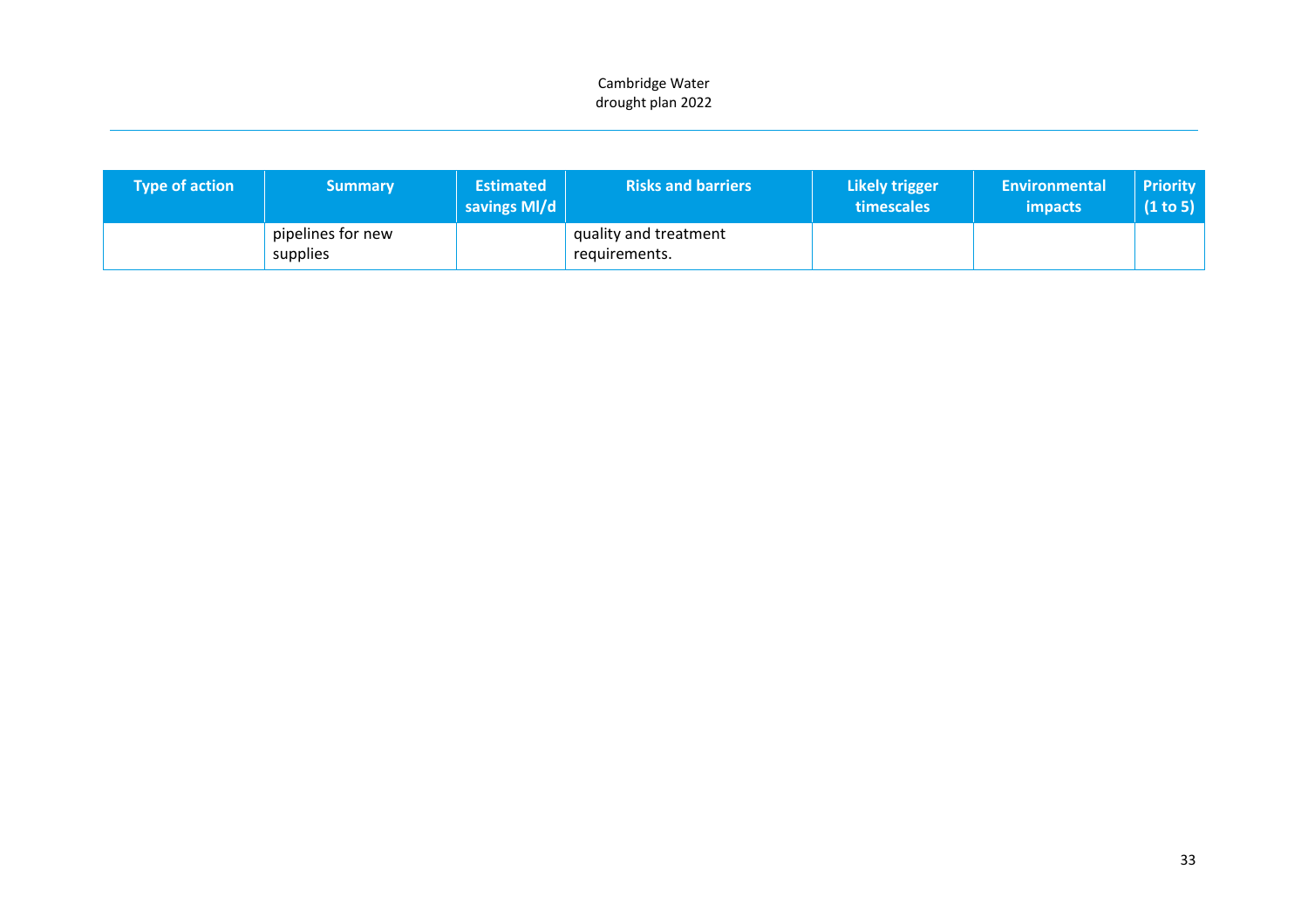| <b>Type of action</b> | <b>Summary</b>                | <b>Estimated</b><br>savings MI/d | <b>Risks and barriers</b>              | Likely trigger<br>timescales | <b>Environmental</b><br><i>impacts</i> | <b>Priority</b><br>(1 to 5) |
|-----------------------|-------------------------------|----------------------------------|----------------------------------------|------------------------------|----------------------------------------|-----------------------------|
|                       | pipelines for new<br>supplies |                                  | quality and treatment<br>requirements. |                              |                                        |                             |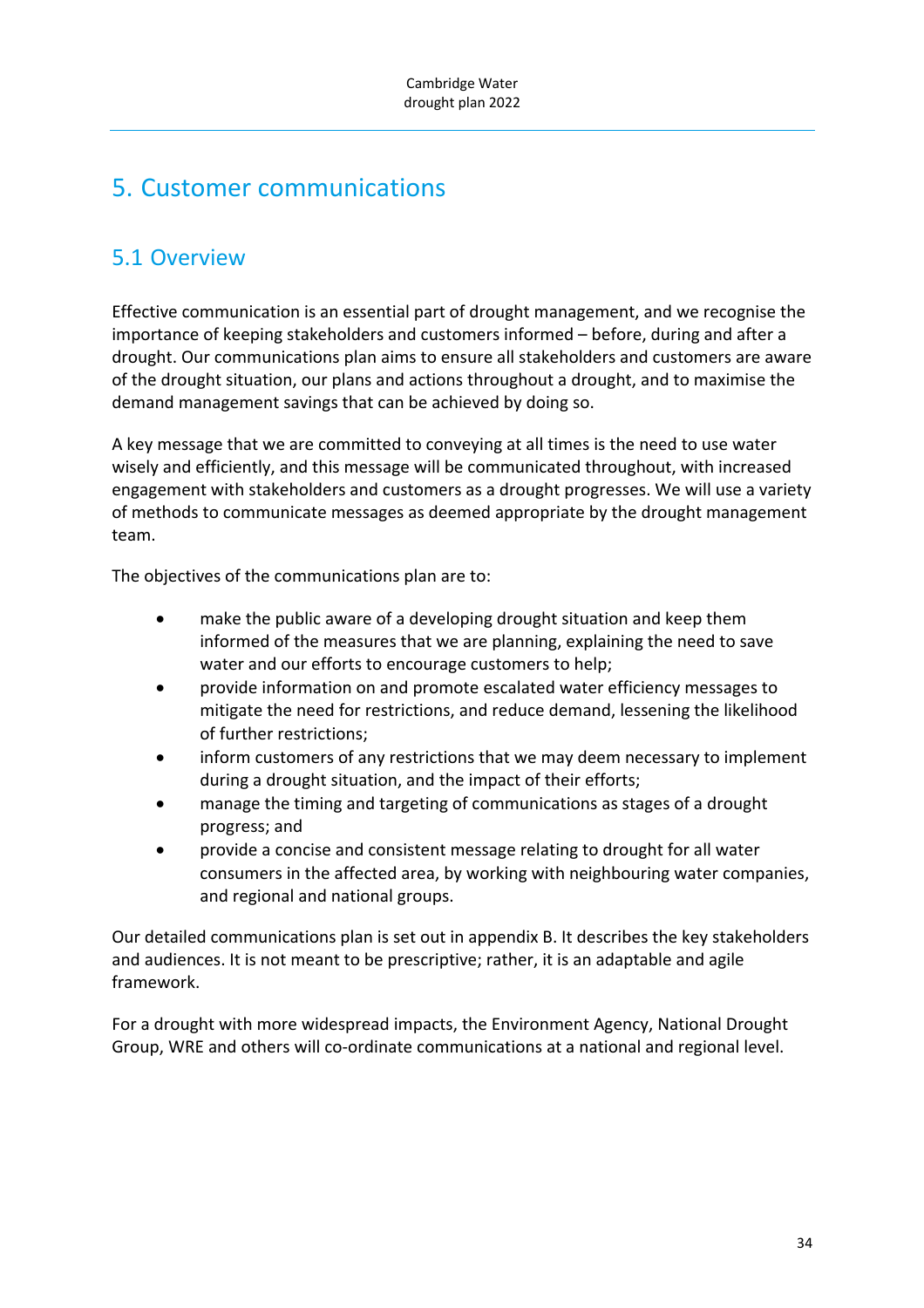# 5. Customer communications

## 5.1 Overview

Effective communication is an essential part of drought management, and we recognise the importance of keeping stakeholders and customers informed – before, during and after a drought. Our communications plan aims to ensure all stakeholders and customers are aware of the drought situation, our plans and actions throughout a drought, and to maximise the demand management savings that can be achieved by doing so.

A key message that we are committed to conveying at all times is the need to use water wisely and efficiently, and this message will be communicated throughout, with increased engagement with stakeholders and customers as a drought progresses. We will use a variety of methods to communicate messages as deemed appropriate by the drought management team.

The objectives of the communications plan are to:

- make the public aware of a developing drought situation and keep them informed of the measures that we are planning, explaining the need to save water and our efforts to encourage customers to help;
- provide information on and promote escalated water efficiency messages to mitigate the need for restrictions, and reduce demand, lessening the likelihood of further restrictions;
- inform customers of any restrictions that we may deem necessary to implement during a drought situation, and the impact of their efforts;
- manage the timing and targeting of communications as stages of a drought progress; and
- provide a concise and consistent message relating to drought for all water consumers in the affected area, by working with neighbouring water companies, and regional and national groups.

Our detailed communications plan is set out in appendix B. It describes the key stakeholders and audiences. It is not meant to be prescriptive; rather, it is an adaptable and agile framework.

For a drought with more widespread impacts, the Environment Agency, National Drought Group, WRE and others will co‐ordinate communications at a national and regional level.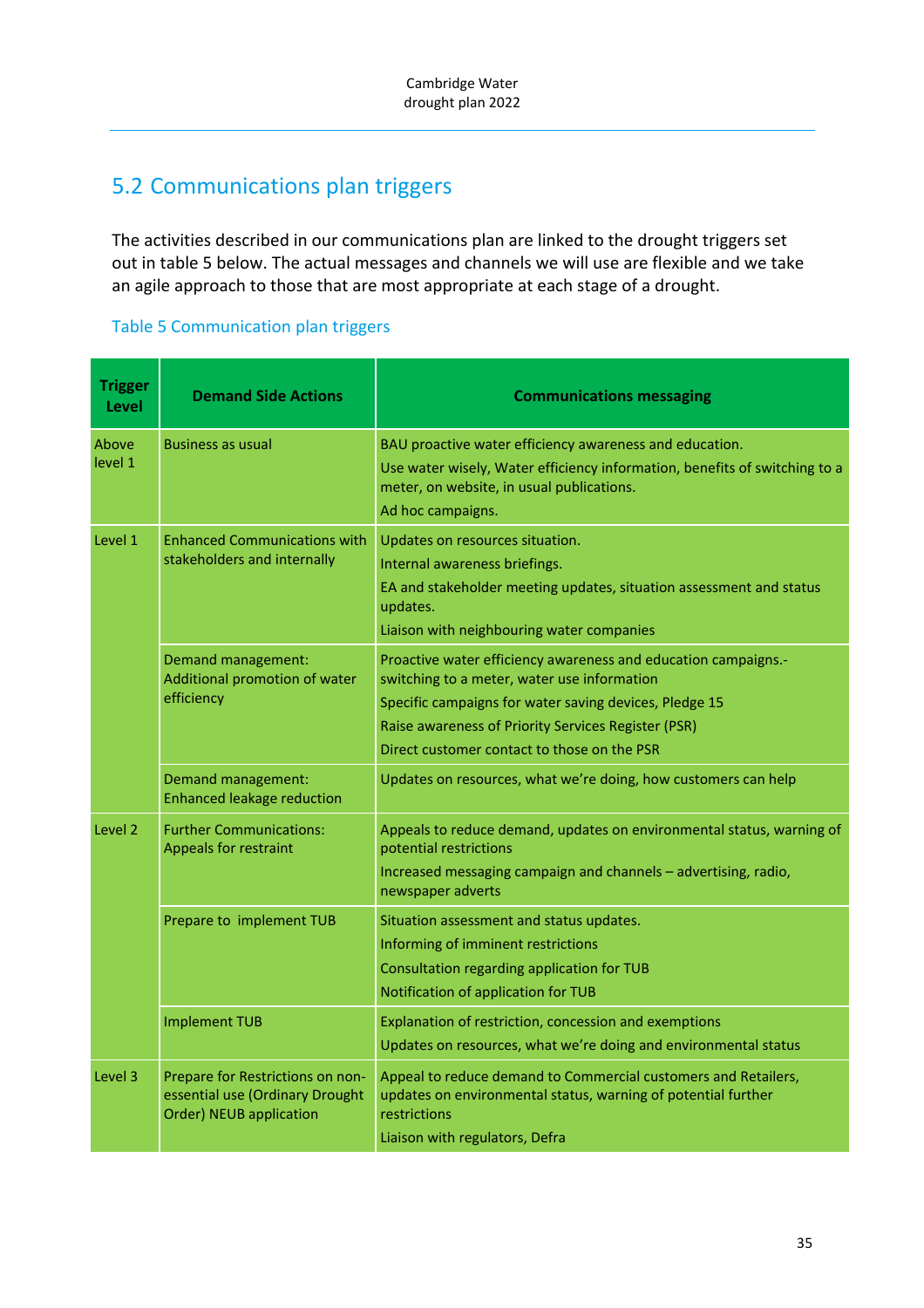# 5.2 Communications plan triggers

The activities described in our communications plan are linked to the drought triggers set out in table 5 below. The actual messages and channels we will use are flexible and we take an agile approach to those that are most appropriate at each stage of a drought.

#### Table 5 Communication plan triggers

| <b>Trigger</b><br>Level | <b>Demand Side Actions</b>                                                                     | <b>Communications messaging</b>                                                                                                                                                                                                                                               |
|-------------------------|------------------------------------------------------------------------------------------------|-------------------------------------------------------------------------------------------------------------------------------------------------------------------------------------------------------------------------------------------------------------------------------|
| Above<br>level 1        | <b>Business as usual</b>                                                                       | BAU proactive water efficiency awareness and education.<br>Use water wisely, Water efficiency information, benefits of switching to a<br>meter, on website, in usual publications.<br>Ad hoc campaigns.                                                                       |
| Level 1                 | <b>Enhanced Communications with</b><br>stakeholders and internally                             | Updates on resources situation.<br>Internal awareness briefings.<br>EA and stakeholder meeting updates, situation assessment and status<br>updates.<br>Liaison with neighbouring water companies                                                                              |
|                         | Demand management:<br>Additional promotion of water<br>efficiency                              | Proactive water efficiency awareness and education campaigns.-<br>switching to a meter, water use information<br>Specific campaigns for water saving devices, Pledge 15<br>Raise awareness of Priority Services Register (PSR)<br>Direct customer contact to those on the PSR |
|                         | Demand management:<br><b>Enhanced leakage reduction</b>                                        | Updates on resources, what we're doing, how customers can help                                                                                                                                                                                                                |
| Level 2                 | <b>Further Communications:</b><br><b>Appeals for restraint</b>                                 | Appeals to reduce demand, updates on environmental status, warning of<br>potential restrictions<br>Increased messaging campaign and channels - advertising, radio,<br>newspaper adverts                                                                                       |
|                         | Prepare to implement TUB                                                                       | Situation assessment and status updates.<br>Informing of imminent restrictions<br>Consultation regarding application for TUB<br>Notification of application for TUB                                                                                                           |
|                         | <b>Implement TUB</b>                                                                           | Explanation of restriction, concession and exemptions<br>Updates on resources, what we're doing and environmental status                                                                                                                                                      |
| Level 3                 | Prepare for Restrictions on non-<br>essential use (Ordinary Drought<br>Order) NEUB application | Appeal to reduce demand to Commercial customers and Retailers,<br>updates on environmental status, warning of potential further<br>restrictions<br>Liaison with regulators, Defra                                                                                             |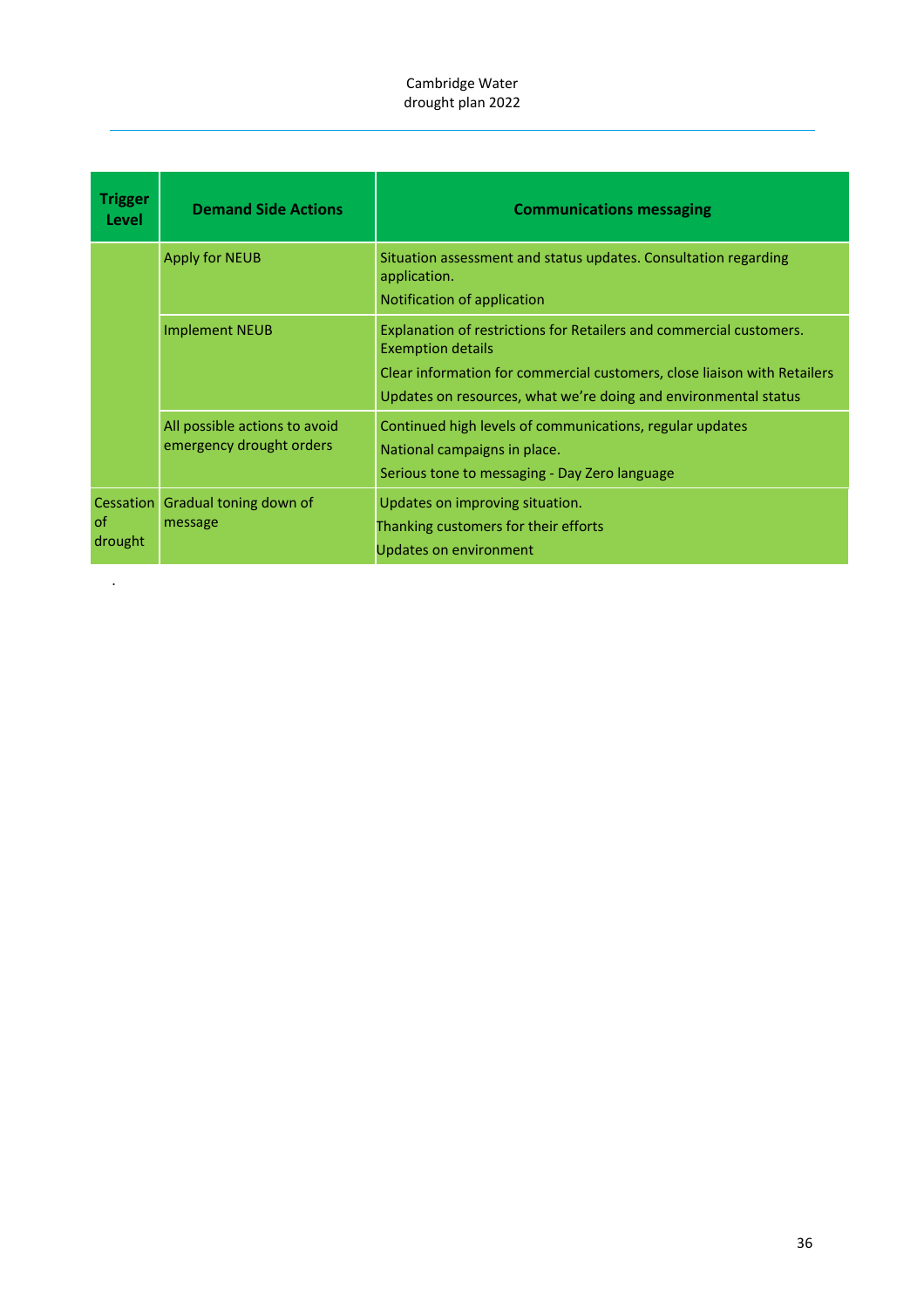| <b>Trigger</b><br>Level           | <b>Demand Side Actions</b>                                | <b>Communications messaging</b>                                                                                                                                                                                                                |
|-----------------------------------|-----------------------------------------------------------|------------------------------------------------------------------------------------------------------------------------------------------------------------------------------------------------------------------------------------------------|
|                                   | Apply for NEUB                                            | Situation assessment and status updates. Consultation regarding<br>application.<br>Notification of application                                                                                                                                 |
|                                   | <b>Implement NEUB</b>                                     | Explanation of restrictions for Retailers and commercial customers.<br><b>Exemption details</b><br>Clear information for commercial customers, close liaison with Retailers<br>Updates on resources, what we're doing and environmental status |
|                                   | All possible actions to avoid<br>emergency drought orders | Continued high levels of communications, regular updates<br>National campaigns in place.<br>Serious tone to messaging - Day Zero language                                                                                                      |
| <b>Cessation</b><br>0f<br>drought | Gradual toning down of<br>message                         | Updates on improving situation.<br>Thanking customers for their efforts<br>Updates on environment                                                                                                                                              |

.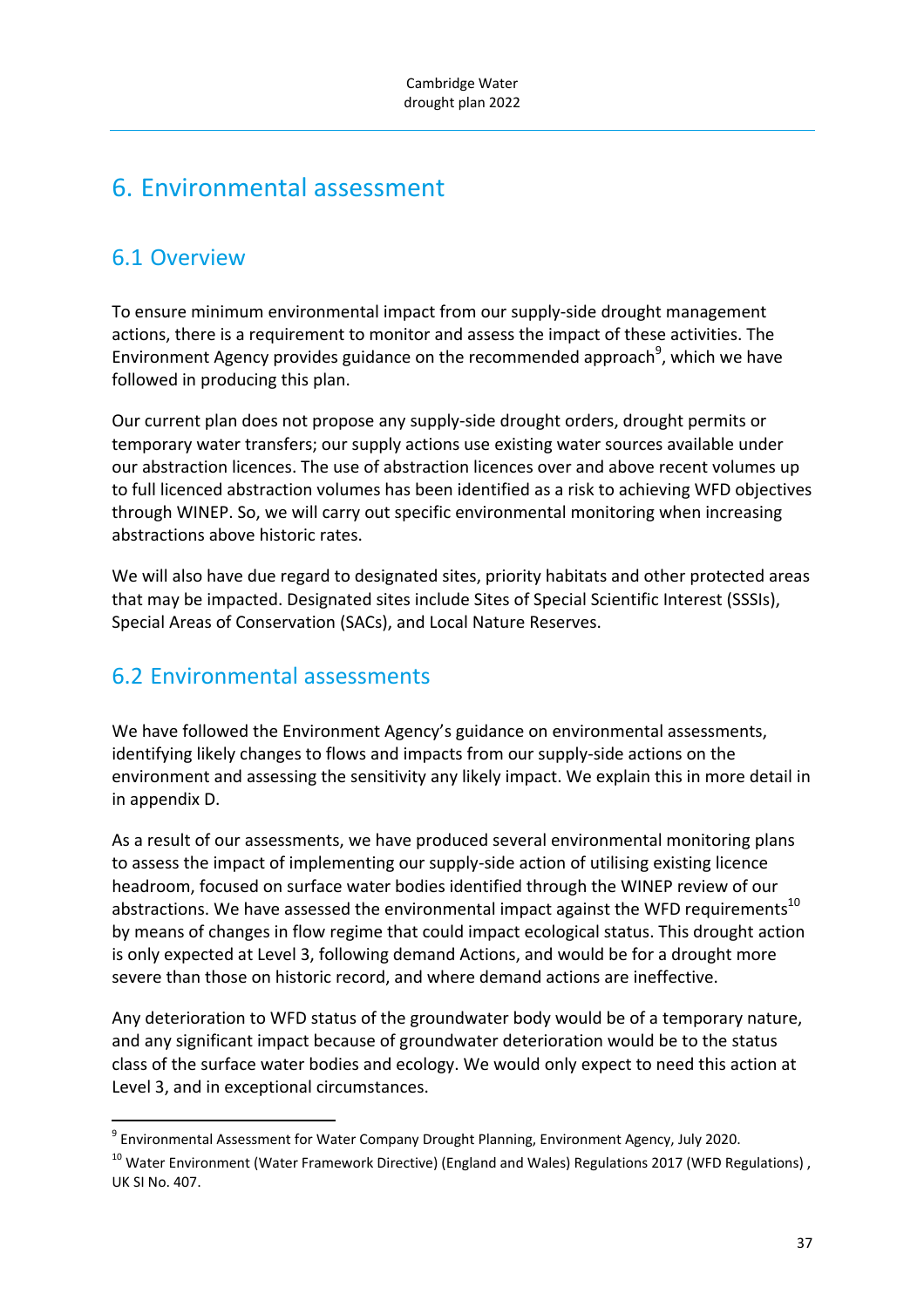# 6. Environmental assessment

## 6.1 Overview

To ensure minimum environmental impact from our supply‐side drought management actions, there is a requirement to monitor and assess the impact of these activities. The Environment Agency provides guidance on the recommended approach<sup>9</sup>, which we have followed in producing this plan.

Our current plan does not propose any supply‐side drought orders, drought permits or temporary water transfers; our supply actions use existing water sources available under our abstraction licences. The use of abstraction licences over and above recent volumes up to full licenced abstraction volumes has been identified as a risk to achieving WFD objectives through WINEP. So, we will carry out specific environmental monitoring when increasing abstractions above historic rates.

We will also have due regard to designated sites, priority habitats and other protected areas that may be impacted. Designated sites include Sites of Special Scientific Interest (SSSIs), Special Areas of Conservation (SACs), and Local Nature Reserves.

## 6.2 Environmental assessments

We have followed the Environment Agency's guidance on environmental assessments, identifying likely changes to flows and impacts from our supply‐side actions on the environment and assessing the sensitivity any likely impact. We explain this in more detail in in appendix D.

As a result of our assessments, we have produced several environmental monitoring plans to assess the impact of implementing our supply‐side action of utilising existing licence headroom, focused on surface water bodies identified through the WINEP review of our abstractions. We have assessed the environmental impact against the WFD requirements<sup>10</sup> by means of changes in flow regime that could impact ecological status. This drought action is only expected at Level 3, following demand Actions, and would be for a drought more severe than those on historic record, and where demand actions are ineffective.

Any deterioration to WFD status of the groundwater body would be of a temporary nature, and any significant impact because of groundwater deterioration would be to the status class of the surface water bodies and ecology. We would only expect to need this action at Level 3, and in exceptional circumstances.

<sup>&</sup>lt;sup>9</sup> Environmental Assessment for Water Company Drought Planning, Environment Agency, July 2020.

 $10$  Water Environment (Water Framework Directive) (England and Wales) Regulations 2017 (WFD Regulations), UK SI No. 407.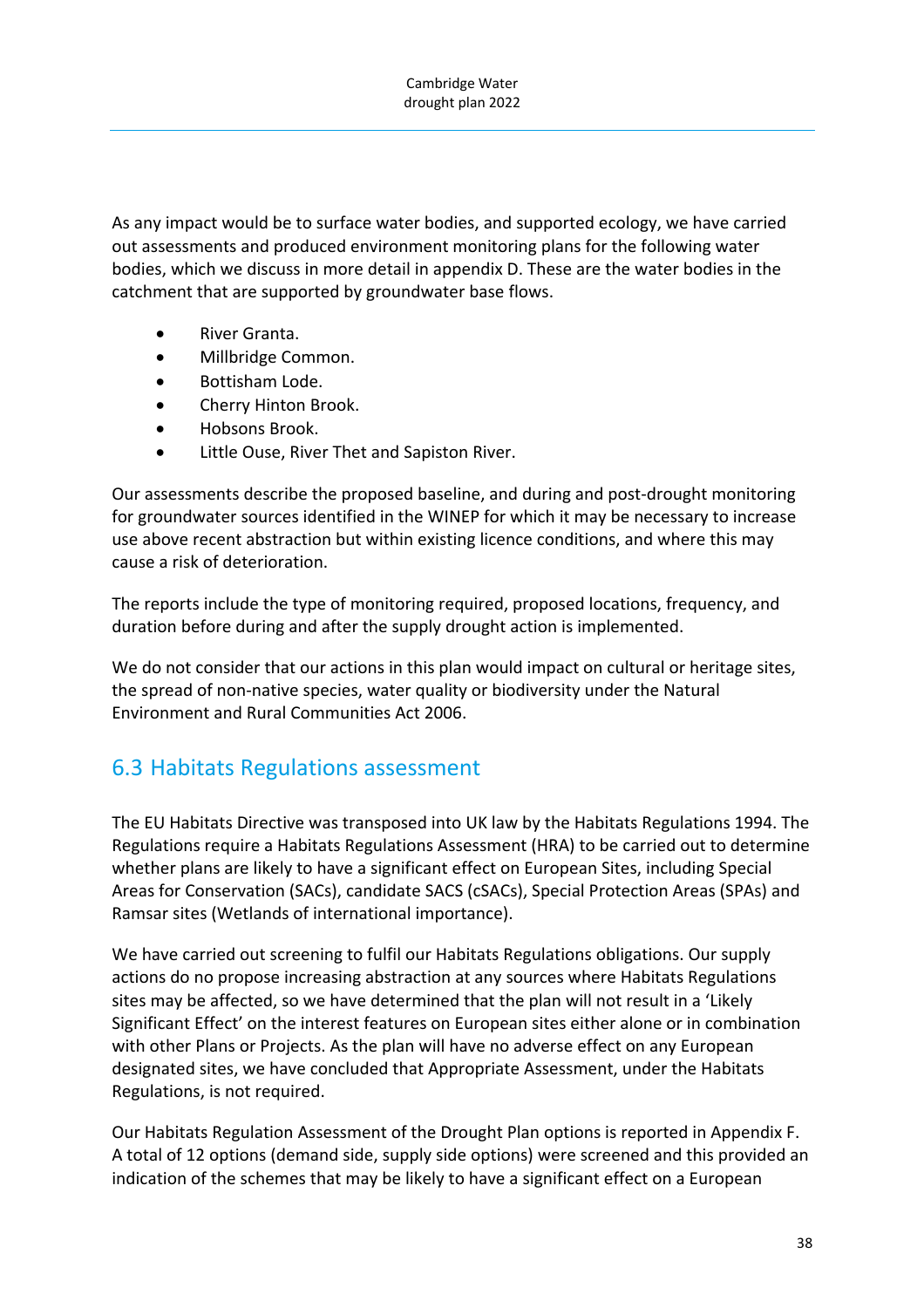As any impact would be to surface water bodies, and supported ecology, we have carried out assessments and produced environment monitoring plans for the following water bodies, which we discuss in more detail in appendix D. These are the water bodies in the catchment that are supported by groundwater base flows.

- River Granta.
- Millbridge Common.
- **•** Bottisham Lode.
- Cherry Hinton Brook.
- Hobsons Brook.
- Little Ouse, River Thet and Sapiston River.

Our assessments describe the proposed baseline, and during and post‐drought monitoring for groundwater sources identified in the WINEP for which it may be necessary to increase use above recent abstraction but within existing licence conditions, and where this may cause a risk of deterioration.

The reports include the type of monitoring required, proposed locations, frequency, and duration before during and after the supply drought action is implemented.

We do not consider that our actions in this plan would impact on cultural or heritage sites, the spread of non‐native species, water quality or biodiversity under the Natural Environment and Rural Communities Act 2006.

## 6.3 Habitats Regulations assessment

The EU Habitats Directive was transposed into UK law by the Habitats Regulations 1994. The Regulations require a Habitats Regulations Assessment (HRA) to be carried out to determine whether plans are likely to have a significant effect on European Sites, including Special Areas for Conservation (SACs), candidate SACS (cSACs), Special Protection Areas (SPAs) and Ramsar sites (Wetlands of international importance).

We have carried out screening to fulfil our Habitats Regulations obligations. Our supply actions do no propose increasing abstraction at any sources where Habitats Regulations sites may be affected, so we have determined that the plan will not result in a 'Likely Significant Effect' on the interest features on European sites either alone or in combination with other Plans or Projects. As the plan will have no adverse effect on any European designated sites, we have concluded that Appropriate Assessment, under the Habitats Regulations, is not required.

Our Habitats Regulation Assessment of the Drought Plan options is reported in Appendix F. A total of 12 options (demand side, supply side options) were screened and this provided an indication of the schemes that may be likely to have a significant effect on a European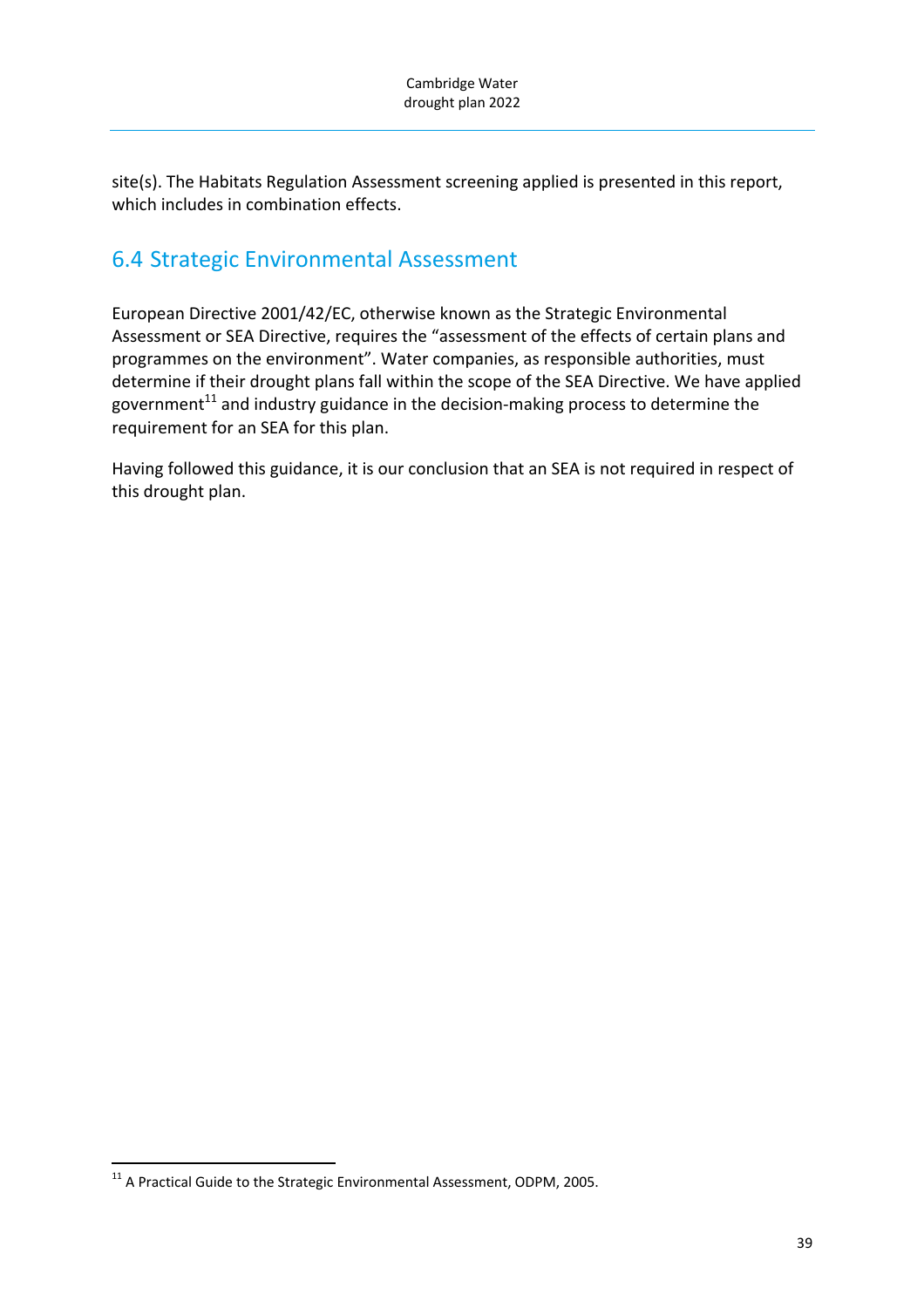site(s). The Habitats Regulation Assessment screening applied is presented in this report, which includes in combination effects.

# 6.4 Strategic Environmental Assessment

European Directive 2001/42/EC, otherwise known as the Strategic Environmental Assessment or SEA Directive, requires the "assessment of the effects of certain plans and programmes on the environment". Water companies, as responsible authorities, must determine if their drought plans fall within the scope of the SEA Directive. We have applied government<sup>11</sup> and industry guidance in the decision-making process to determine the requirement for an SEA for this plan.

Having followed this guidance, it is our conclusion that an SEA is not required in respect of this drought plan.

 $^{11}$  A Practical Guide to the Strategic Environmental Assessment, ODPM, 2005.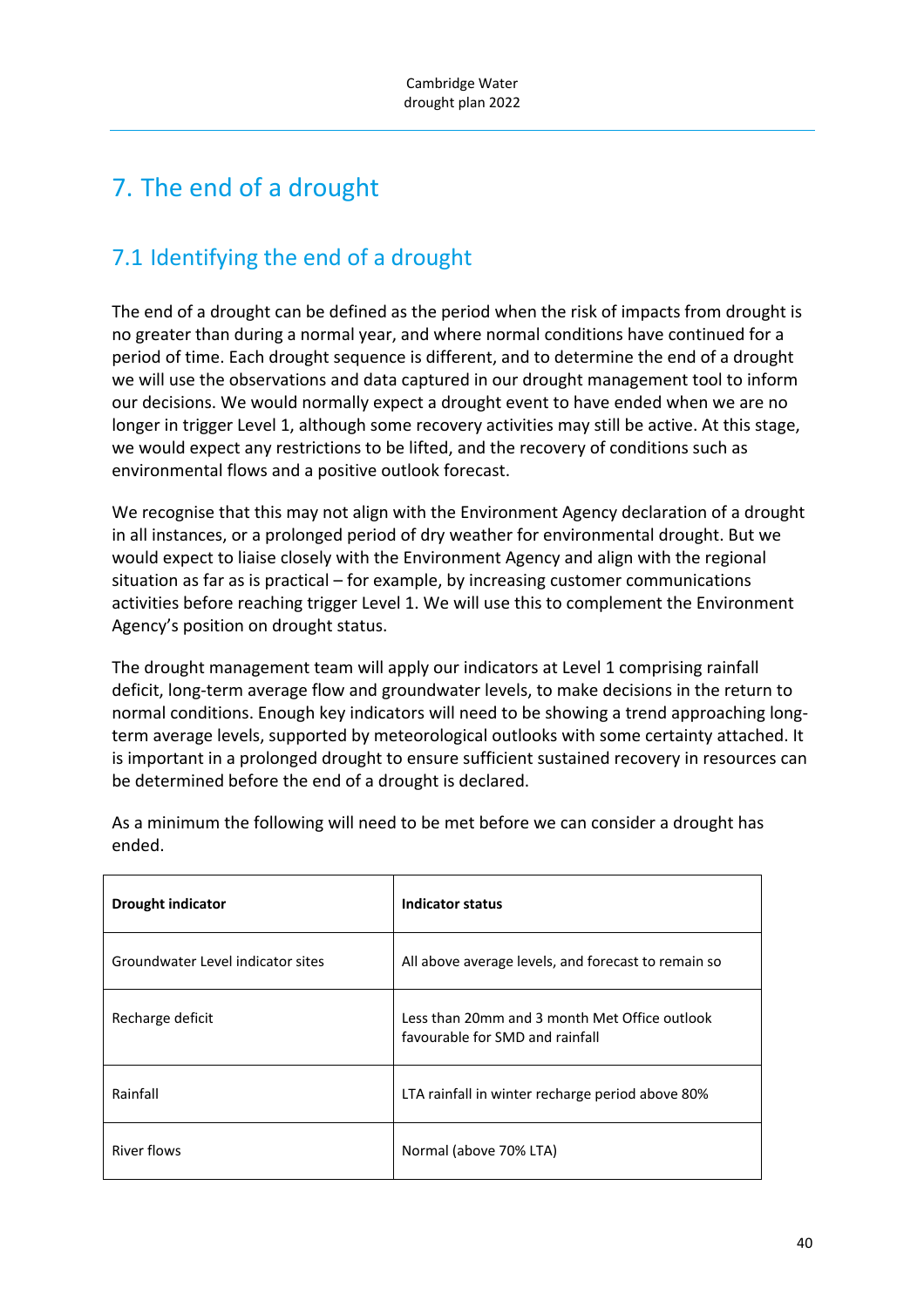# 7. The end of a drought

# 7.1 Identifying the end of a drought

The end of a drought can be defined as the period when the risk of impacts from drought is no greater than during a normal year, and where normal conditions have continued for a period of time. Each drought sequence is different, and to determine the end of a drought we will use the observations and data captured in our drought management tool to inform our decisions. We would normally expect a drought event to have ended when we are no longer in trigger Level 1, although some recovery activities may still be active. At this stage, we would expect any restrictions to be lifted, and the recovery of conditions such as environmental flows and a positive outlook forecast.

We recognise that this may not align with the Environment Agency declaration of a drought in all instances, or a prolonged period of dry weather for environmental drought. But we would expect to liaise closely with the Environment Agency and align with the regional situation as far as is practical – for example, by increasing customer communications activities before reaching trigger Level 1. We will use this to complement the Environment Agency's position on drought status.

The drought management team will apply our indicators at Level 1 comprising rainfall deficit, long‐term average flow and groundwater levels, to make decisions in the return to normal conditions. Enough key indicators will need to be showing a trend approaching long‐ term average levels, supported by meteorological outlooks with some certainty attached. It is important in a prolonged drought to ensure sufficient sustained recovery in resources can be determined before the end of a drought is declared.

| <b>Drought indicator</b>          | Indicator status                                                                 |
|-----------------------------------|----------------------------------------------------------------------------------|
| Groundwater Level indicator sites | All above average levels, and forecast to remain so                              |
| Recharge deficit                  | Less than 20mm and 3 month Met Office outlook<br>favourable for SMD and rainfall |
| Rainfall                          | LTA rainfall in winter recharge period above 80%                                 |
| <b>River flows</b>                | Normal (above 70% LTA)                                                           |

As a minimum the following will need to be met before we can consider a drought has ended.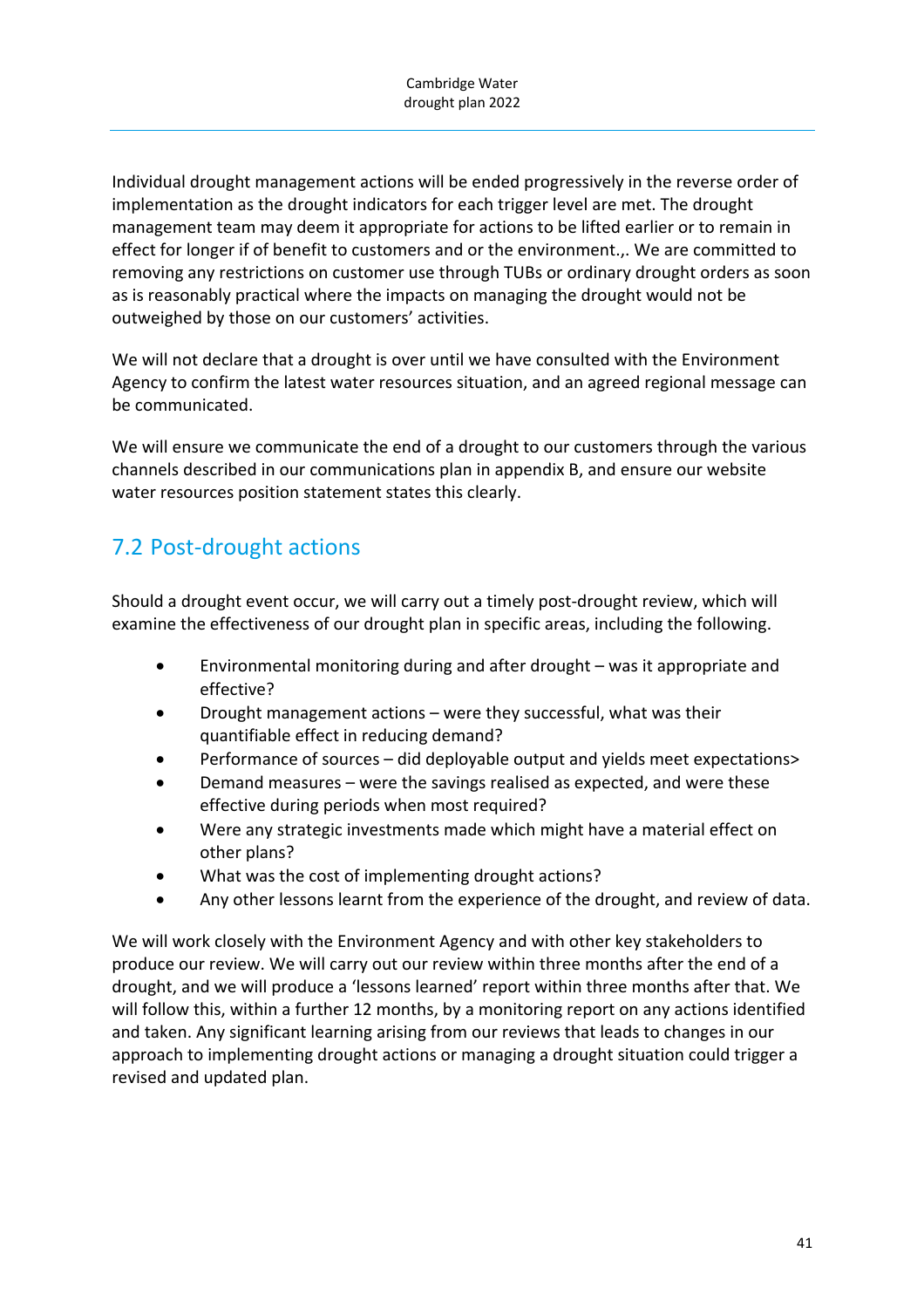Individual drought management actions will be ended progressively in the reverse order of implementation as the drought indicators for each trigger level are met. The drought management team may deem it appropriate for actions to be lifted earlier or to remain in effect for longer if of benefit to customers and or the environment.,. We are committed to removing any restrictions on customer use through TUBs or ordinary drought orders as soon as is reasonably practical where the impacts on managing the drought would not be outweighed by those on our customers' activities.

We will not declare that a drought is over until we have consulted with the Environment Agency to confirm the latest water resources situation, and an agreed regional message can be communicated.

We will ensure we communicate the end of a drought to our customers through the various channels described in our communications plan in appendix B, and ensure our website water resources position statement states this clearly.

# 7.2 Post‐drought actions

Should a drought event occur, we will carry out a timely post-drought review, which will examine the effectiveness of our drought plan in specific areas, including the following.

- Environmental monitoring during and after drought was it appropriate and effective?
- Drought management actions were they successful, what was their quantifiable effect in reducing demand?
- Performance of sources did deployable output and yields meet expectations>
- Demand measures were the savings realised as expected, and were these effective during periods when most required?
- Were any strategic investments made which might have a material effect on other plans?
- What was the cost of implementing drought actions?
- Any other lessons learnt from the experience of the drought, and review of data.

We will work closely with the Environment Agency and with other key stakeholders to produce our review. We will carry out our review within three months after the end of a drought, and we will produce a 'lessons learned' report within three months after that. We will follow this, within a further 12 months, by a monitoring report on any actions identified and taken. Any significant learning arising from our reviews that leads to changes in our approach to implementing drought actions or managing a drought situation could trigger a revised and updated plan.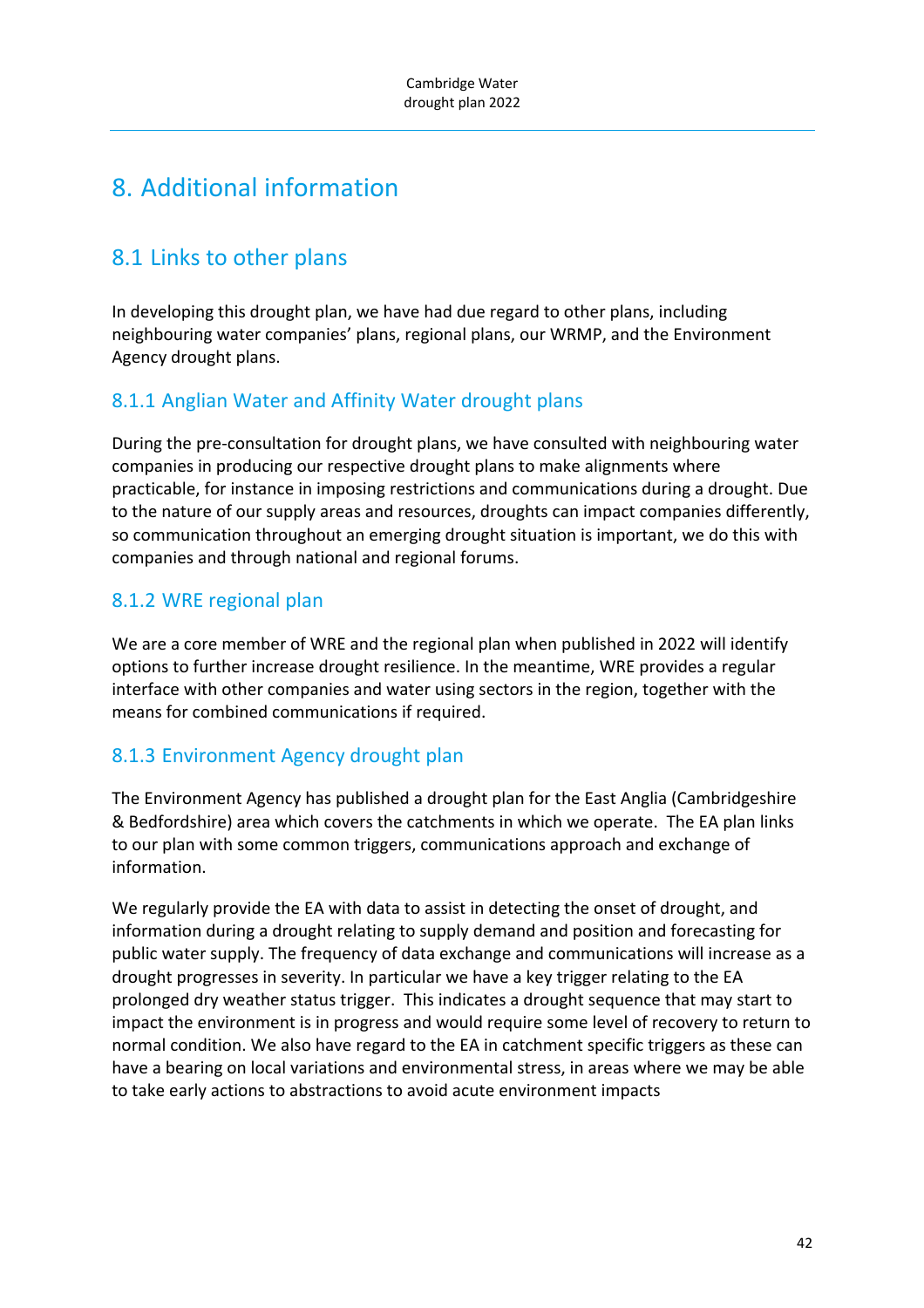# 8. Additional information

# 8.1 Links to other plans

In developing this drought plan, we have had due regard to other plans, including neighbouring water companies' plans, regional plans, our WRMP, and the Environment Agency drought plans.

### 8.1.1 Anglian Water and Affinity Water drought plans

During the pre‐consultation for drought plans, we have consulted with neighbouring water companies in producing our respective drought plans to make alignments where practicable, for instance in imposing restrictions and communications during a drought. Due to the nature of our supply areas and resources, droughts can impact companies differently, so communication throughout an emerging drought situation is important, we do this with companies and through national and regional forums.

### 8.1.2 WRE regional plan

We are a core member of WRE and the regional plan when published in 2022 will identify options to further increase drought resilience. In the meantime, WRE provides a regular interface with other companies and water using sectors in the region, together with the means for combined communications if required.

### 8.1.3 Environment Agency drought plan

The Environment Agency has published a drought plan for the East Anglia (Cambridgeshire & Bedfordshire) area which covers the catchments in which we operate. The EA plan links to our plan with some common triggers, communications approach and exchange of information.

We regularly provide the EA with data to assist in detecting the onset of drought, and information during a drought relating to supply demand and position and forecasting for public water supply. The frequency of data exchange and communications will increase as a drought progresses in severity. In particular we have a key trigger relating to the EA prolonged dry weather status trigger. This indicates a drought sequence that may start to impact the environment is in progress and would require some level of recovery to return to normal condition. We also have regard to the EA in catchment specific triggers as these can have a bearing on local variations and environmental stress, in areas where we may be able to take early actions to abstractions to avoid acute environment impacts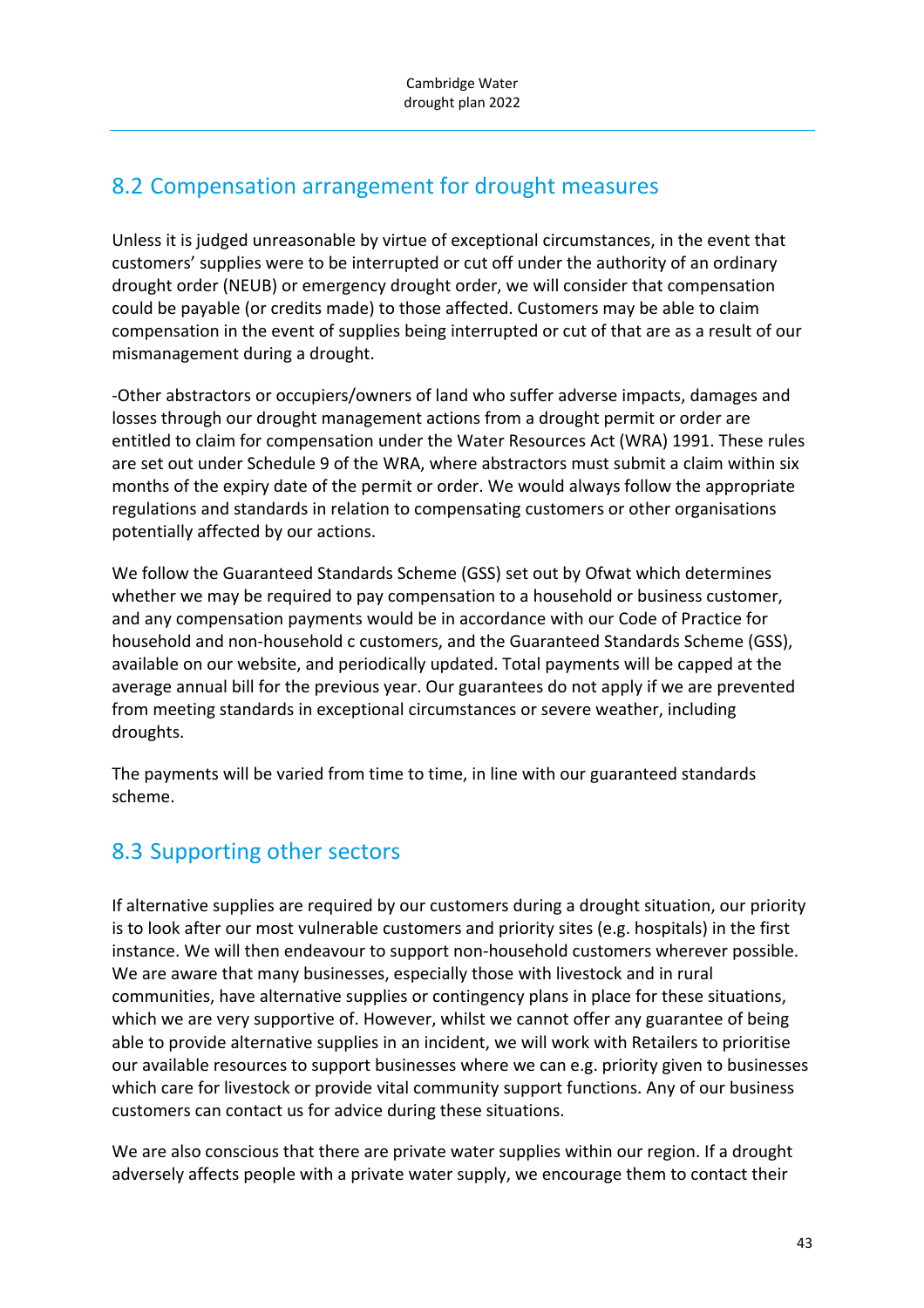# 8.2 Compensation arrangement for drought measures

Unless it is judged unreasonable by virtue of exceptional circumstances, in the event that customers' supplies were to be interrupted or cut off under the authority of an ordinary drought order (NEUB) or emergency drought order, we will consider that compensation could be payable (or credits made) to those affected. Customers may be able to claim compensation in the event of supplies being interrupted or cut of that are as a result of our mismanagement during a drought.

‐Other abstractors or occupiers/owners of land who suffer adverse impacts, damages and losses through our drought management actions from a drought permit or order are entitled to claim for compensation under the Water Resources Act (WRA) 1991. These rules are set out under Schedule 9 of the WRA, where abstractors must submit a claim within six months of the expiry date of the permit or order. We would always follow the appropriate regulations and standards in relation to compensating customers or other organisations potentially affected by our actions.

We follow the Guaranteed Standards Scheme (GSS) set out by Ofwat which determines whether we may be required to pay compensation to a household or business customer, and any compensation payments would be in accordance with our Code of Practice for household and non‐household c customers, and the Guaranteed Standards Scheme (GSS), available on our website, and periodically updated. Total payments will be capped at the average annual bill for the previous year. Our guarantees do not apply if we are prevented from meeting standards in exceptional circumstances or severe weather, including droughts.

The payments will be varied from time to time, in line with our guaranteed standards scheme.

# 8.3 Supporting other sectors

If alternative supplies are required by our customers during a drought situation, our priority is to look after our most vulnerable customers and priority sites (e.g. hospitals) in the first instance. We will then endeavour to support non-household customers wherever possible. We are aware that many businesses, especially those with livestock and in rural communities, have alternative supplies or contingency plans in place for these situations, which we are very supportive of. However, whilst we cannot offer any guarantee of being able to provide alternative supplies in an incident, we will work with Retailers to prioritise our available resources to support businesses where we can e.g. priority given to businesses which care for livestock or provide vital community support functions. Any of our business customers can contact us for advice during these situations.

We are also conscious that there are private water supplies within our region. If a drought adversely affects people with a private water supply, we encourage them to contact their